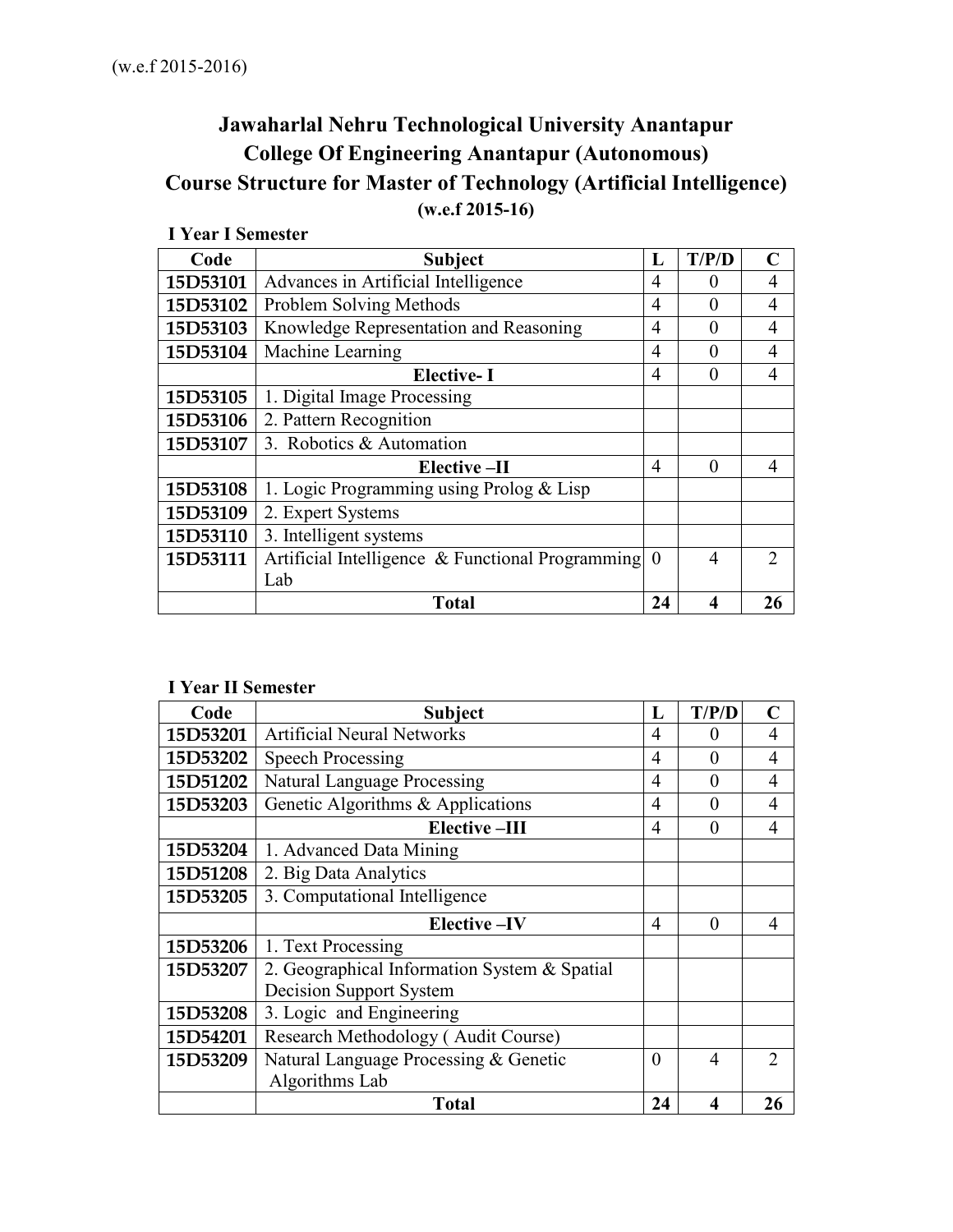# **Jawaharlal Nehru Technological University Anantapur College Of Engineering Anantapur (Autonomous) Course Structure for Master of Technology (Artificial Intelligence) (w.e.f 2015-16)**

| т теат гэсшемен |                                                  |          |          |                |
|-----------------|--------------------------------------------------|----------|----------|----------------|
| Code            | <b>Subject</b>                                   | L        | T/P/D    | C              |
| 15D53101        | Advances in Artificial Intelligence              | 4        | 0        | 4              |
| 15D53102        | Problem Solving Methods                          | 4        | $\theta$ | $\overline{4}$ |
| 15D53103        | Knowledge Representation and Reasoning           | 4        | $\theta$ | 4              |
| 15D53104        | Machine Learning                                 | 4        | $\Omega$ | $\overline{4}$ |
|                 | <b>Elective-I</b>                                | 4        | $\theta$ | $\overline{4}$ |
| 15D53105        | 1. Digital Image Processing                      |          |          |                |
| 15D53106        | 2. Pattern Recognition                           |          |          |                |
| 15D53107        | 3. Robotics & Automation                         |          |          |                |
|                 | Elective-II                                      | 4        | $\theta$ | $\overline{4}$ |
| 15D53108        | 1. Logic Programming using Prolog & Lisp         |          |          |                |
| 15D53109        | 2. Expert Systems                                |          |          |                |
| 15D53110        | 3. Intelligent systems                           |          |          |                |
| 15D53111        | Artificial Intelligence & Functional Programming | $\theta$ | 4        | $\overline{2}$ |
|                 | Lab                                              |          |          |                |
|                 | <b>Total</b>                                     | 24       | 4        | 26             |

# **I Year I Semester**

## **I Year II Semester**

| Code     | <b>Subject</b>                               | L              | T/P/D    | $\mathbf C$      |
|----------|----------------------------------------------|----------------|----------|------------------|
| 15D53201 | <b>Artificial Neural Networks</b>            | $\overline{4}$ | 0        | 4                |
| 15D53202 | <b>Speech Processing</b>                     | 4              | 0        | 4                |
| 15D51202 | <b>Natural Language Processing</b>           | 4              | $\Omega$ | 4                |
| 15D53203 | Genetic Algorithms & Applications            | 4              | $\theta$ | 4                |
|          | <b>Elective-III</b>                          | $\overline{4}$ | $\theta$ | $\overline{4}$   |
| 15D53204 | 1. Advanced Data Mining                      |                |          |                  |
| 15D51208 | 2. Big Data Analytics                        |                |          |                  |
| 15D53205 | 3. Computational Intelligence                |                |          |                  |
|          | Elective-IV                                  | 4              | $\theta$ | 4                |
| 15D53206 | 1. Text Processing                           |                |          |                  |
| 15D53207 | 2. Geographical Information System & Spatial |                |          |                  |
|          | <b>Decision Support System</b>               |                |          |                  |
| 15D53208 | 3. Logic and Engineering                     |                |          |                  |
| 15D54201 | Research Methodology (Audit Course)          |                |          |                  |
| 15D53209 | Natural Language Processing & Genetic        | $\theta$       | 4        | $\sum_{i=1}^{n}$ |
|          | Algorithms Lab                               |                |          |                  |
|          | <b>Total</b>                                 | 24             | 4        | 26               |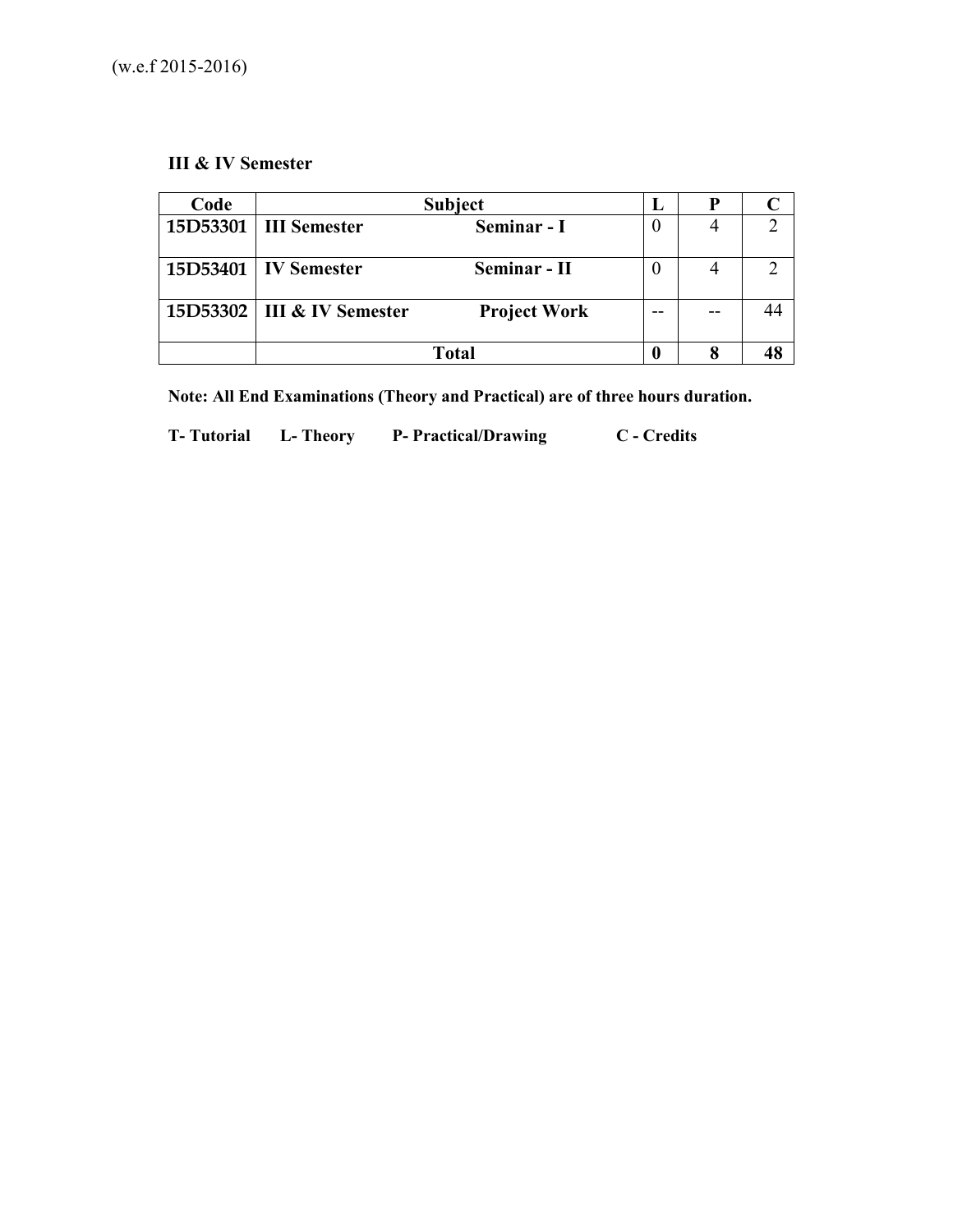# **III & IV Semester**

| Code |                              | <b>Subject</b>      | ы |  |
|------|------------------------------|---------------------|---|--|
|      | 15D53301   III Semester      | Seminar - I         |   |  |
|      | 15D53401   IV Semester       | Seminar - II        |   |  |
|      | 15D53302   III & IV Semester | <b>Project Work</b> |   |  |
|      |                              | Total               |   |  |

**Note: All End Examinations (Theory and Practical) are of three hours duration.** 

**T- Tutorial L- Theory P- Practical/Drawing C - Credits**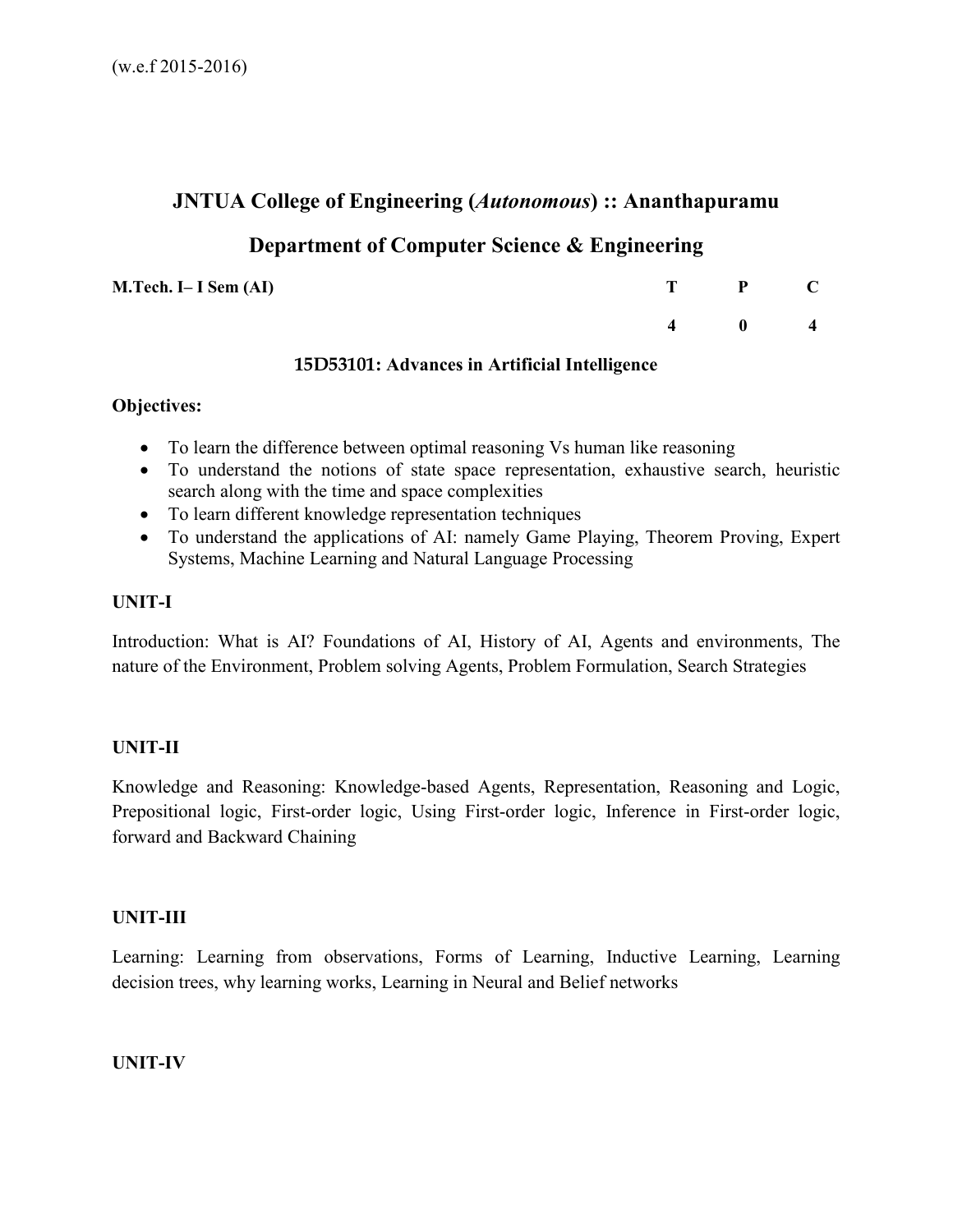# **JNTUA College of Engineering (***Autonomous***) :: Ananthapuramu**

# **Department of Computer Science & Engineering**

**M.Tech. I– I Sem (AI)** 

| T P C                                       |  |
|---------------------------------------------|--|
| $\begin{array}{cccc} 4 & 0 & 4 \end{array}$ |  |

## **15D53101: Advances in Artificial Intelligence**

# **Objectives:**

- To learn the difference between optimal reasoning Vs human like reasoning
- To understand the notions of state space representation, exhaustive search, heuristic search along with the time and space complexities
- To learn different knowledge representation techniques
- To understand the applications of AI: namely Game Playing, Theorem Proving, Expert Systems, Machine Learning and Natural Language Processing

# **UNIT-I**

Introduction: What is AI? Foundations of AI, History of AI, Agents and environments, The nature of the Environment, Problem solving Agents, Problem Formulation, Search Strategies

# **UNIT-II**

Knowledge and Reasoning: Knowledge-based Agents, Representation, Reasoning and Logic, Prepositional logic, First-order logic, Using First-order logic, Inference in First-order logic, forward and Backward Chaining

# **UNIT-III**

Learning: Learning from observations, Forms of Learning, Inductive Learning, Learning decision trees, why learning works, Learning in Neural and Belief networks

# **UNIT-IV**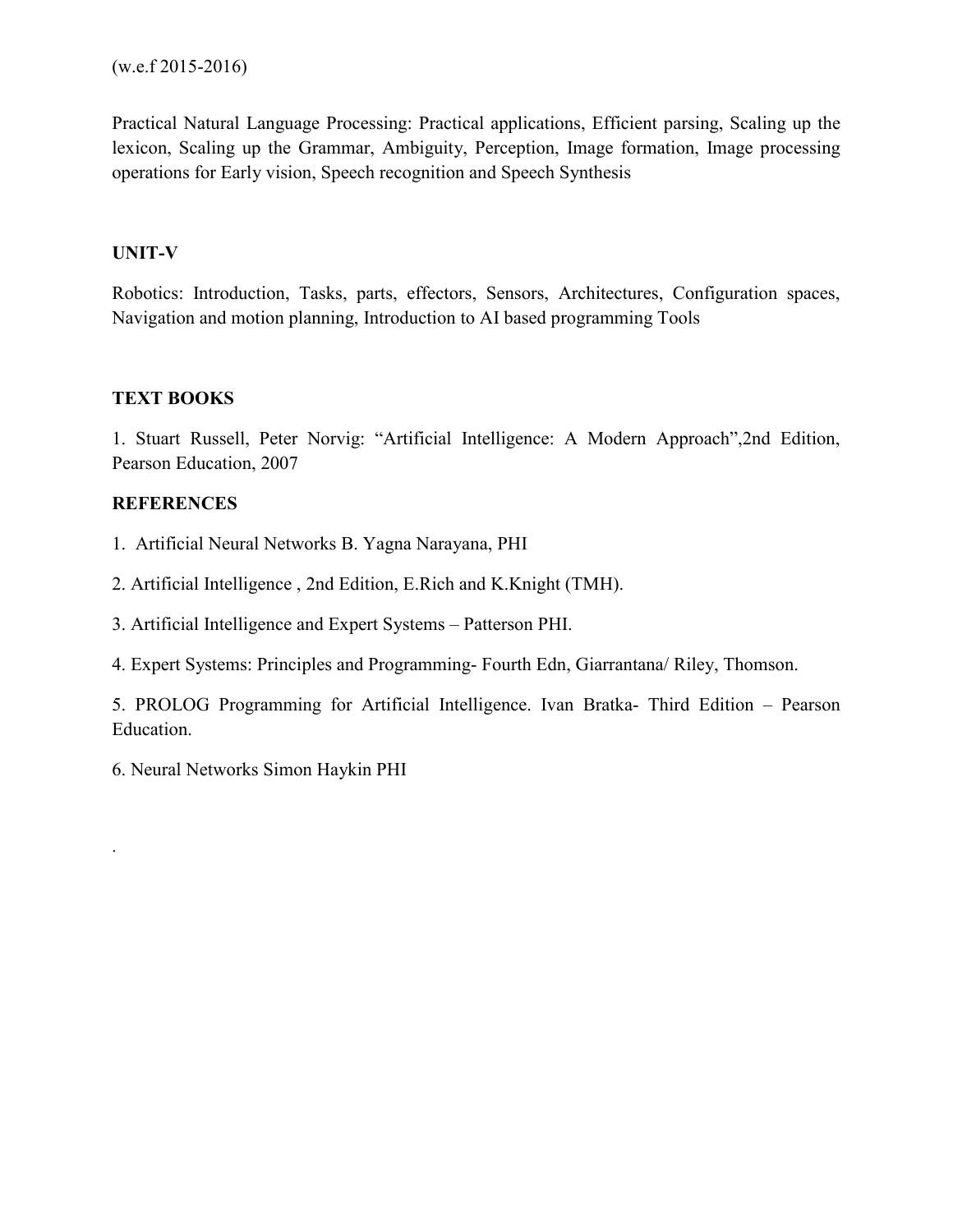Practical Natural Language Processing: Practical applications, Efficient parsing, Scaling up the lexicon, Scaling up the Grammar, Ambiguity, Perception, Image formation, Image processing operations for Early vision, Speech recognition and Speech Synthesis

# **UNIT-V**

Robotics: Introduction, Tasks, parts, effectors, Sensors, Architectures, Configuration spaces, Navigation and motion planning, Introduction to AI based programming Tools

# **TEXT BOOKS**

1. Stuart Russell, Peter Norvig: "Artificial Intelligence: A Modern Approach",2nd Edition, Pearson Education, 2007

# **REFERENCES**

.

- 1. Artificial Neural Networks B. Yagna Narayana, PHI
- 2. Artificial Intelligence , 2nd Edition, E.Rich and K.Knight (TMH).
- 3. Artificial Intelligence and Expert Systems Patterson PHI.
- 4. Expert Systems: Principles and Programming- Fourth Edn, Giarrantana/ Riley, Thomson.

5. PROLOG Programming for Artificial Intelligence. Ivan Bratka- Third Edition – Pearson Education.

6. Neural Networks Simon Haykin PHI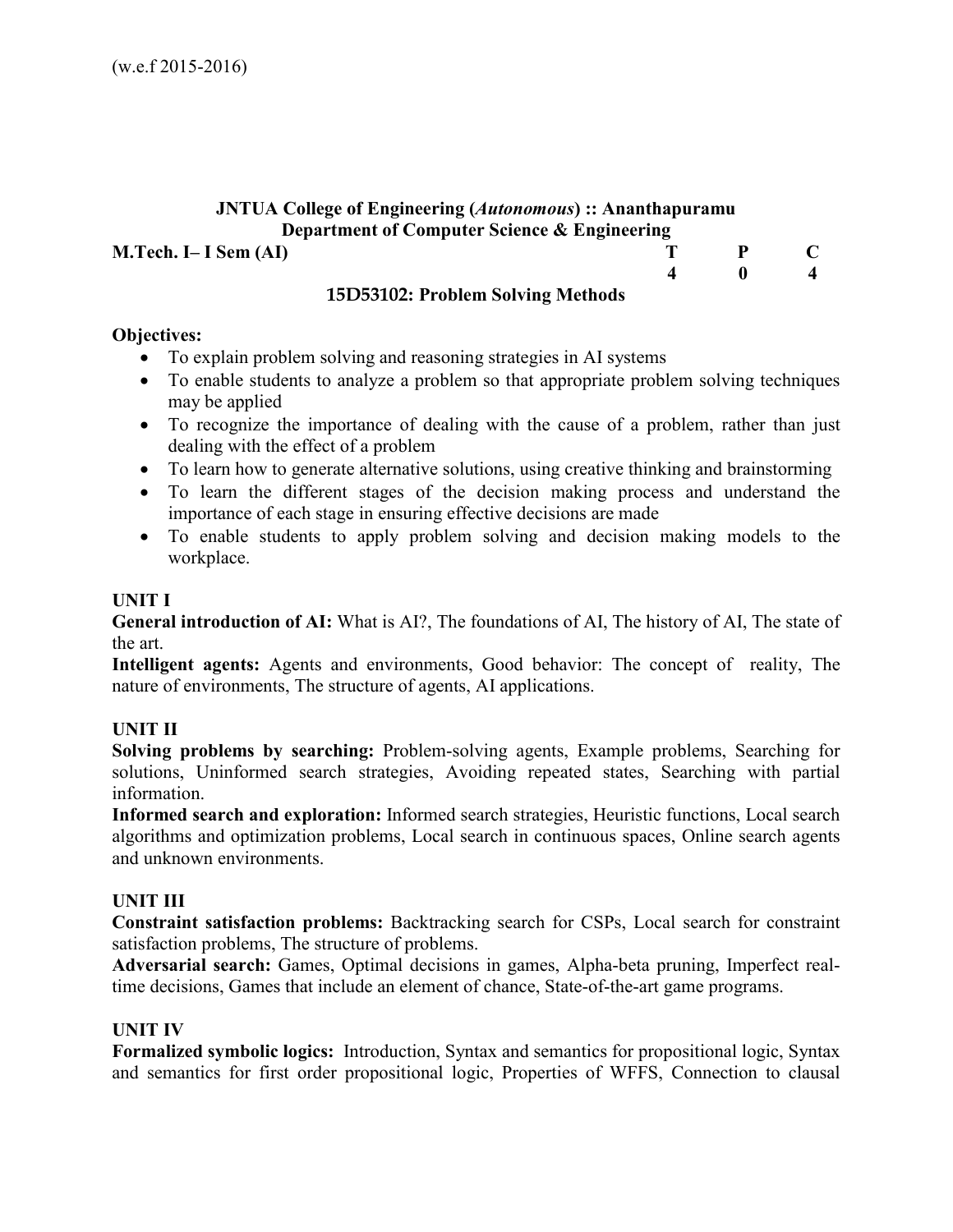# **JNTUA College of Engineering (***Autonomous***) :: Ananthapuramu Department of Computer Science & Engineering**

## **M.Tech. I– I Sem (AI)** T P C

#### **4 0 4 15D53102: Problem Solving Methods**

#### **Objectives:**

- To explain problem solving and reasoning strategies in AI systems
- To enable students to analyze a problem so that appropriate problem solving techniques may be applied
- To recognize the importance of dealing with the cause of a problem, rather than just dealing with the effect of a problem
- To learn how to generate alternative solutions, using creative thinking and brainstorming
- To learn the different stages of the decision making process and understand the importance of each stage in ensuring effective decisions are made
- To enable students to apply problem solving and decision making models to the workplace.

#### **UNIT I**

**General introduction of AI:** What is AI?, The foundations of AI, The history of AI, The state of the art.

**Intelligent agents:** Agents and environments, Good behavior: The concept of reality, The nature of environments, The structure of agents, AI applications.

#### **UNIT II**

**Solving problems by searching:** Problem-solving agents, Example problems, Searching for solutions, Uninformed search strategies, Avoiding repeated states, Searching with partial information.

**Informed search and exploration:** Informed search strategies, Heuristic functions, Local search algorithms and optimization problems, Local search in continuous spaces, Online search agents and unknown environments.

#### **UNIT III**

**Constraint satisfaction problems:** Backtracking search for CSPs, Local search for constraint satisfaction problems, The structure of problems.

**Adversarial search:** Games, Optimal decisions in games, Alpha-beta pruning, Imperfect realtime decisions, Games that include an element of chance, State-of-the-art game programs.

#### **UNIT IV**

**Formalized symbolic logics:** Introduction, Syntax and semantics for propositional logic, Syntax and semantics for first order propositional logic, Properties of WFFS, Connection to clausal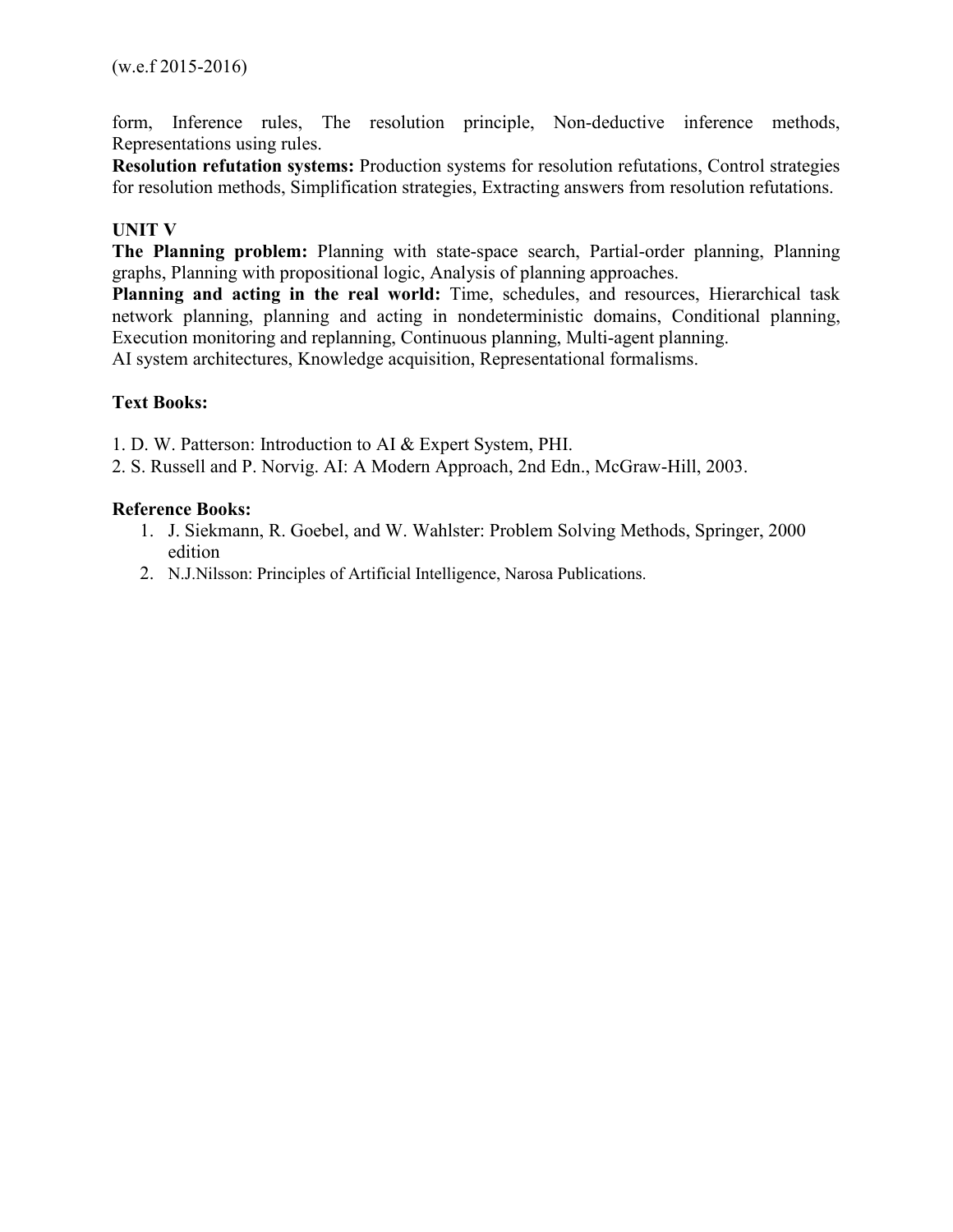form, Inference rules, The resolution principle, Non-deductive inference methods, Representations using rules.

**Resolution refutation systems:** Production systems for resolution refutations, Control strategies for resolution methods, Simplification strategies, Extracting answers from resolution refutations.

# **UNIT V**

**The Planning problem:** Planning with state-space search, Partial-order planning, Planning graphs, Planning with propositional logic, Analysis of planning approaches.

**Planning and acting in the real world:** Time, schedules, and resources, Hierarchical task network planning, planning and acting in nondeterministic domains, Conditional planning, Execution monitoring and replanning, Continuous planning, Multi-agent planning. AI system architectures, Knowledge acquisition, Representational formalisms.

## **Text Books:**

1. D. W. Patterson: Introduction to AI & Expert System, PHI.

2. S. Russell and P. Norvig. AI: A Modern Approach, 2nd Edn., McGraw-Hill, 2003.

## **Reference Books:**

- 1. J. Siekmann, R. Goebel, and W. Wahlster: Problem Solving Methods, Springer, 2000 edition
- 2. N.J.Nilsson: Principles of Artificial Intelligence, Narosa Publications.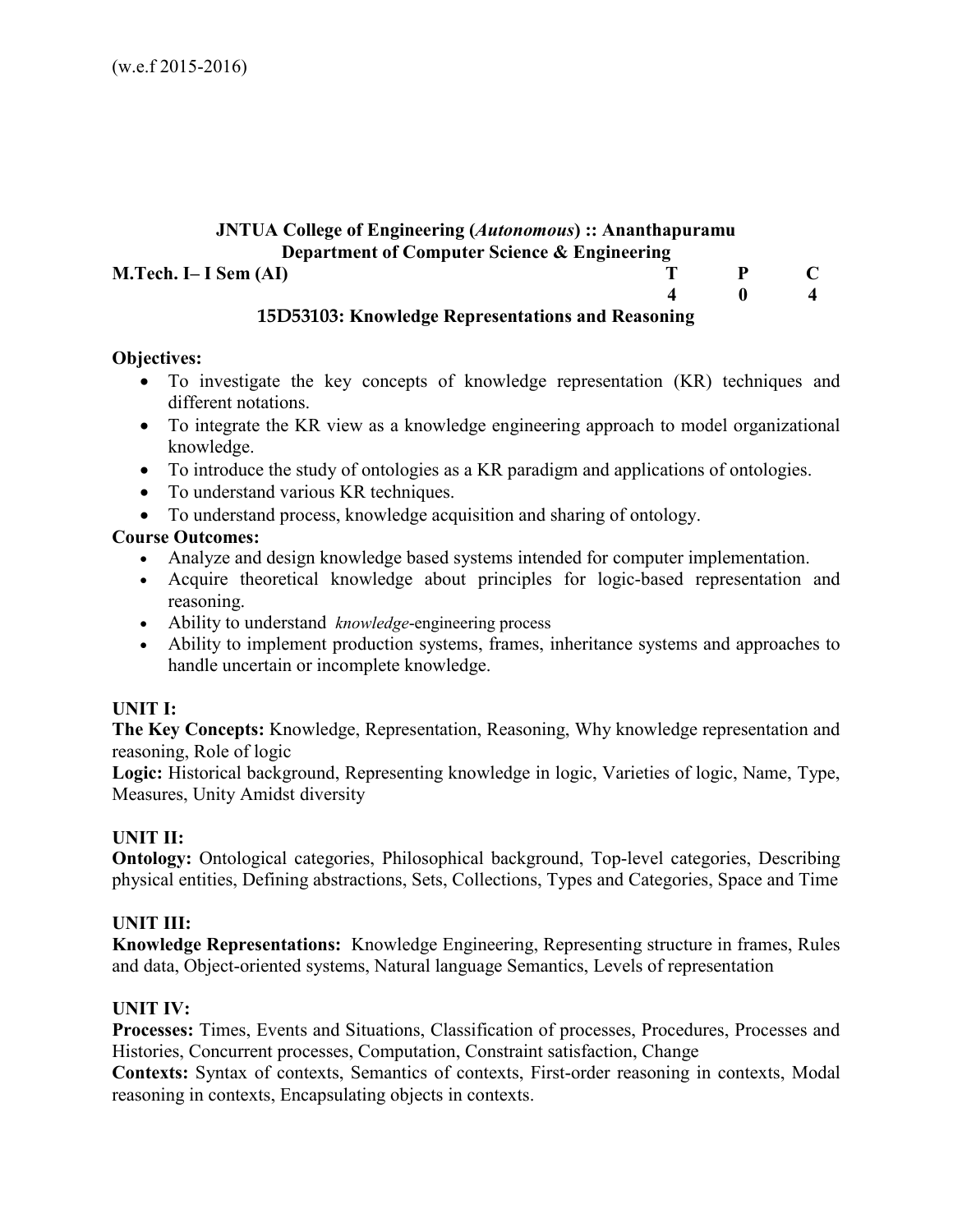## **JNTUA College of Engineering (***Autonomous***) :: Ananthapuramu Department of Computer Science & Engineering M.Tech. I– I Sem (AI)** T P C  **4 0 4**

# **15D53103: Knowledge Representations and Reasoning**

## **Objectives:**

- To investigate the key concepts of knowledge representation (KR) techniques and different notations.
- To integrate the KR view as a knowledge engineering approach to model organizational knowledge.
- To introduce the study of ontologies as a KR paradigm and applications of ontologies.
- To understand various KR techniques.
- To understand process, knowledge acquisition and sharing of ontology.

# **Course Outcomes:**

- Analyze and design knowledge based systems intended for computer implementation.
- Acquire theoretical knowledge about principles for logic-based representation and reasoning.
- Ability to understand *knowledge*-engineering process
- Ability to implement production systems, frames, inheritance systems and approaches to handle uncertain or incomplete knowledge.

# **UNIT I:**

**The Key Concepts:** Knowledge, Representation, Reasoning, Why knowledge representation and reasoning, Role of logic

**Logic:** Historical background, Representing knowledge in logic, Varieties of logic, Name, Type, Measures, Unity Amidst diversity

# **UNIT II:**

**Ontology:** Ontological categories, Philosophical background, Top-level categories, Describing physical entities, Defining abstractions, Sets, Collections, Types and Categories, Space and Time

# **UNIT III:**

**Knowledge Representations:** Knowledge Engineering, Representing structure in frames, Rules and data, Object-oriented systems, Natural language Semantics, Levels of representation

# **UNIT IV:**

**Processes:** Times, Events and Situations, Classification of processes, Procedures, Processes and Histories, Concurrent processes, Computation, Constraint satisfaction, Change

**Contexts:** Syntax of contexts, Semantics of contexts, First-order reasoning in contexts, Modal reasoning in contexts, Encapsulating objects in contexts.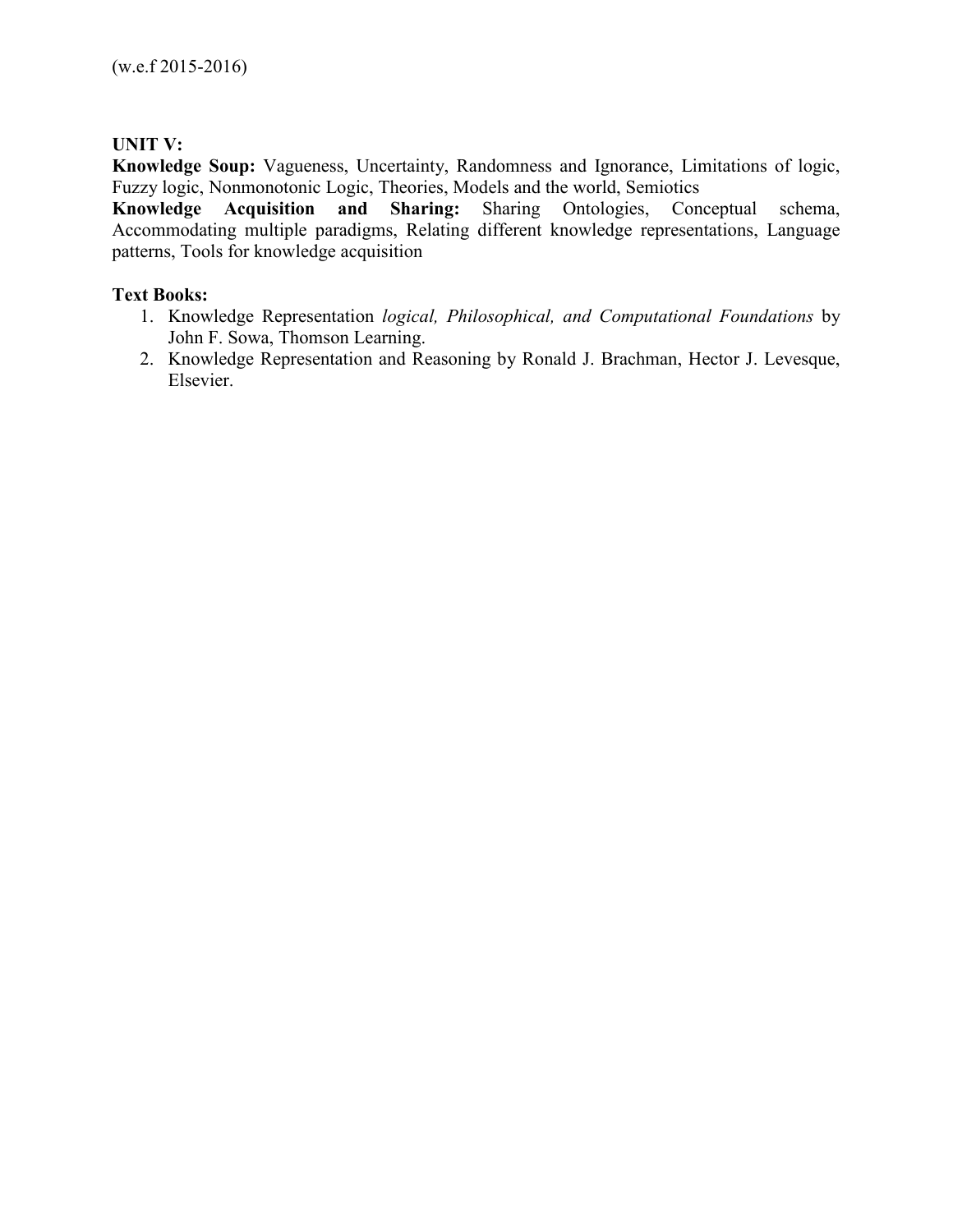# **UNIT V:**

**Knowledge Soup:** Vagueness, Uncertainty, Randomness and Ignorance, Limitations of logic, Fuzzy logic, Nonmonotonic Logic, Theories, Models and the world, Semiotics

**Knowledge Acquisition and Sharing:** Sharing Ontologies, Conceptual schema, Accommodating multiple paradigms, Relating different knowledge representations, Language patterns, Tools for knowledge acquisition

# **Text Books:**

- 1. Knowledge Representation *logical, Philosophical, and Computational Foundations* by John F. Sowa, Thomson Learning.
- 2. Knowledge Representation and Reasoning by Ronald J. Brachman, Hector J. Levesque, Elsevier.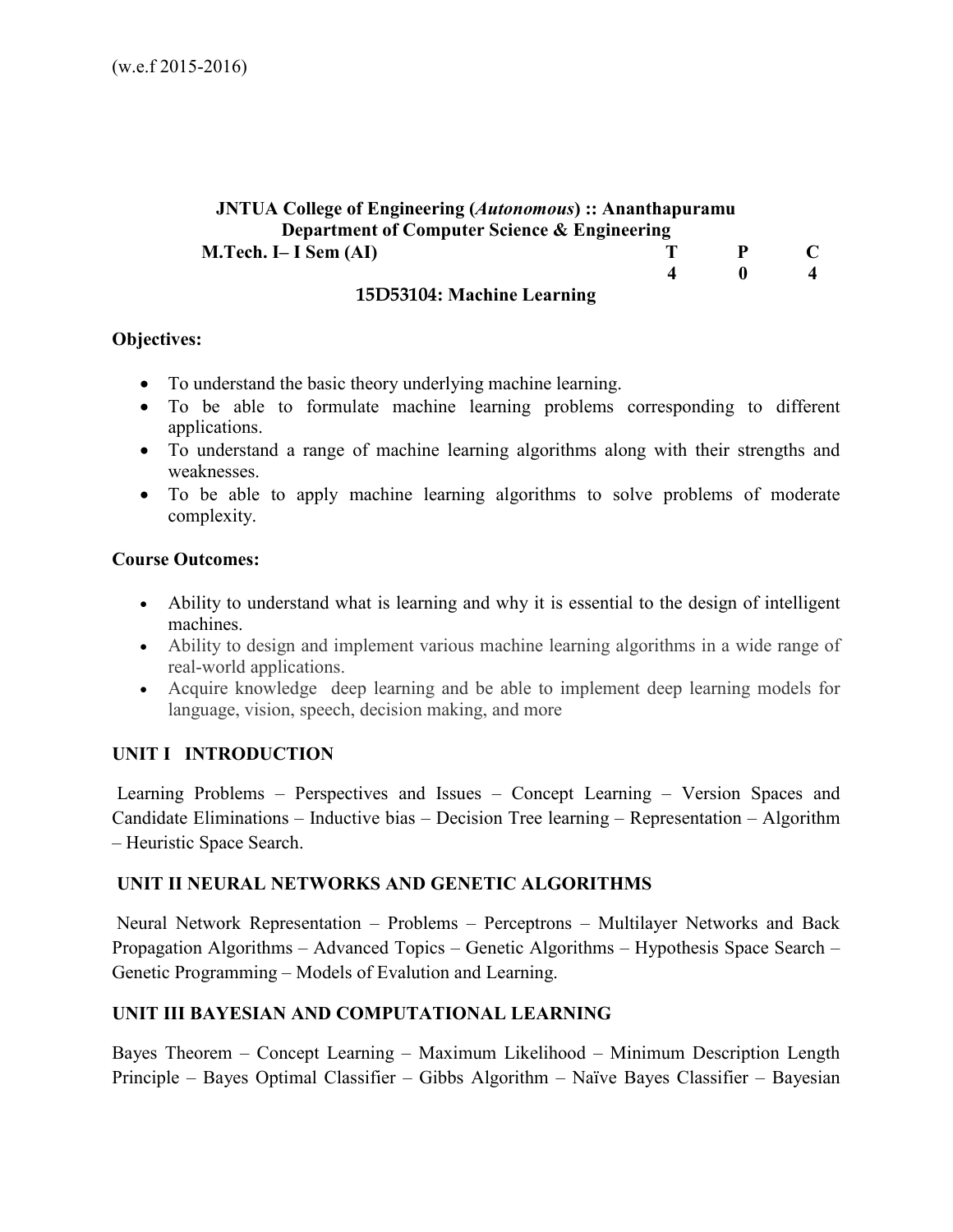# **JNTUA College of Engineering (***Autonomous***) :: Ananthapuramu Department of Computer Science & Engineering M.Tech. I– I Sem (AI)** T P C **4** 0 4

#### **15D53104: Machine Learning**

#### **Objectives:**

- To understand the basic theory underlying machine learning.
- To be able to formulate machine learning problems corresponding to different applications.
- To understand a range of machine learning algorithms along with their strengths and weaknesses.
- To be able to apply machine learning algorithms to solve problems of moderate complexity.

#### **Course Outcomes:**

- Ability to understand what is learning and why it is essential to the design of intelligent machines.
- Ability to design and implement various machine learning algorithms in a wide range of real-world applications.
- Acquire knowledge deep learning and be able to implement deep learning models for language, vision, speech, decision making, and more

# **UNIT I INTRODUCTION**

 Learning Problems – Perspectives and Issues – Concept Learning – Version Spaces and Candidate Eliminations – Inductive bias – Decision Tree learning – Representation – Algorithm – Heuristic Space Search.

## **UNIT II NEURAL NETWORKS AND GENETIC ALGORITHMS**

 Neural Network Representation – Problems – Perceptrons – Multilayer Networks and Back Propagation Algorithms – Advanced Topics – Genetic Algorithms – Hypothesis Space Search – Genetic Programming – Models of Evalution and Learning.

# **UNIT III BAYESIAN AND COMPUTATIONAL LEARNING**

Bayes Theorem – Concept Learning – Maximum Likelihood – Minimum Description Length Principle – Bayes Optimal Classifier – Gibbs Algorithm – Naïve Bayes Classifier – Bayesian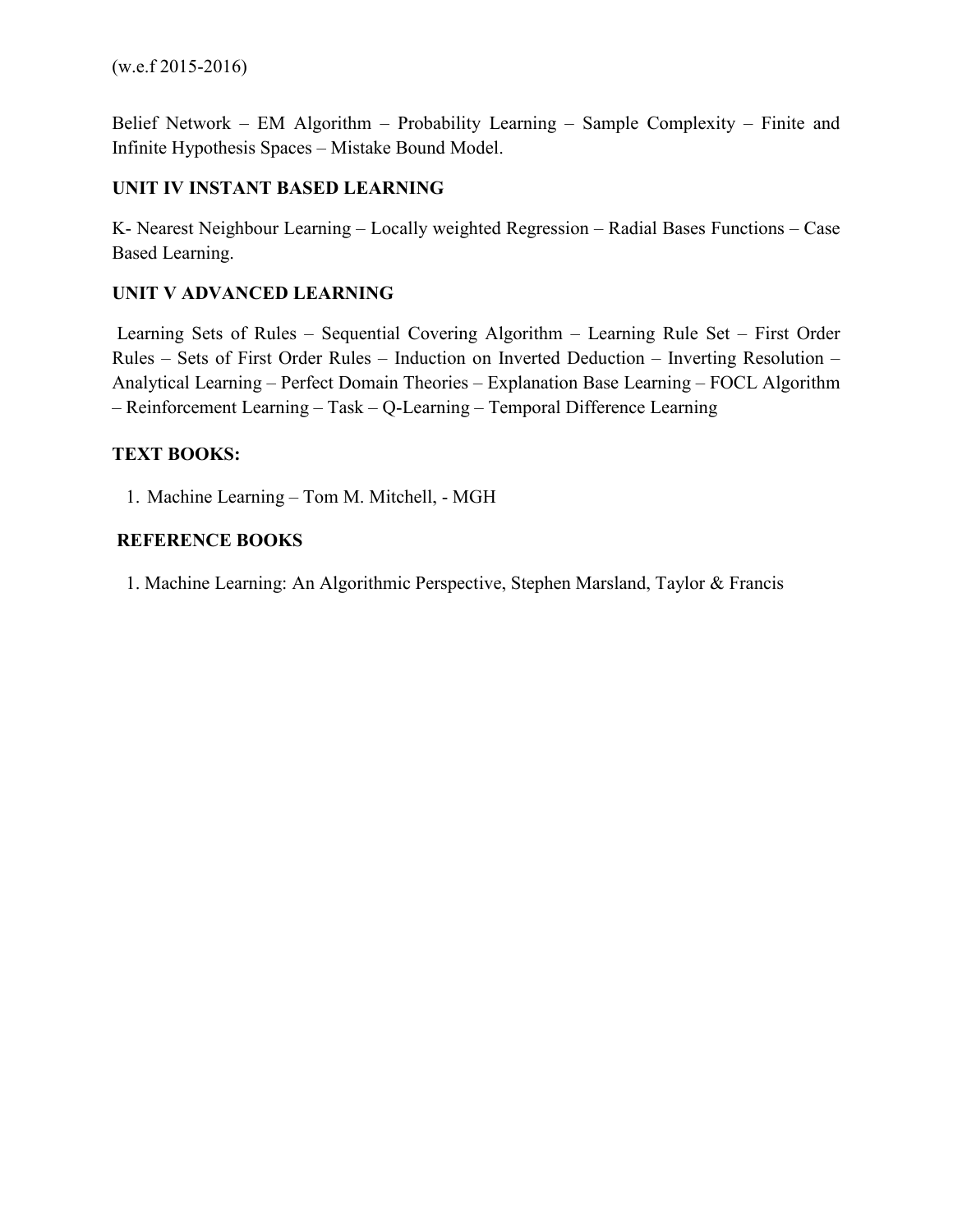Belief Network – EM Algorithm – Probability Learning – Sample Complexity – Finite and Infinite Hypothesis Spaces – Mistake Bound Model.

# **UNIT IV INSTANT BASED LEARNING**

K- Nearest Neighbour Learning – Locally weighted Regression – Radial Bases Functions – Case Based Learning.

# **UNIT V ADVANCED LEARNING**

 Learning Sets of Rules – Sequential Covering Algorithm – Learning Rule Set – First Order Rules – Sets of First Order Rules – Induction on Inverted Deduction – Inverting Resolution – Analytical Learning – Perfect Domain Theories – Explanation Base Learning – FOCL Algorithm – Reinforcement Learning – Task – Q-Learning – Temporal Difference Learning

# **TEXT BOOKS:**

1. Machine Learning – Tom M. Mitchell, - MGH

# **REFERENCE BOOKS**

1. Machine Learning: An Algorithmic Perspective, Stephen Marsland, Taylor & Francis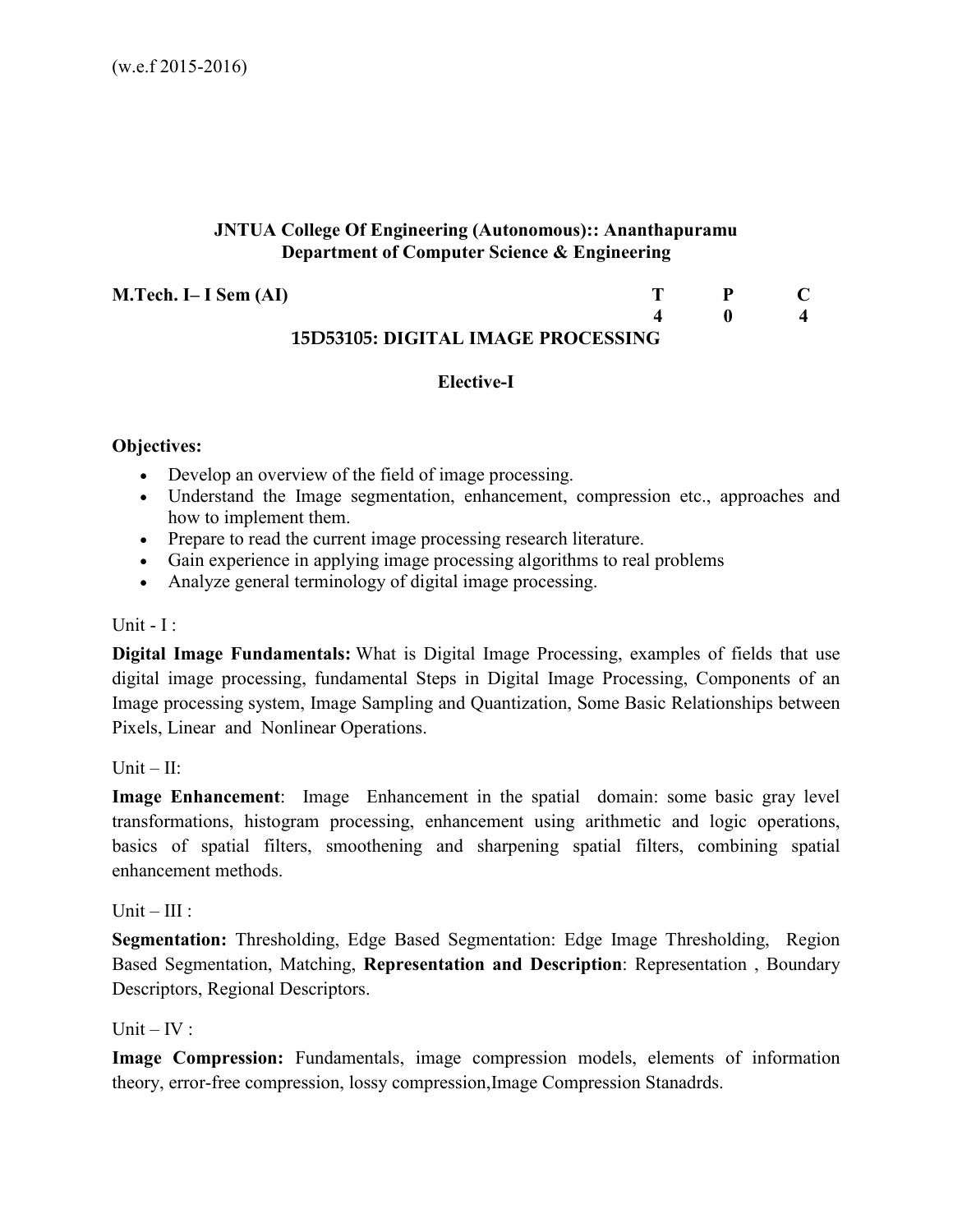## **JNTUA College Of Engineering (Autonomous):: Ananthapuramu Department of Computer Science & Engineering**

**M.Tech. I– I Sem (AI)** T P C

#### **4 0 4 15D53105: DIGITAL IMAGE PROCESSING**

## **Elective-I**

## **Objectives:**

- Develop an overview of the field of image processing.
- Understand the Image segmentation, enhancement, compression etc., approaches and how to implement them.
- Prepare to read the current image processing research literature.
- Gain experience in applying image processing algorithms to real problems
- Analyze general terminology of digital image processing.

#### Unit -  $I$  :

**Digital Image Fundamentals:** What is Digital Image Processing, examples of fields that use digital image processing, fundamental Steps in Digital Image Processing, Components of an Image processing system, Image Sampling and Quantization, Some Basic Relationships between Pixels, Linear and Nonlinear Operations.

 $Unit - II$ 

**Image Enhancement**: Image Enhancement in the spatial domain: some basic gray level transformations, histogram processing, enhancement using arithmetic and logic operations, basics of spatial filters, smoothening and sharpening spatial filters, combining spatial enhancement methods.

Unit –  $III$  ·

**Segmentation:** Thresholding, Edge Based Segmentation: Edge Image Thresholding, Region Based Segmentation, Matching, **Representation and Description**: Representation , Boundary Descriptors, Regional Descriptors.

#### Unit –  $IV:$

**Image Compression:** Fundamentals, image compression models, elements of information theory, error-free compression, lossy compression,Image Compression Stanadrds.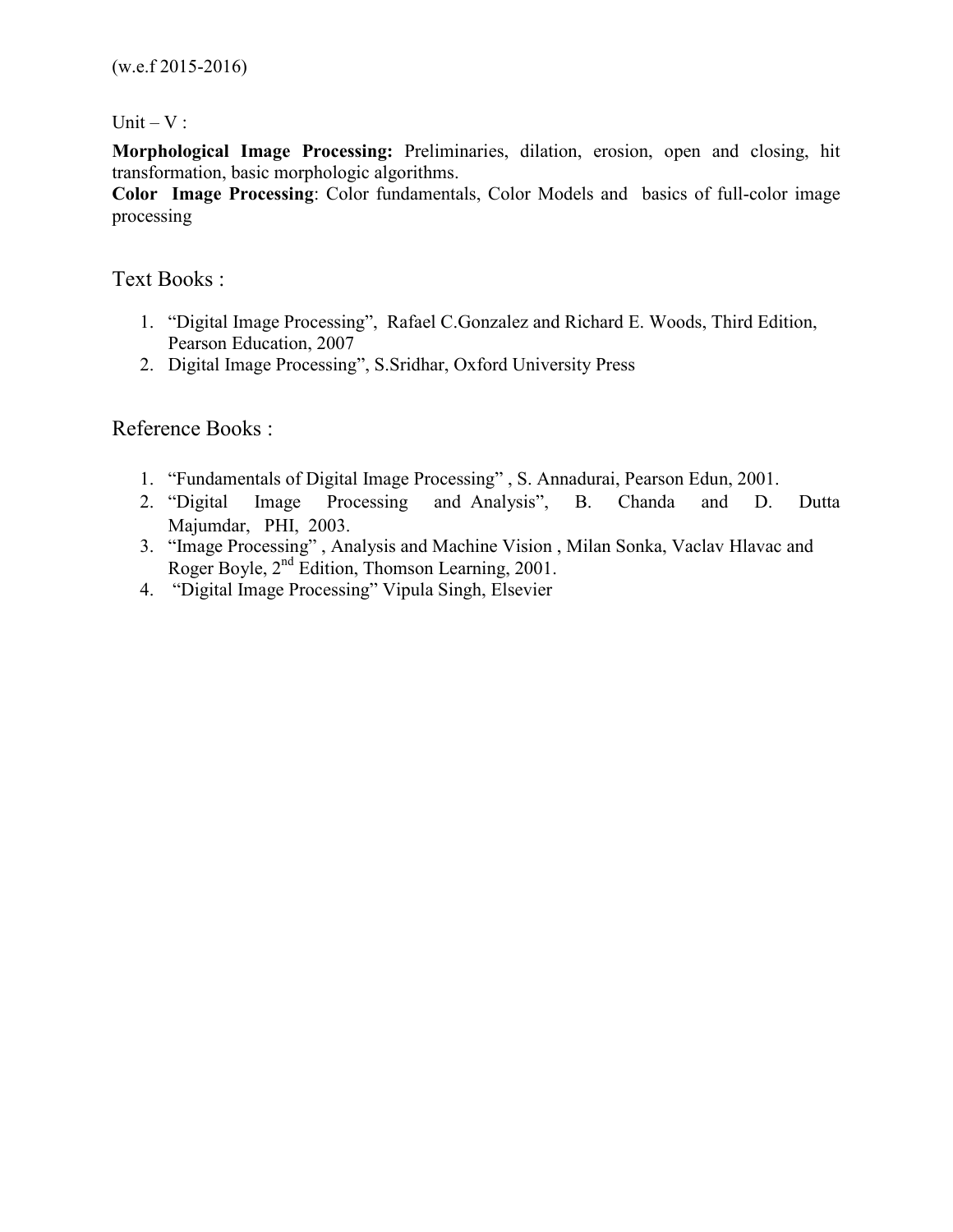Unit  $-V$  :

**Morphological Image Processing:** Preliminaries, dilation, erosion, open and closing, hit transformation, basic morphologic algorithms.

**Color Image Processing**: Color fundamentals, Color Models and basics of full-color image processing

# Text Books :

- 1. "Digital Image Processing", Rafael C.Gonzalez and Richard E. Woods, Third Edition, Pearson Education, 2007
- 2. Digital Image Processing", S.Sridhar, Oxford University Press

Reference Books :

- 1. "Fundamentals of Digital Image Processing" , S. Annadurai, Pearson Edun, 2001.
- 2. "Digital Image Processing and Analysis", B. Chanda and D. Dutta Majumdar, PHI, 2003.
- 3. "Image Processing" , Analysis and Machine Vision , Milan Sonka, Vaclav Hlavac and Roger Boyle, 2nd Edition, Thomson Learning, 2001.
- 4. "Digital Image Processing" Vipula Singh, Elsevier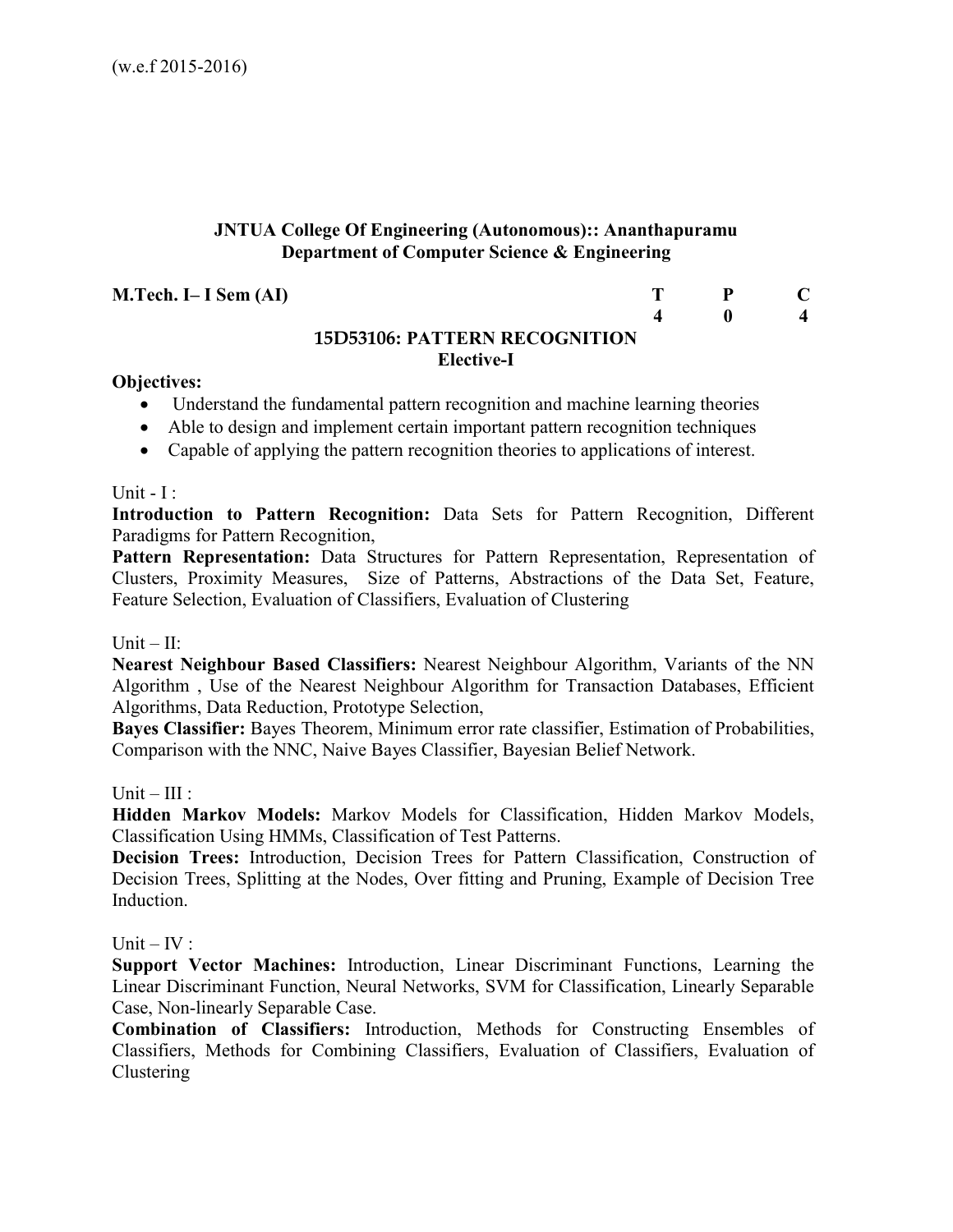## **JNTUA College Of Engineering (Autonomous):: Ananthapuramu Department of Computer Science & Engineering**

**M.Tech. I– I Sem (AI)** T P C

#### **4 0 4 15D53106: PATTERN RECOGNITION Elective-I**

#### **Objectives:**

- Understand the fundamental pattern recognition and machine learning theories
- Able to design and implement certain important pattern recognition techniques
- Capable of applying the pattern recognition theories to applications of interest.

#### Unit -  $I$  :

**Introduction to Pattern Recognition:** Data Sets for Pattern Recognition, Different Paradigms for Pattern Recognition,

Pattern Representation: Data Structures for Pattern Representation, Representation of Clusters, Proximity Measures, Size of Patterns, Abstractions of the Data Set, Feature, Feature Selection, Evaluation of Classifiers, Evaluation of Clustering

#### $Unit - II:$

**Nearest Neighbour Based Classifiers:** Nearest Neighbour Algorithm, Variants of the NN Algorithm , Use of the Nearest Neighbour Algorithm for Transaction Databases, Efficient Algorithms, Data Reduction, Prototype Selection,

**Bayes Classifier:** Bayes Theorem, Minimum error rate classifier, Estimation of Probabilities, Comparison with the NNC, Naive Bayes Classifier, Bayesian Belief Network.

#### Unit –  $III$ :

**Hidden Markov Models:** Markov Models for Classification, Hidden Markov Models, Classification Using HMMs, Classification of Test Patterns.

**Decision Trees:** Introduction, Decision Trees for Pattern Classification, Construction of Decision Trees, Splitting at the Nodes, Over fitting and Pruning, Example of Decision Tree Induction.

#### Unit –  $IV:$

**Support Vector Machines:** Introduction, Linear Discriminant Functions, Learning the Linear Discriminant Function, Neural Networks, SVM for Classification, Linearly Separable Case, Non-linearly Separable Case.

**Combination of Classifiers:** Introduction, Methods for Constructing Ensembles of Classifiers, Methods for Combining Classifiers, Evaluation of Classifiers, Evaluation of Clustering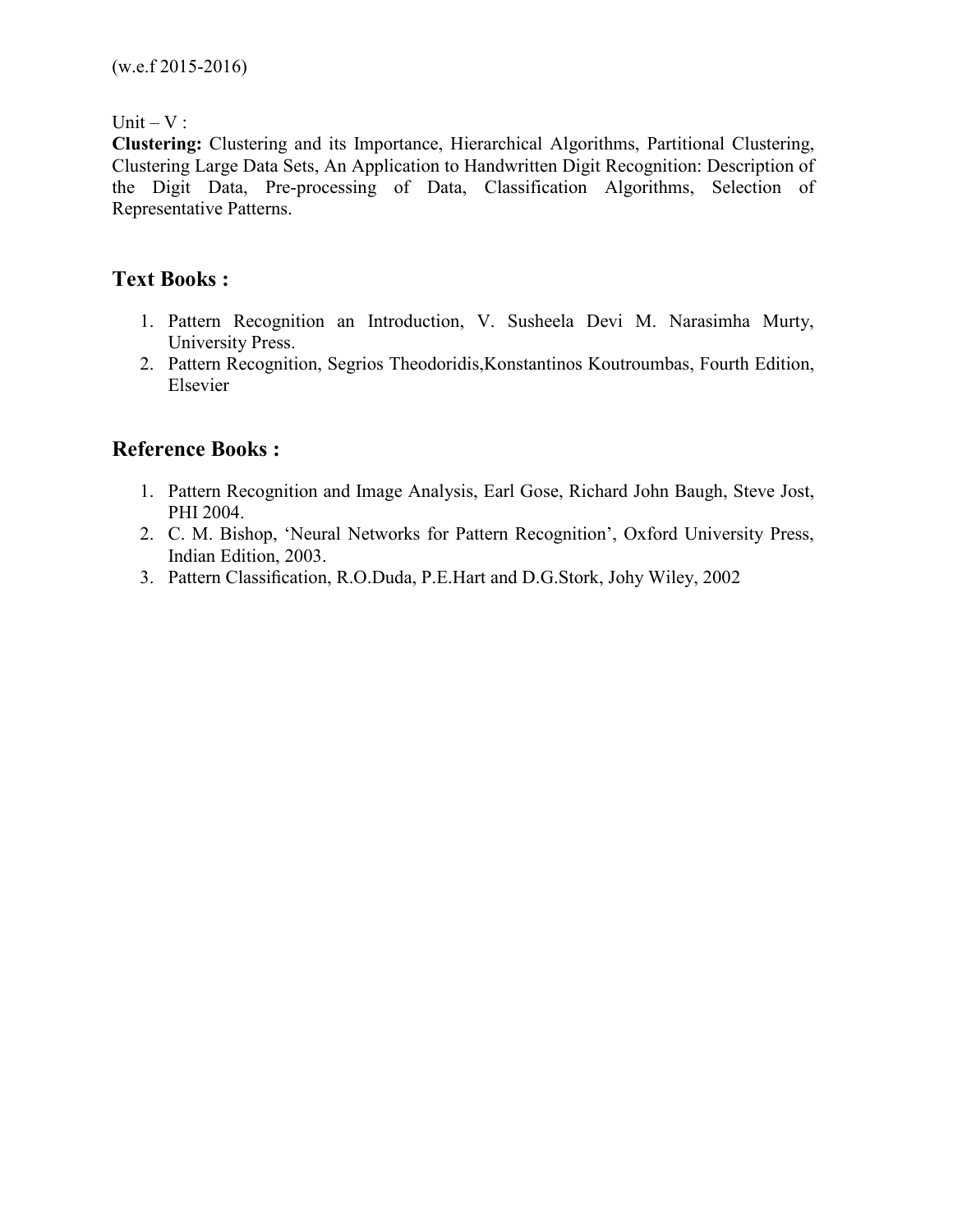Unit  $-V$  :

**Clustering:** Clustering and its Importance, Hierarchical Algorithms, Partitional Clustering, Clustering Large Data Sets, An Application to Handwritten Digit Recognition: Description of the Digit Data, Pre-processing of Data, Classification Algorithms, Selection of Representative Patterns.

# **Text Books :**

- 1. Pattern Recognition an Introduction, V. Susheela Devi M. Narasimha Murty, University Press.
- 2. Pattern Recognition, Segrios Theodoridis,Konstantinos Koutroumbas, Fourth Edition, Elsevier

# **Reference Books :**

- 1. Pattern Recognition and Image Analysis, Earl Gose, Richard John Baugh, Steve Jost, PHI 2004.
- 2. C. M. Bishop, 'Neural Networks for Pattern Recognition', Oxford University Press, Indian Edition, 2003.
- 3. Pattern Classification, R.O.Duda, P.E.Hart and D.G.Stork, Johy Wiley, 2002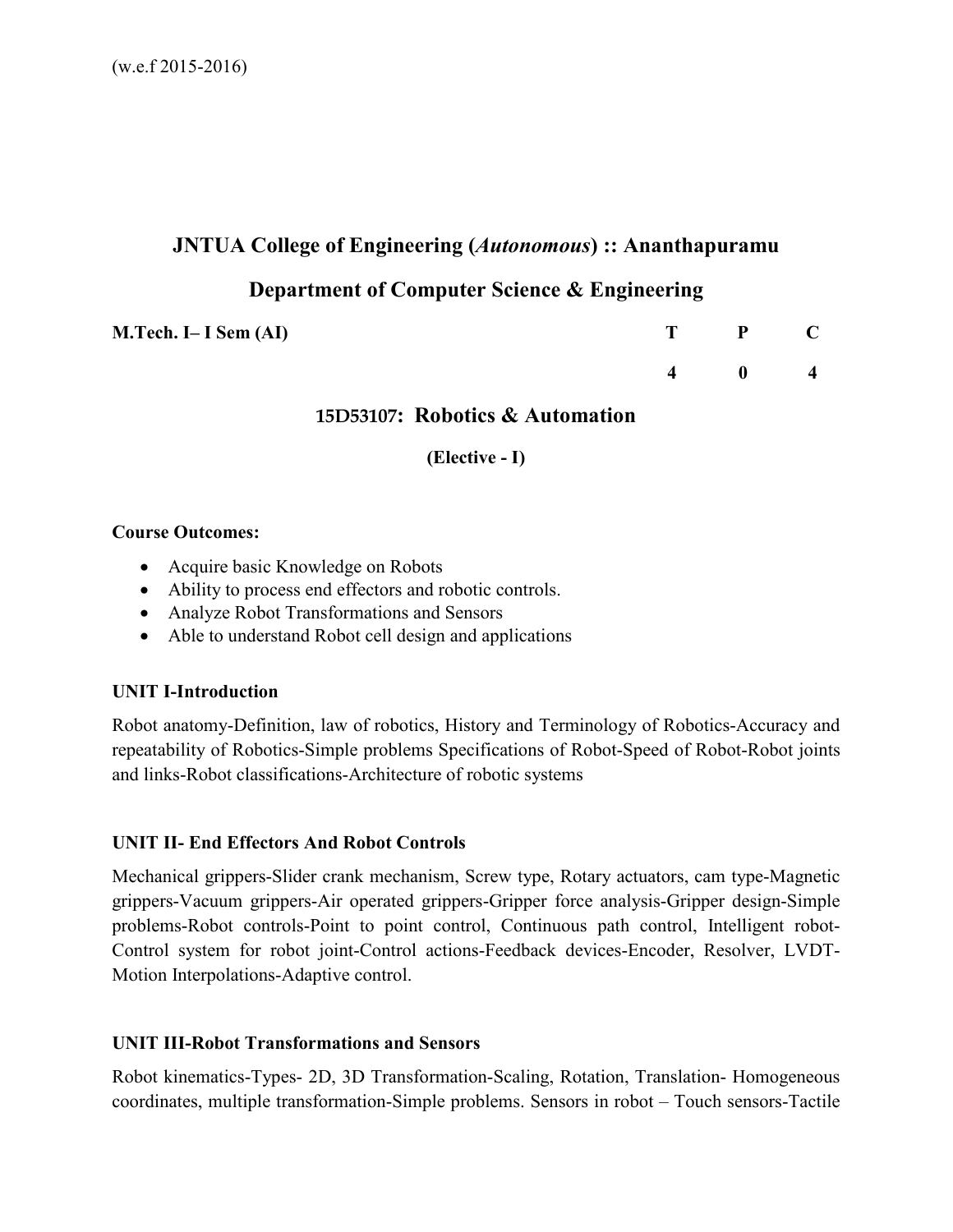# **JNTUA College of Engineering (***Autonomous***) :: Ananthapuramu**

# **Department of Computer Science & Engineering**

**M.Tech. I– I Sem (AI)** T P C

 **4 0 4** 

# **15D53107: Robotics & Automation**

**(Elective - I)** 

# **Course Outcomes:**

- Acquire basic Knowledge on Robots
- Ability to process end effectors and robotic controls.
- Analyze Robot Transformations and Sensors
- Able to understand Robot cell design and applications

# **UNIT I-Introduction**

Robot anatomy-Definition, law of robotics, History and Terminology of Robotics-Accuracy and repeatability of Robotics-Simple problems Specifications of Robot-Speed of Robot-Robot joints and links-Robot classifications-Architecture of robotic systems

# **UNIT II- End Effectors And Robot Controls**

Mechanical grippers-Slider crank mechanism, Screw type, Rotary actuators, cam type-Magnetic grippers-Vacuum grippers-Air operated grippers-Gripper force analysis-Gripper design-Simple problems-Robot controls-Point to point control, Continuous path control, Intelligent robot-Control system for robot joint-Control actions-Feedback devices-Encoder, Resolver, LVDT-Motion Interpolations-Adaptive control.

# **UNIT III-Robot Transformations and Sensors**

Robot kinematics-Types- 2D, 3D Transformation-Scaling, Rotation, Translation- Homogeneous coordinates, multiple transformation-Simple problems. Sensors in robot – Touch sensors-Tactile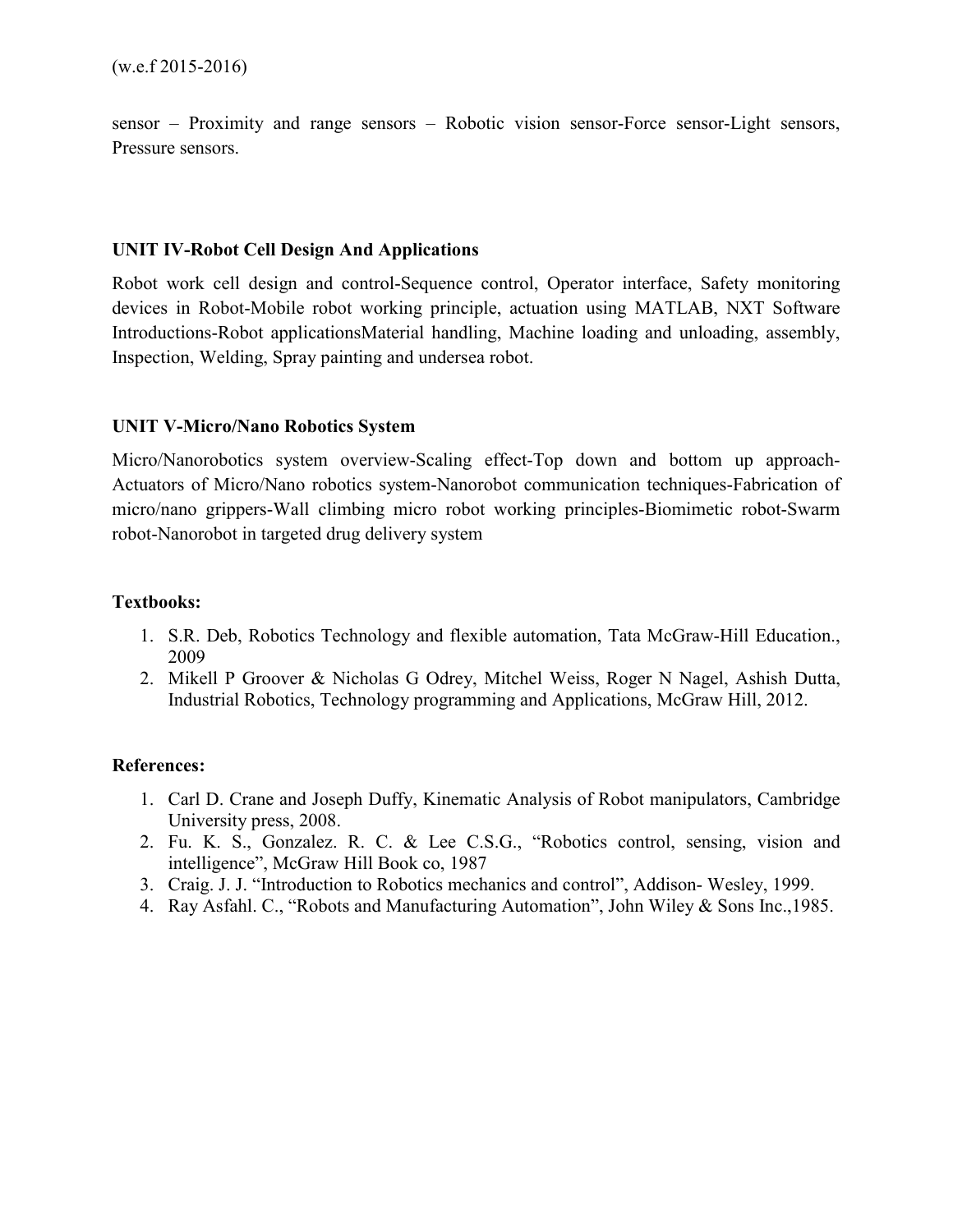sensor – Proximity and range sensors – Robotic vision sensor-Force sensor-Light sensors, Pressure sensors.

## **UNIT IV-Robot Cell Design And Applications**

Robot work cell design and control-Sequence control, Operator interface, Safety monitoring devices in Robot-Mobile robot working principle, actuation using MATLAB, NXT Software Introductions-Robot applicationsMaterial handling, Machine loading and unloading, assembly, Inspection, Welding, Spray painting and undersea robot.

## **UNIT V-Micro/Nano Robotics System**

Micro/Nanorobotics system overview-Scaling effect-Top down and bottom up approach-Actuators of Micro/Nano robotics system-Nanorobot communication techniques-Fabrication of micro/nano grippers-Wall climbing micro robot working principles-Biomimetic robot-Swarm robot-Nanorobot in targeted drug delivery system

## **Textbooks:**

- 1. S.R. Deb, Robotics Technology and flexible automation, Tata McGraw-Hill Education., 2009
- 2. Mikell P Groover & Nicholas G Odrey, Mitchel Weiss, Roger N Nagel, Ashish Dutta, Industrial Robotics, Technology programming and Applications, McGraw Hill, 2012.

# **References:**

- 1. Carl D. Crane and Joseph Duffy, Kinematic Analysis of Robot manipulators, Cambridge University press, 2008.
- 2. Fu. K. S., Gonzalez. R. C. & Lee C.S.G., "Robotics control, sensing, vision and intelligence", McGraw Hill Book co, 1987
- 3. Craig. J. J. "Introduction to Robotics mechanics and control", Addison- Wesley, 1999.
- 4. Ray Asfahl. C., "Robots and Manufacturing Automation", John Wiley & Sons Inc.,1985.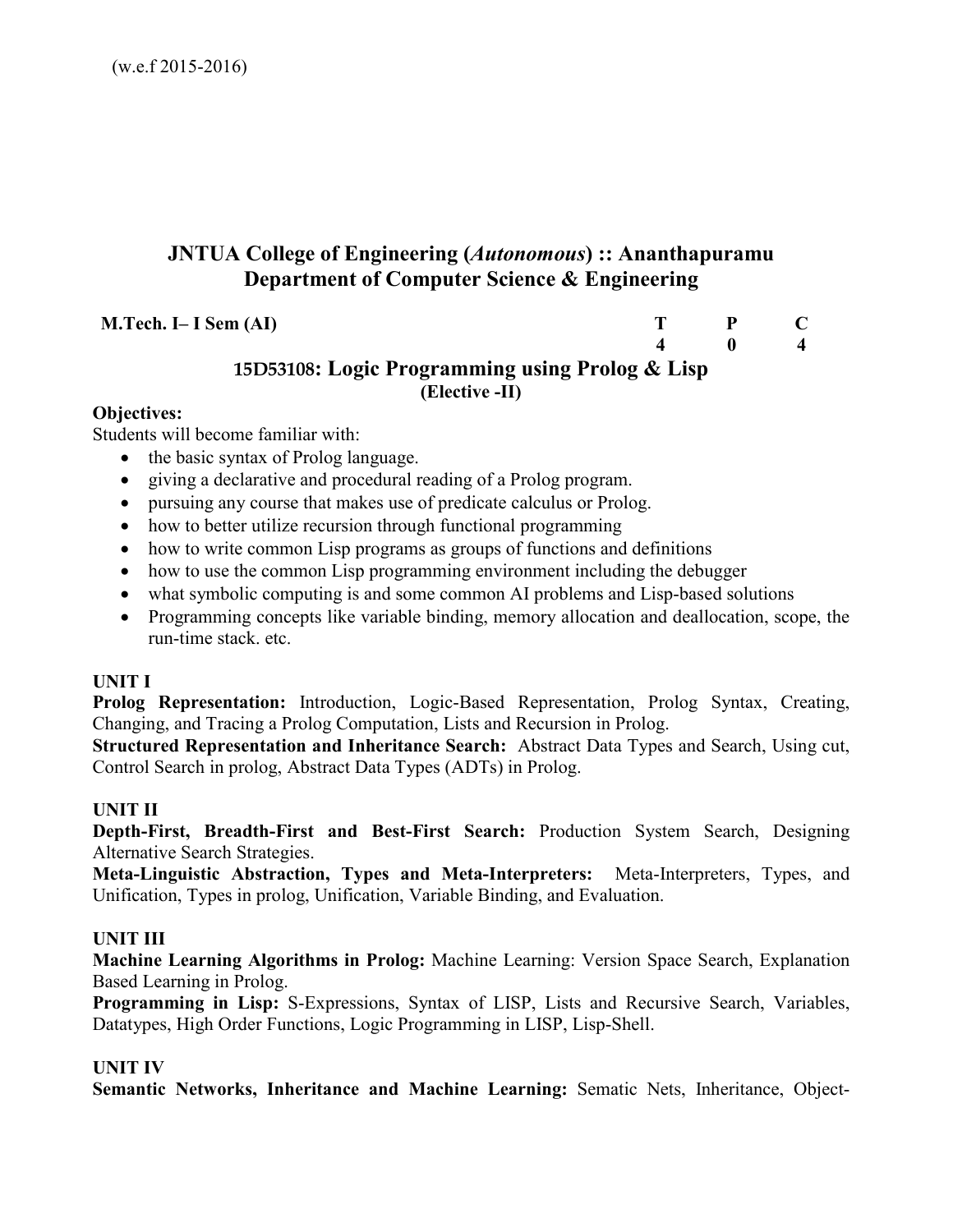# **JNTUA College of Engineering (***Autonomous***) :: Ananthapuramu Department of Computer Science & Engineering**

**M.Tech. I– I Sem (AI)** T P C 4 0 4

 **4 0 4** 

# **15D53108: Logic Programming using Prolog & Lisp (Elective -II)**

# **Objectives:**

Students will become familiar with:

- the basic syntax of Prolog language.
- giving a declarative and procedural reading of a Prolog program.
- pursuing any course that makes use of predicate calculus or Prolog.
- how to better utilize recursion through functional programming
- how to write common Lisp programs as groups of functions and definitions
- how to use the common Lisp programming environment including the debugger
- what symbolic computing is and some common AI problems and Lisp-based solutions
- Programming concepts like variable binding, memory allocation and deallocation, scope, the run-time stack. etc.

# **UNIT I**

**Prolog Representation:** Introduction, Logic-Based Representation, Prolog Syntax, Creating, Changing, and Tracing a Prolog Computation, Lists and Recursion in Prolog.

**Structured Representation and Inheritance Search:** Abstract Data Types and Search, Using cut, Control Search in prolog, Abstract Data Types (ADTs) in Prolog.

# **UNIT II**

**Depth-First, Breadth-First and Best-First Search:** Production System Search, Designing Alternative Search Strategies.

**Meta-Linguistic Abstraction, Types and Meta-Interpreters:** Meta-Interpreters, Types, and Unification, Types in prolog, Unification, Variable Binding, and Evaluation.

# **UNIT III**

**Machine Learning Algorithms in Prolog:** Machine Learning: Version Space Search, Explanation Based Learning in Prolog.

**Programming in Lisp:** S-Expressions, Syntax of LISP, Lists and Recursive Search, Variables, Datatypes, High Order Functions, Logic Programming in LISP, Lisp-Shell.

# **UNIT IV**

**Semantic Networks, Inheritance and Machine Learning:** Sematic Nets, Inheritance, Object-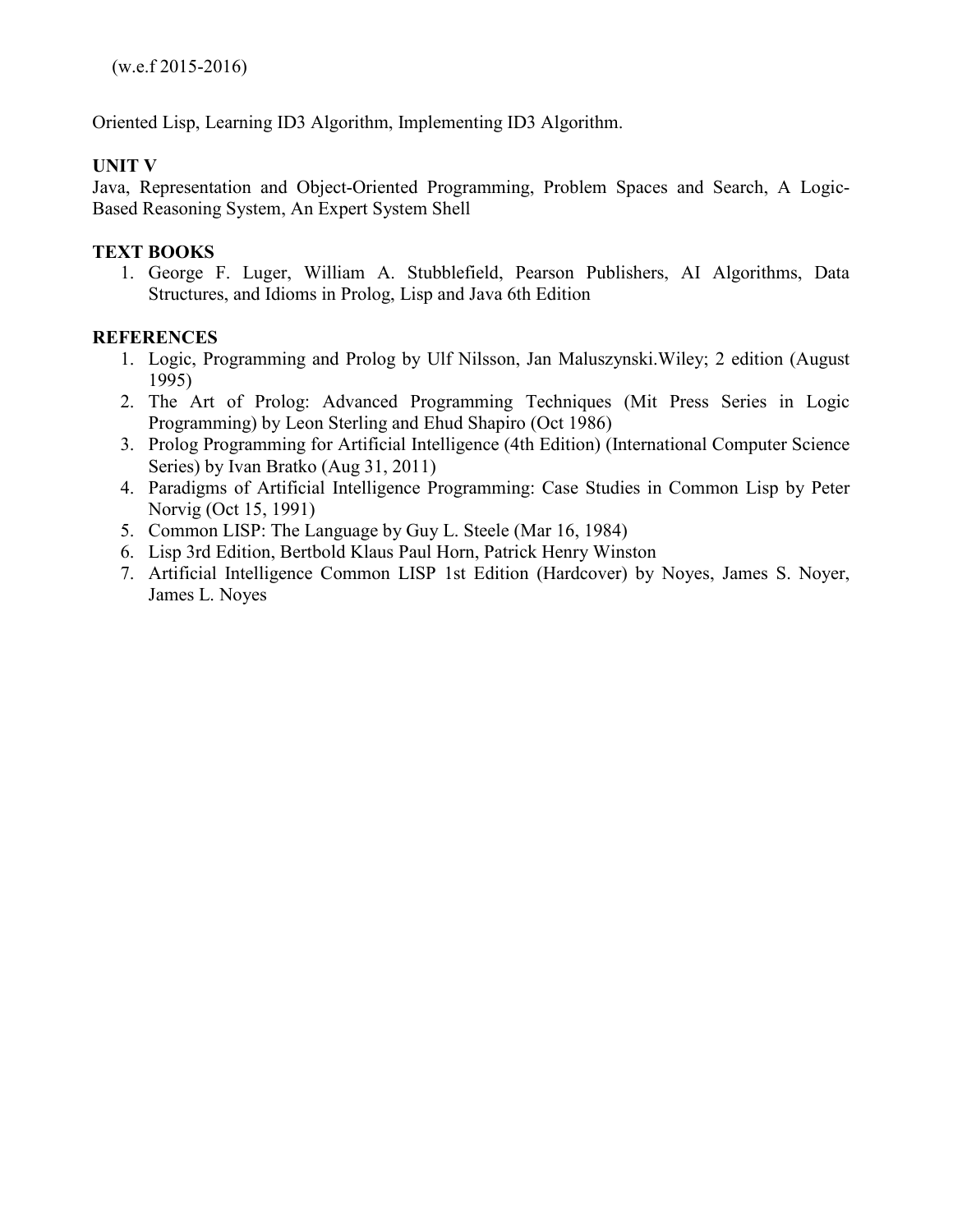Oriented Lisp, Learning ID3 Algorithm, Implementing ID3 Algorithm.

# **UNIT V**

Java, Representation and Object-Oriented Programming, Problem Spaces and Search, A Logic-Based Reasoning System, An Expert System Shell

# **TEXT BOOKS**

1. George F. Luger, William A. Stubblefield, Pearson Publishers, AI Algorithms, Data Structures, and Idioms in Prolog, Lisp and Java 6th Edition

# **REFERENCES**

- 1. Logic, Programming and Prolog by Ulf Nilsson, Jan Maluszynski.Wiley; 2 edition (August 1995)
- 2. The Art of Prolog: Advanced Programming Techniques (Mit Press Series in Logic Programming) by Leon Sterling and Ehud Shapiro (Oct 1986)
- 3. Prolog Programming for Artificial Intelligence (4th Edition) (International Computer Science Series) by Ivan Bratko (Aug 31, 2011)
- 4. Paradigms of Artificial Intelligence Programming: Case Studies in Common Lisp by Peter Norvig (Oct 15, 1991)
- 5. Common LISP: The Language by Guy L. Steele (Mar 16, 1984)
- 6. Lisp 3rd Edition, Bertbold Klaus Paul Horn, Patrick Henry Winston
- 7. Artificial Intelligence Common LISP 1st Edition (Hardcover) by Noyes, James S. Noyer, James L. Noyes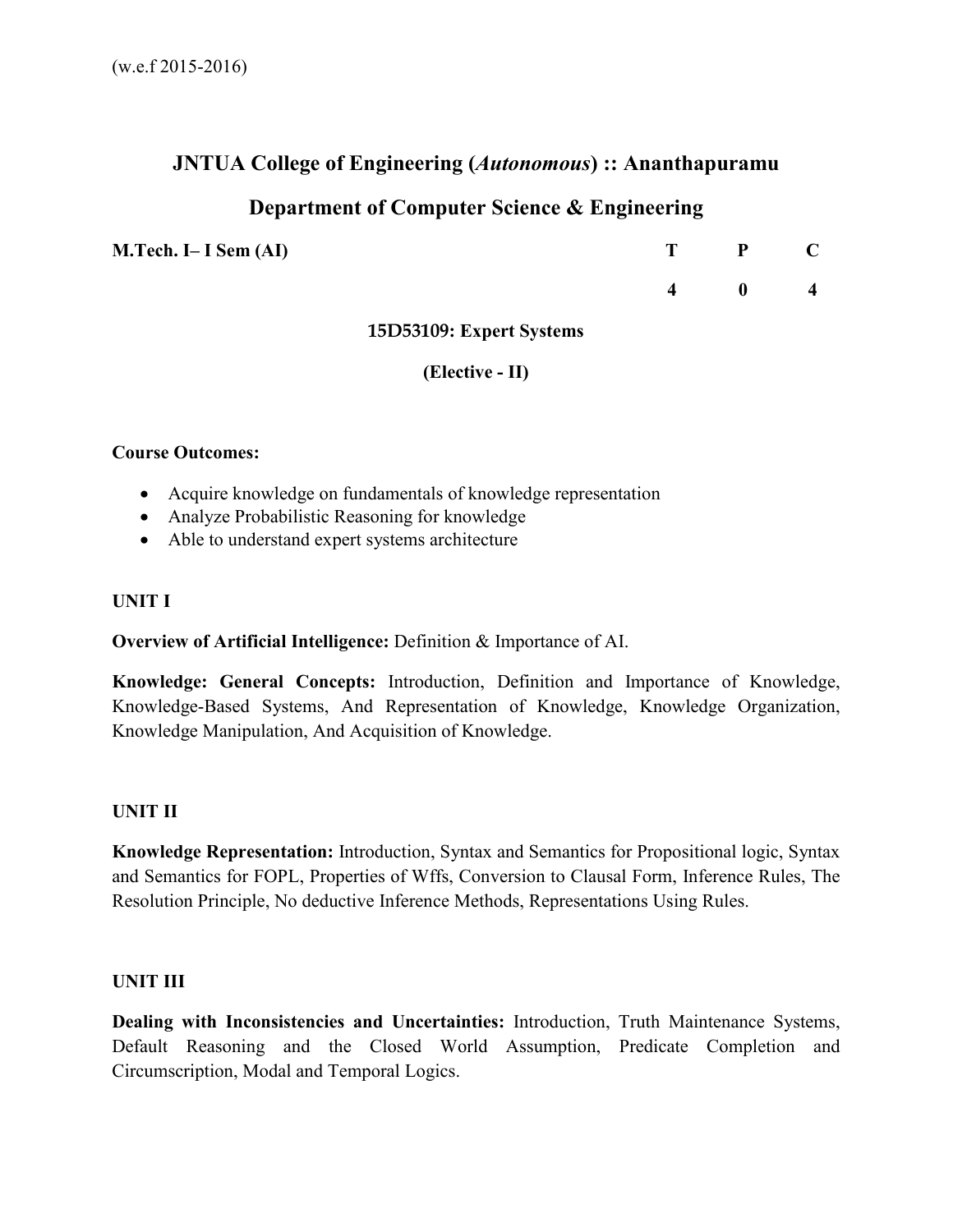# **JNTUA College of Engineering (***Autonomous***) :: Ananthapuramu**

# **Department of Computer Science & Engineering**

| M.Tech. I– I Sem (AI) | T P C         |  |
|-----------------------|---------------|--|
|                       | $4 \t 0 \t 4$ |  |

## **15D53109: Expert Systems**

## **(Elective - II)**

## **Course Outcomes:**

- Acquire knowledge on fundamentals of knowledge representation
- Analyze Probabilistic Reasoning for knowledge
- Able to understand expert systems architecture

#### **UNIT I**

**Overview of Artificial Intelligence:** Definition & Importance of AI.

**Knowledge: General Concepts:** Introduction, Definition and Importance of Knowledge, Knowledge-Based Systems, And Representation of Knowledge, Knowledge Organization, Knowledge Manipulation, And Acquisition of Knowledge.

#### **UNIT II**

**Knowledge Representation:** Introduction, Syntax and Semantics for Propositional logic, Syntax and Semantics for FOPL, Properties of Wffs, Conversion to Clausal Form, Inference Rules, The Resolution Principle, No deductive Inference Methods, Representations Using Rules.

#### **UNIT III**

**Dealing with Inconsistencies and Uncertainties:** Introduction, Truth Maintenance Systems, Default Reasoning and the Closed World Assumption, Predicate Completion and Circumscription, Modal and Temporal Logics.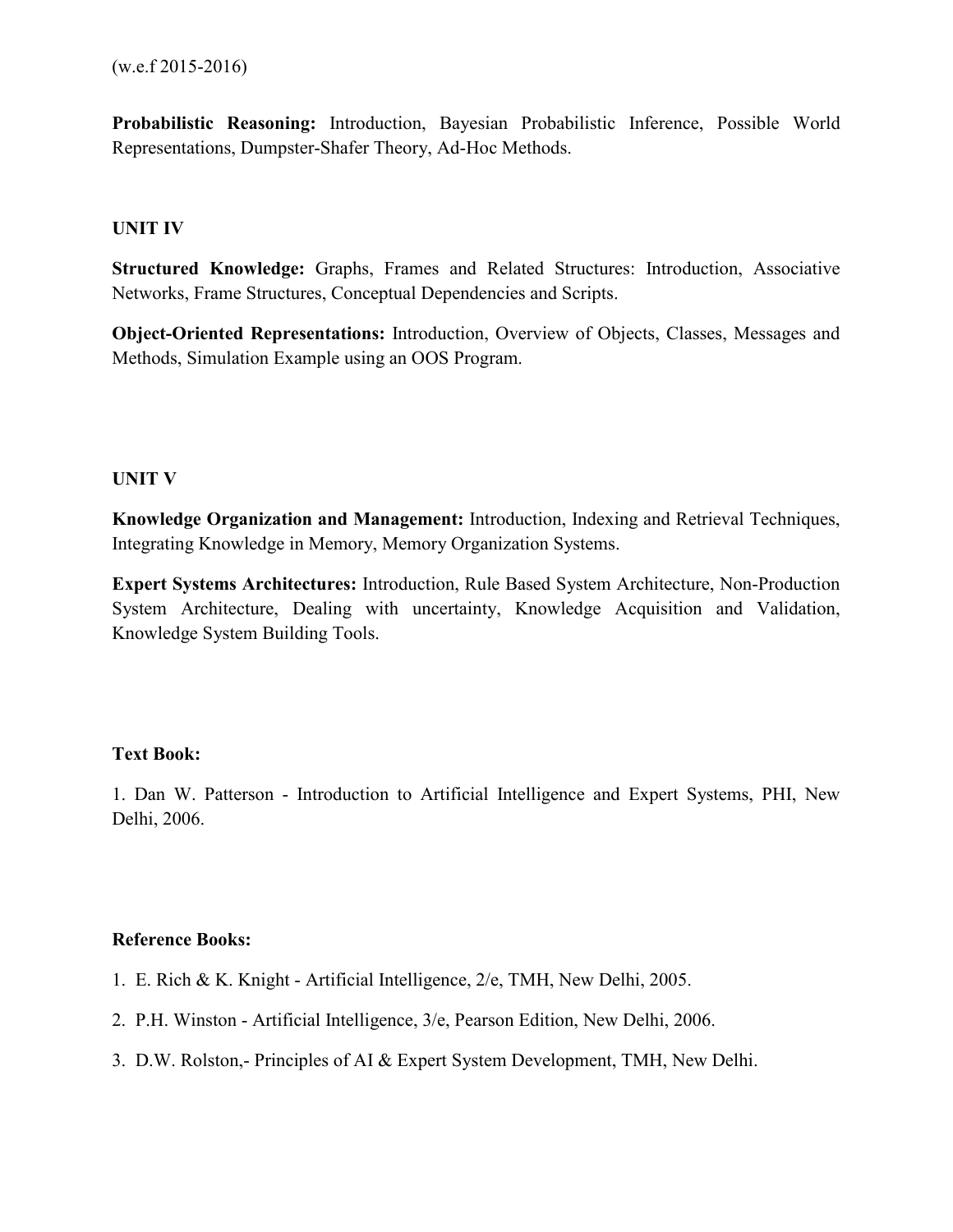**Probabilistic Reasoning:** Introduction, Bayesian Probabilistic Inference, Possible World Representations, Dumpster-Shafer Theory, Ad-Hoc Methods.

# **UNIT IV**

**Structured Knowledge:** Graphs, Frames and Related Structures: Introduction, Associative Networks, Frame Structures, Conceptual Dependencies and Scripts.

**Object-Oriented Representations:** Introduction, Overview of Objects, Classes, Messages and Methods, Simulation Example using an OOS Program.

## **UNIT V**

**Knowledge Organization and Management:** Introduction, Indexing and Retrieval Techniques, Integrating Knowledge in Memory, Memory Organization Systems.

**Expert Systems Architectures:** Introduction, Rule Based System Architecture, Non-Production System Architecture, Dealing with uncertainty, Knowledge Acquisition and Validation, Knowledge System Building Tools.

# **Text Book:**

1. Dan W. Patterson - Introduction to Artificial Intelligence and Expert Systems, PHI, New Delhi, 2006.

# **Reference Books:**

- 1. E. Rich & K. Knight Artificial Intelligence, 2/e, TMH, New Delhi, 2005.
- 2. P.H. Winston Artificial Intelligence, 3/e, Pearson Edition, New Delhi, 2006.
- 3. D.W. Rolston,- Principles of AI & Expert System Development, TMH, New Delhi.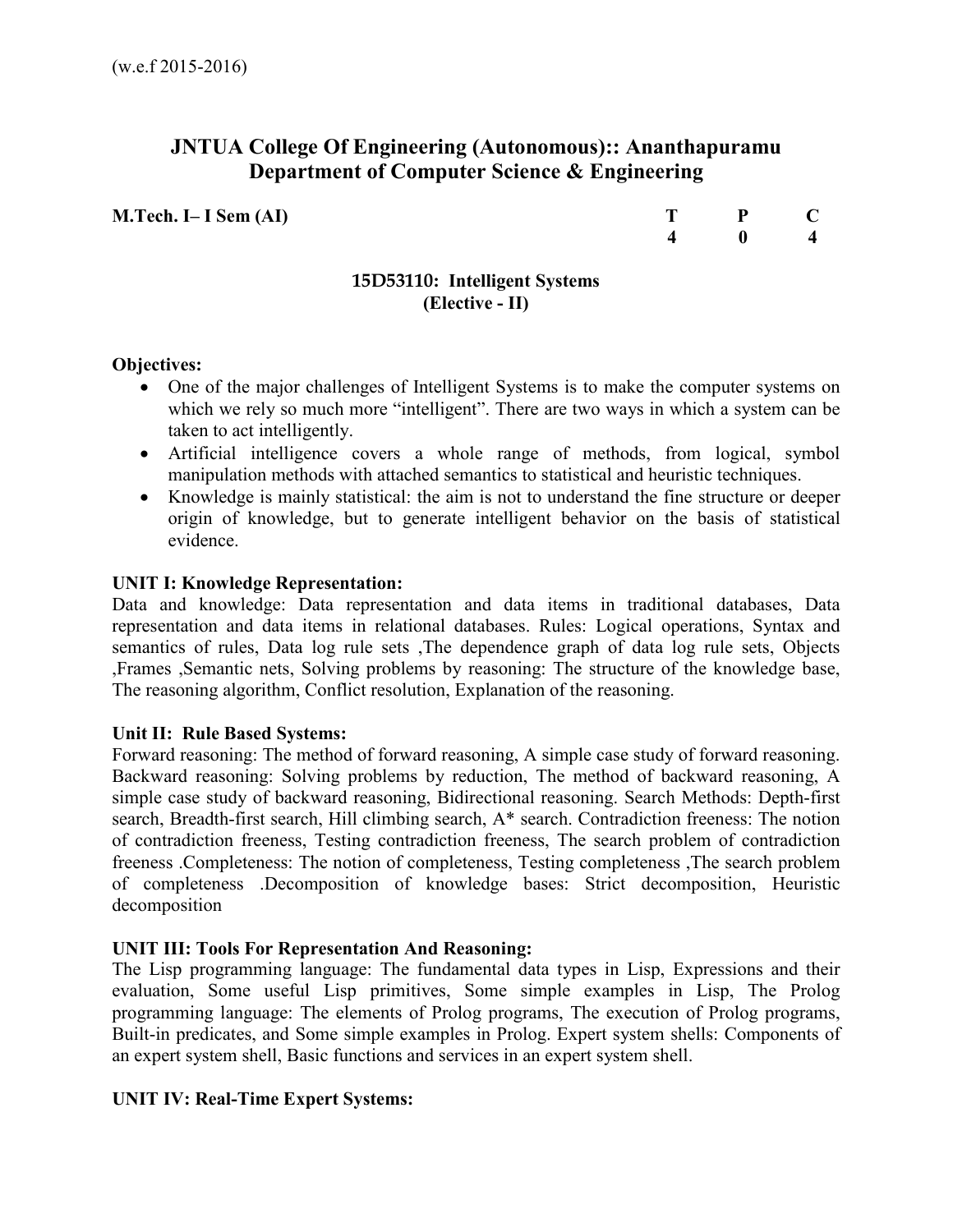# **JNTUA College Of Engineering (Autonomous):: Ananthapuramu Department of Computer Science & Engineering**

**M.Tech. I– I Sem (AI)** 

| т | P<br>- | $\mathbf C$            |
|---|--------|------------------------|
|   | 0      | $\boldsymbol{\Lambda}$ |

# **15D53110: Intelligent Systems (Elective - II)**

## **Objectives:**

- One of the major challenges of Intelligent Systems is to make the computer systems on which we rely so much more "intelligent". There are two ways in which a system can be taken to act intelligently.
- Artificial intelligence covers a whole range of methods, from logical, symbol manipulation methods with attached semantics to statistical and heuristic techniques.
- Knowledge is mainly statistical: the aim is not to understand the fine structure or deeper origin of knowledge, but to generate intelligent behavior on the basis of statistical evidence.

## **UNIT I: Knowledge Representation:**

Data and knowledge: Data representation and data items in traditional databases, Data representation and data items in relational databases. Rules: Logical operations, Syntax and semantics of rules, Data log rule sets ,The dependence graph of data log rule sets, Objects ,Frames ,Semantic nets, Solving problems by reasoning: The structure of the knowledge base, The reasoning algorithm, Conflict resolution, Explanation of the reasoning.

#### **Unit II: Rule Based Systems:**

Forward reasoning: The method of forward reasoning, A simple case study of forward reasoning. Backward reasoning: Solving problems by reduction, The method of backward reasoning, A simple case study of backward reasoning, Bidirectional reasoning. Search Methods: Depth-first search, Breadth-first search, Hill climbing search, A\* search. Contradiction freeness: The notion of contradiction freeness, Testing contradiction freeness, The search problem of contradiction freeness .Completeness: The notion of completeness, Testing completeness ,The search problem of completeness .Decomposition of knowledge bases: Strict decomposition, Heuristic decomposition

#### **UNIT III: Tools For Representation And Reasoning:**

The Lisp programming language: The fundamental data types in Lisp, Expressions and their evaluation, Some useful Lisp primitives, Some simple examples in Lisp, The Prolog programming language: The elements of Prolog programs, The execution of Prolog programs, Built-in predicates, and Some simple examples in Prolog. Expert system shells: Components of an expert system shell, Basic functions and services in an expert system shell.

# **UNIT IV: Real-Time Expert Systems:**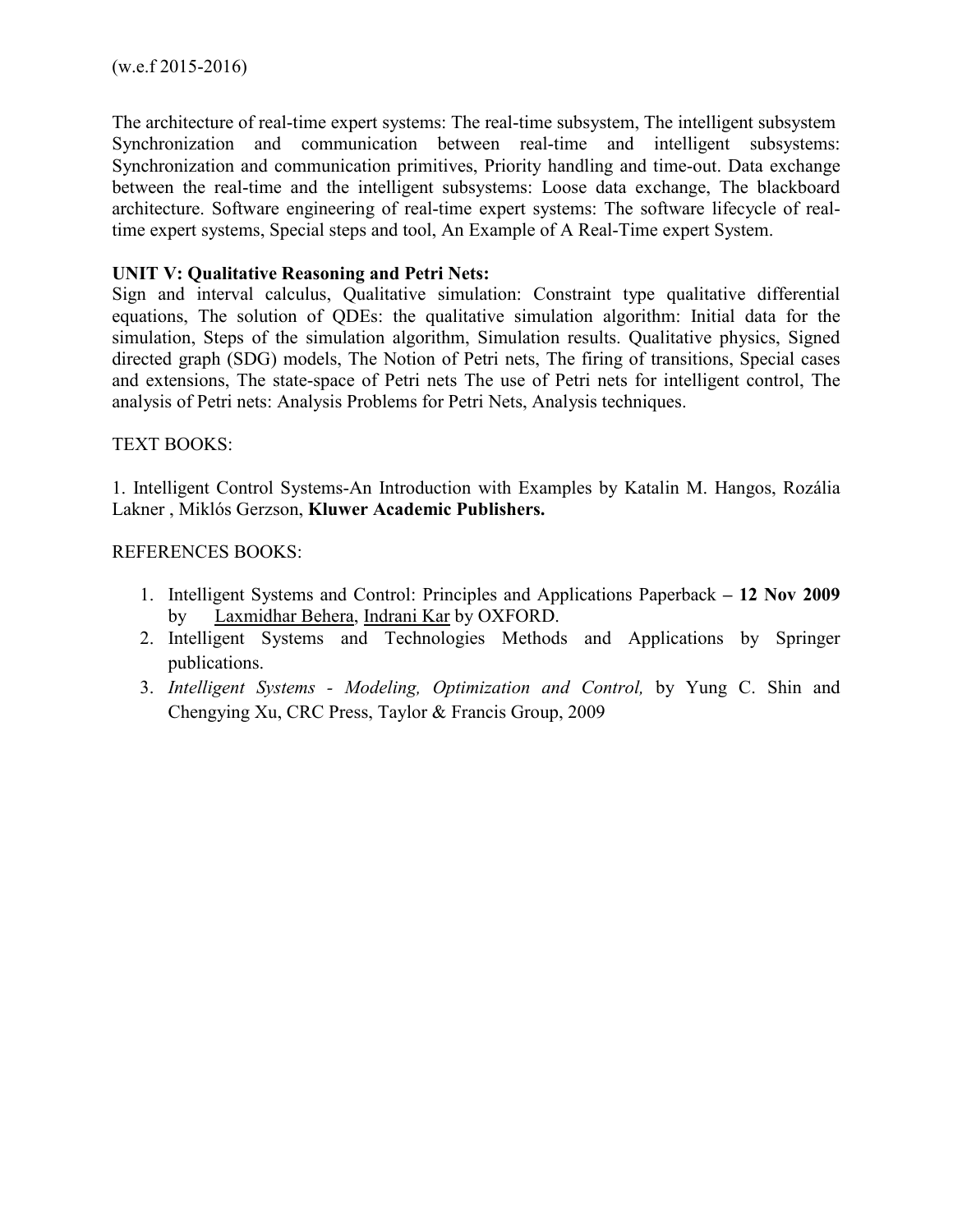The architecture of real-time expert systems: The real-time subsystem, The intelligent subsystem Synchronization and communication between real-time and intelligent subsystems: Synchronization and communication primitives, Priority handling and time-out. Data exchange between the real-time and the intelligent subsystems: Loose data exchange, The blackboard architecture. Software engineering of real-time expert systems: The software lifecycle of realtime expert systems, Special steps and tool, An Example of A Real-Time expert System.

# **UNIT V: Qualitative Reasoning and Petri Nets:**

Sign and interval calculus, Qualitative simulation: Constraint type qualitative differential equations, The solution of QDEs: the qualitative simulation algorithm: Initial data for the simulation, Steps of the simulation algorithm, Simulation results. Qualitative physics, Signed directed graph (SDG) models, The Notion of Petri nets, The firing of transitions, Special cases and extensions, The state-space of Petri nets The use of Petri nets for intelligent control, The analysis of Petri nets: Analysis Problems for Petri Nets, Analysis techniques.

## TEXT BOOKS:

1. Intelligent Control Systems-An Introduction with Examples by Katalin M. Hangos, Rozália Lakner , Miklós Gerzson, **Kluwer Academic Publishers.** 

## REFERENCES BOOKS:

- 1. Intelligent Systems and Control: Principles and Applications Paperback **12 Nov 2009**  by Laxmidhar Behera, Indrani Kar by OXFORD.
- 2. Intelligent Systems and Technologies Methods and Applications by Springer publications.
- 3. *Intelligent Systems Modeling, Optimization and Control,* by Yung C. Shin and Chengying Xu, CRC Press, Taylor & Francis Group, 2009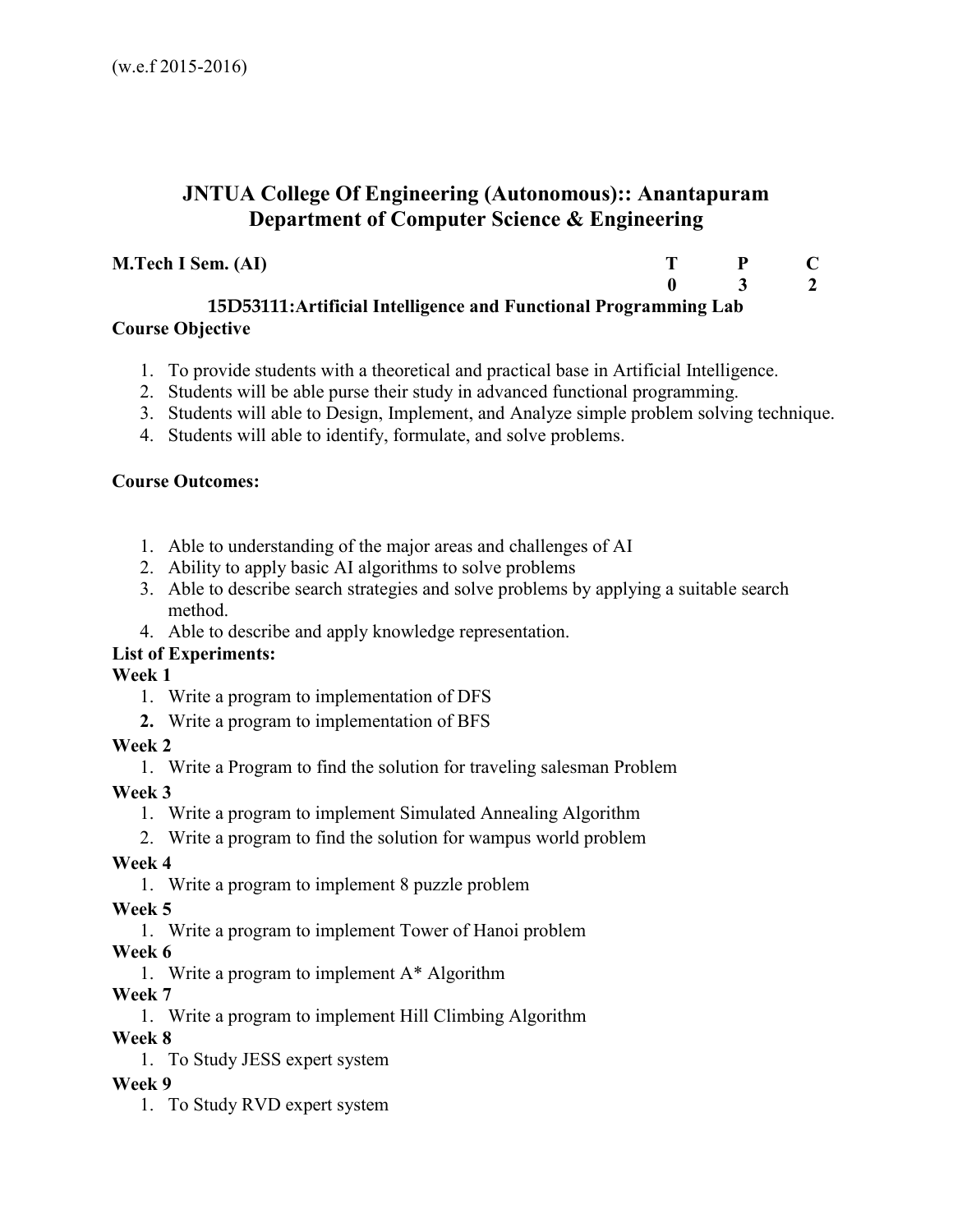# **JNTUA College Of Engineering (Autonomous):: Anantapuram Department of Computer Science & Engineering**

# **M.Tech I Sem. (AI)**

| т | P           | $\mathbf C$    |
|---|-------------|----------------|
| 0 | $\mathbf 3$ | $\overline{2}$ |

**15D53111:Artificial Intelligence and Functional Programming Lab Course Objective**

- 1. To provide students with a theoretical and practical base in Artificial Intelligence.
- 2. Students will be able purse their study in advanced functional programming.
- 3. Students will able to Design, Implement, and Analyze simple problem solving technique.
- 4. Students will able to identify, formulate, and solve problems.

# **Course Outcomes:**

- 1. Able to understanding of the major areas and challenges of AI
- 2. Ability to apply basic AI algorithms to solve problems
- 3. Able to describe search strategies and solve problems by applying a suitable search method.
- 4. Able to describe and apply knowledge representation.

# **List of Experiments:**

**Week 1** 

- 1. Write a program to implementation of DFS
- **2.** Write a program to implementation of BFS

# **Week 2**

1. Write a Program to find the solution for traveling salesman Problem

# **Week 3**

- 1. Write a program to implement Simulated Annealing Algorithm
- 2. Write a program to find the solution for wampus world problem

# **Week 4**

1. Write a program to implement 8 puzzle problem

**Week 5** 

1. Write a program to implement Tower of Hanoi problem

# **Week 6**

1. Write a program to implement A\* Algorithm

# **Week 7**

1. Write a program to implement Hill Climbing Algorithm

# **Week 8**

1. To Study JESS expert system

# **Week 9**

1. To Study RVD expert system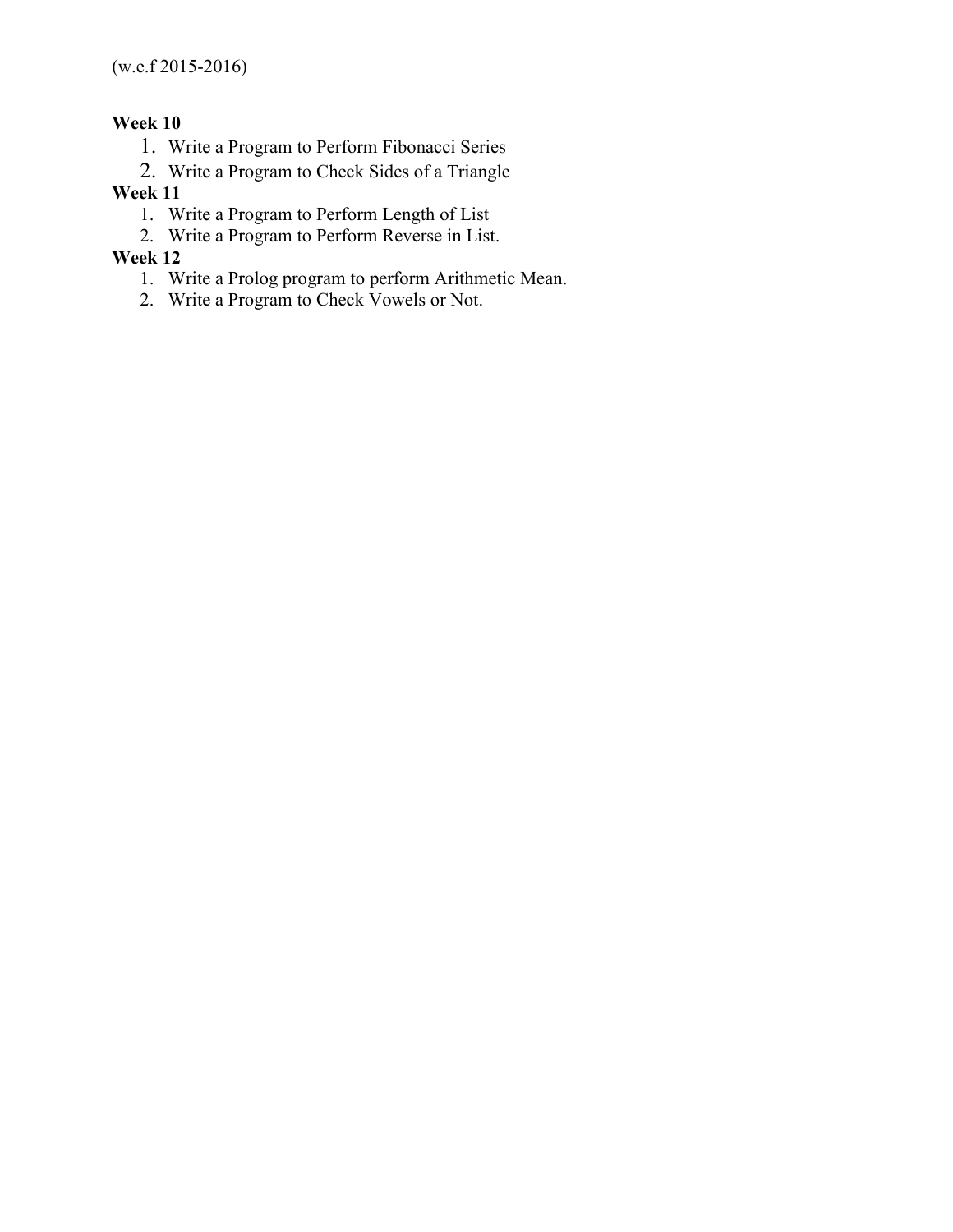# **Week 10**

- 1. Write a Program to Perform Fibonacci Series
- 2. Write a Program to Check Sides of a Triangle

## **Week 11**

- 1. Write a Program to Perform Length of List
- 2. Write a Program to Perform Reverse in List.

## **Week 12**

- 1. Write a Prolog program to perform Arithmetic Mean.
- 2. Write a Program to Check Vowels or Not.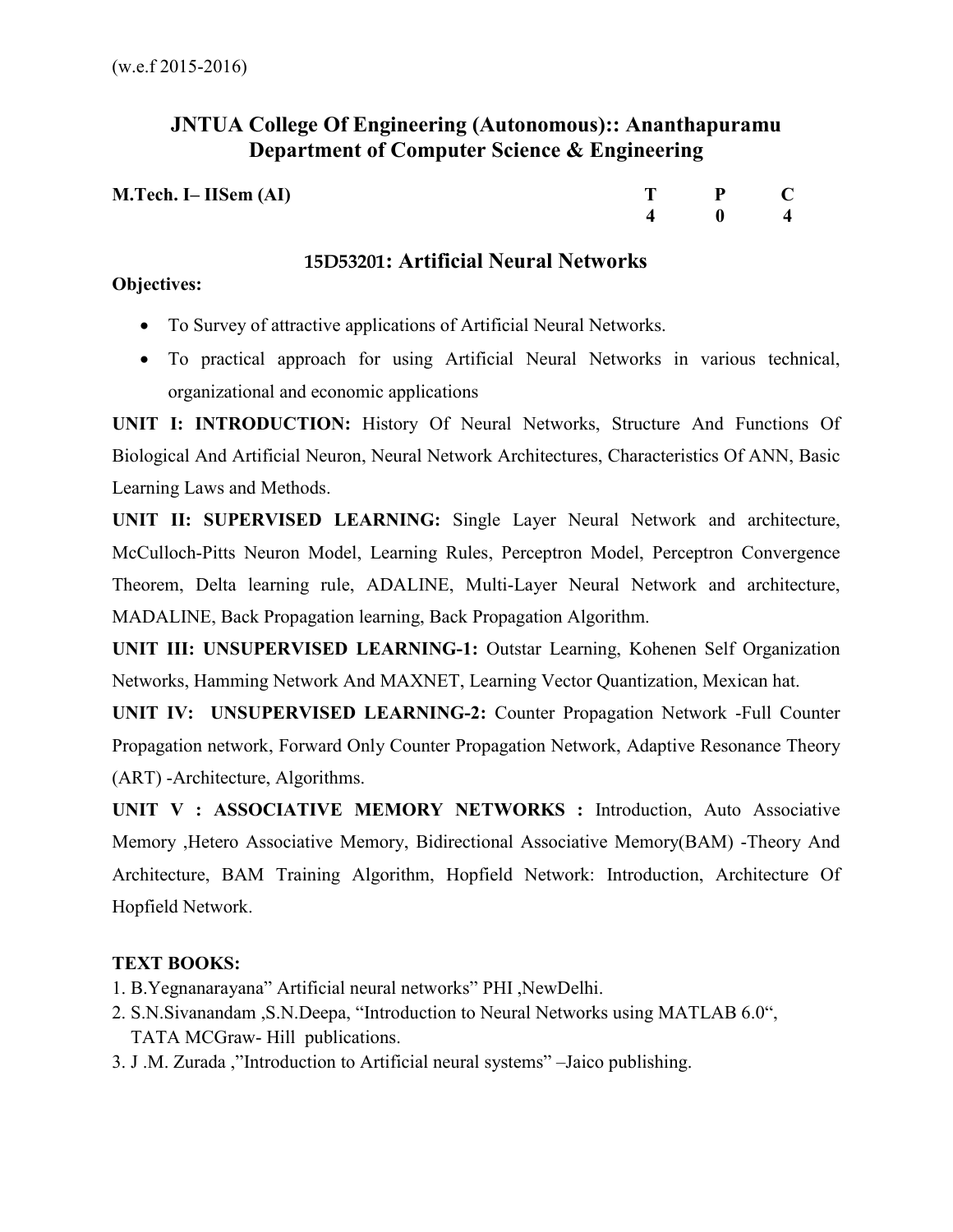# **JNTUA College Of Engineering (Autonomous):: Ananthapuramu Department of Computer Science & Engineering**

| M.Tech. I– IISem (AI) | $T \t P \t C$     |  |
|-----------------------|-------------------|--|
|                       | $\frac{4}{4}$ 0 4 |  |

# **15D53201: Artificial Neural Networks**

# **Objectives:**

- To Survey of attractive applications of Artificial Neural Networks.
- To practical approach for using Artificial Neural Networks in various technical, organizational and economic applications

**UNIT I: INTRODUCTION:** History Of Neural Networks, Structure And Functions Of Biological And Artificial Neuron, Neural Network Architectures, Characteristics Of ANN, Basic Learning Laws and Methods.

**UNIT II: SUPERVISED LEARNING:** Single Layer Neural Network and architecture, McCulloch-Pitts Neuron Model, Learning Rules, Perceptron Model, Perceptron Convergence Theorem, Delta learning rule, ADALINE, Multi-Layer Neural Network and architecture, MADALINE, Back Propagation learning, Back Propagation Algorithm.

**UNIT III: UNSUPERVISED LEARNING-1:** Outstar Learning, Kohenen Self Organization Networks, Hamming Network And MAXNET, Learning Vector Quantization, Mexican hat.

**UNIT IV: UNSUPERVISED LEARNING-2:** Counter Propagation Network -Full Counter Propagation network, Forward Only Counter Propagation Network, Adaptive Resonance Theory (ART) -Architecture, Algorithms.

**UNIT V : ASSOCIATIVE MEMORY NETWORKS :** Introduction, Auto Associative Memory ,Hetero Associative Memory, Bidirectional Associative Memory(BAM) -Theory And Architecture, BAM Training Algorithm, Hopfield Network: Introduction, Architecture Of Hopfield Network.

# **TEXT BOOKS:**

- 1. B.Yegnanarayana" Artificial neural networks" PHI ,NewDelhi.
- 2. S.N.Sivanandam ,S.N.Deepa, "Introduction to Neural Networks using MATLAB 6.0", TATA MCGraw- Hill publications.
- 3. J .M. Zurada ,"Introduction to Artificial neural systems" –Jaico publishing.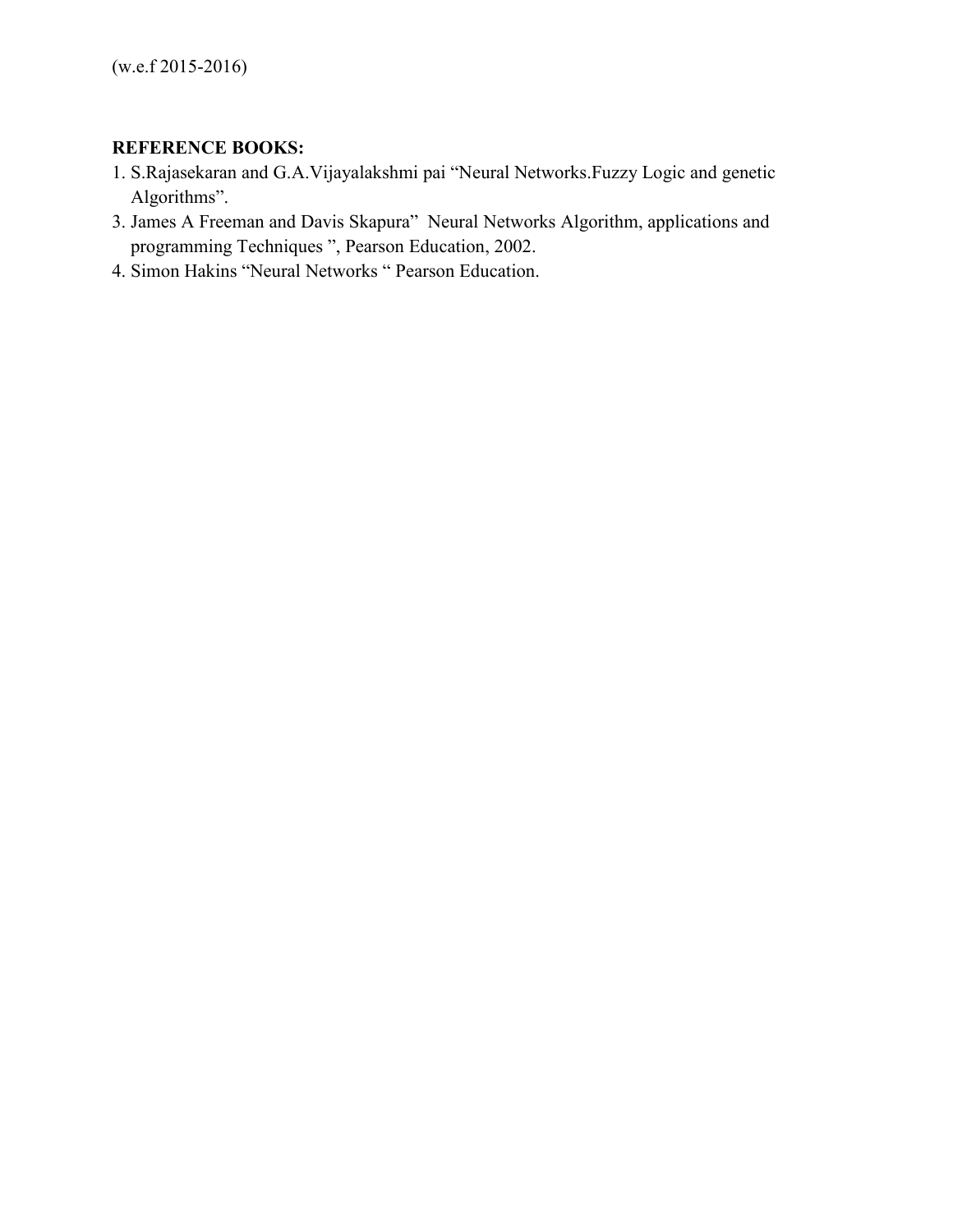# **REFERENCE BOOKS:**

- 1. S.Rajasekaran and G.A.Vijayalakshmi pai "Neural Networks.Fuzzy Logic and genetic Algorithms".
- 3. James A Freeman and Davis Skapura" Neural Networks Algorithm, applications and programming Techniques ", Pearson Education, 2002.
- 4. Simon Hakins "Neural Networks " Pearson Education.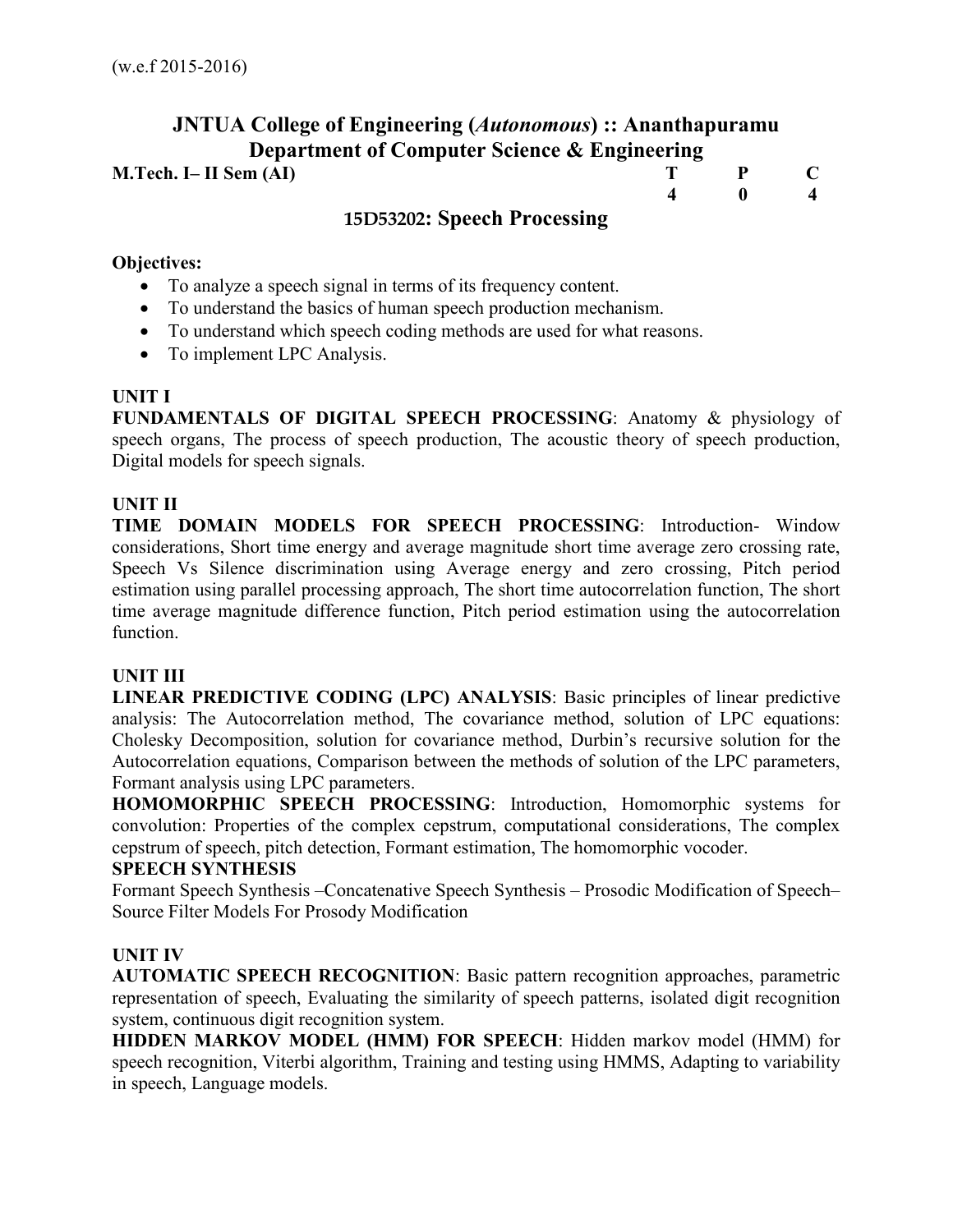# **JNTUA College of Engineering (***Autonomous***) :: Ananthapuramu Department of Computer Science & Engineering M.Tech. I– II Sem (AI)** T P C  **4 0 4 15D53202: Speech Processing**

### **Objectives:**

- To analyze a speech signal in terms of its frequency content.
- To understand the basics of human speech production mechanism.
- To understand which speech coding methods are used for what reasons.
- To implement LPC Analysis.

#### **UNIT I**

**FUNDAMENTALS OF DIGITAL SPEECH PROCESSING**: Anatomy & physiology of speech organs, The process of speech production, The acoustic theory of speech production, Digital models for speech signals.

## **UNIT II**

**TIME DOMAIN MODELS FOR SPEECH PROCESSING**: Introduction- Window considerations, Short time energy and average magnitude short time average zero crossing rate, Speech Vs Silence discrimination using Average energy and zero crossing, Pitch period estimation using parallel processing approach, The short time autocorrelation function, The short time average magnitude difference function, Pitch period estimation using the autocorrelation function.

#### **UNIT III**

**LINEAR PREDICTIVE CODING (LPC) ANALYSIS**: Basic principles of linear predictive analysis: The Autocorrelation method, The covariance method, solution of LPC equations: Cholesky Decomposition, solution for covariance method, Durbin's recursive solution for the Autocorrelation equations, Comparison between the methods of solution of the LPC parameters, Formant analysis using LPC parameters.

**HOMOMORPHIC SPEECH PROCESSING**: Introduction, Homomorphic systems for convolution: Properties of the complex cepstrum, computational considerations, The complex cepstrum of speech, pitch detection, Formant estimation, The homomorphic vocoder.

#### **SPEECH SYNTHESIS**

Formant Speech Synthesis –Concatenative Speech Synthesis – Prosodic Modification of Speech– Source Filter Models For Prosody Modification

#### **UNIT IV**

**AUTOMATIC SPEECH RECOGNITION**: Basic pattern recognition approaches, parametric representation of speech, Evaluating the similarity of speech patterns, isolated digit recognition system, continuous digit recognition system.

**HIDDEN MARKOV MODEL (HMM) FOR SPEECH**: Hidden markov model (HMM) for speech recognition, Viterbi algorithm, Training and testing using HMMS, Adapting to variability in speech, Language models.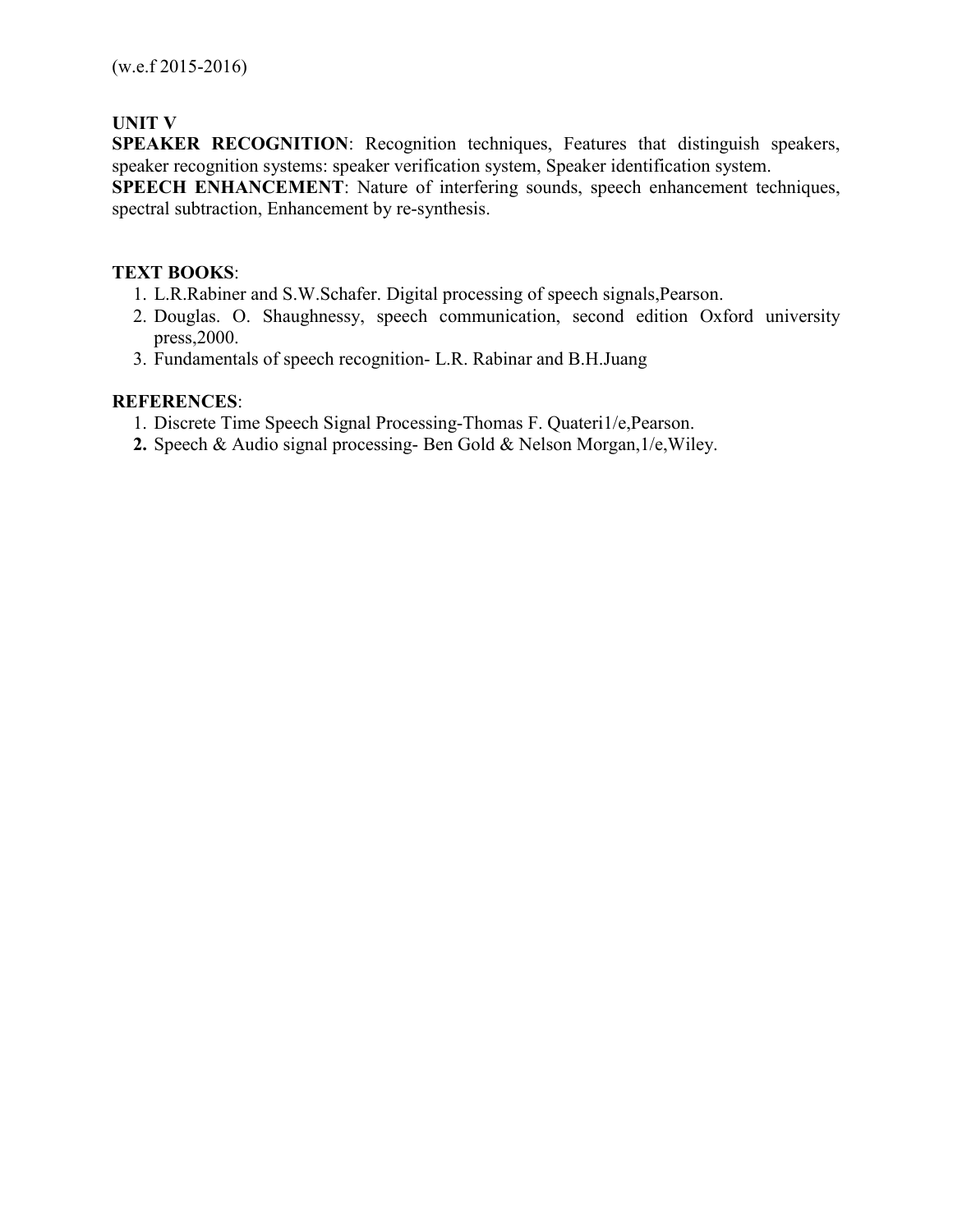# **UNIT V**

**SPEAKER RECOGNITION**: Recognition techniques, Features that distinguish speakers, speaker recognition systems: speaker verification system, Speaker identification system.

**SPEECH ENHANCEMENT**: Nature of interfering sounds, speech enhancement techniques, spectral subtraction, Enhancement by re-synthesis.

## **TEXT BOOKS**:

- 1. L.R.Rabiner and S.W.Schafer. Digital processing of speech signals,Pearson.
- 2. Douglas. O. Shaughnessy, speech communication, second edition Oxford university press,2000.
- 3. Fundamentals of speech recognition- L.R. Rabinar and B.H.Juang

## **REFERENCES**:

- 1. Discrete Time Speech Signal Processing-Thomas F. Quateri1/e,Pearson.
- **2.** Speech & Audio signal processing- Ben Gold & Nelson Morgan,1/e,Wiley.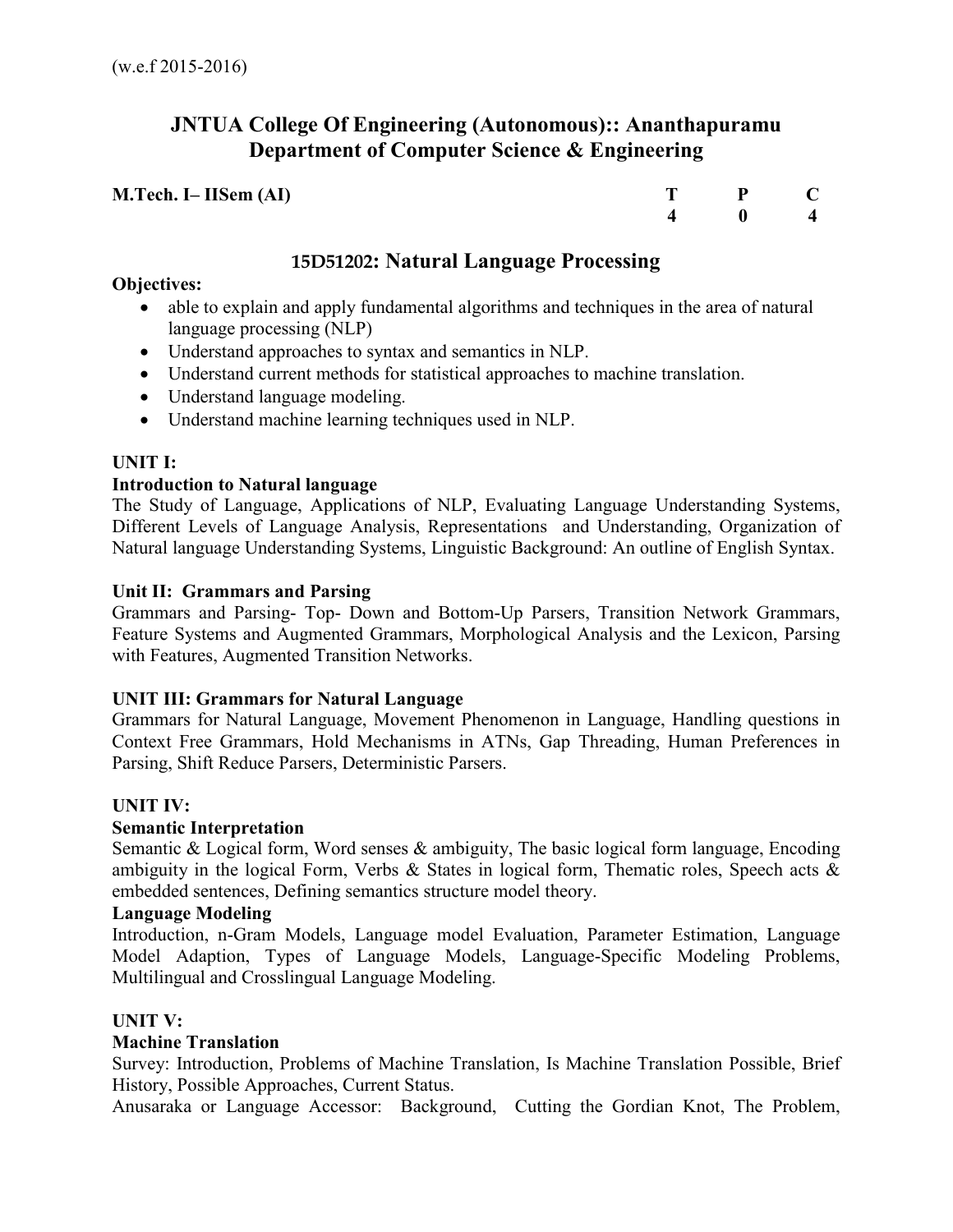# **JNTUA College Of Engineering (Autonomous):: Ananthapuramu Department of Computer Science & Engineering**

| M.Tech. I– IISem (AI) | T P C                                      |  |
|-----------------------|--------------------------------------------|--|
|                       | $\begin{array}{ccc} 4 & 0 & 4 \end{array}$ |  |

# **15D51202: Natural Language Processing**

## **Objectives:**

- able to explain and apply fundamental algorithms and techniques in the area of natural language processing (NLP)
- Understand approaches to syntax and semantics in NLP.
- Understand current methods for statistical approaches to machine translation.
- Understand language modeling.
- Understand machine learning techniques used in NLP.

# **UNIT I:**

# **Introduction to Natural language**

The Study of Language, Applications of NLP, Evaluating Language Understanding Systems, Different Levels of Language Analysis, Representations and Understanding, Organization of Natural language Understanding Systems, Linguistic Background: An outline of English Syntax.

## **Unit II: Grammars and Parsing**

Grammars and Parsing- Top- Down and Bottom-Up Parsers, Transition Network Grammars, Feature Systems and Augmented Grammars, Morphological Analysis and the Lexicon, Parsing with Features, Augmented Transition Networks.

# **UNIT III: Grammars for Natural Language**

Grammars for Natural Language, Movement Phenomenon in Language, Handling questions in Context Free Grammars, Hold Mechanisms in ATNs, Gap Threading, Human Preferences in Parsing, Shift Reduce Parsers, Deterministic Parsers.

# **UNIT IV:**

# **Semantic Interpretation**

Semantic & Logical form, Word senses & ambiguity, The basic logical form language, Encoding ambiguity in the logical Form, Verbs & States in logical form, Thematic roles, Speech acts & embedded sentences, Defining semantics structure model theory.

# **Language Modeling**

Introduction, n-Gram Models, Language model Evaluation, Parameter Estimation, Language Model Adaption, Types of Language Models, Language-Specific Modeling Problems, Multilingual and Crosslingual Language Modeling.

# **UNIT V:**

# **Machine Translation**

Survey: Introduction, Problems of Machine Translation, Is Machine Translation Possible, Brief History, Possible Approaches, Current Status.

Anusaraka or Language Accessor: Background, Cutting the Gordian Knot, The Problem,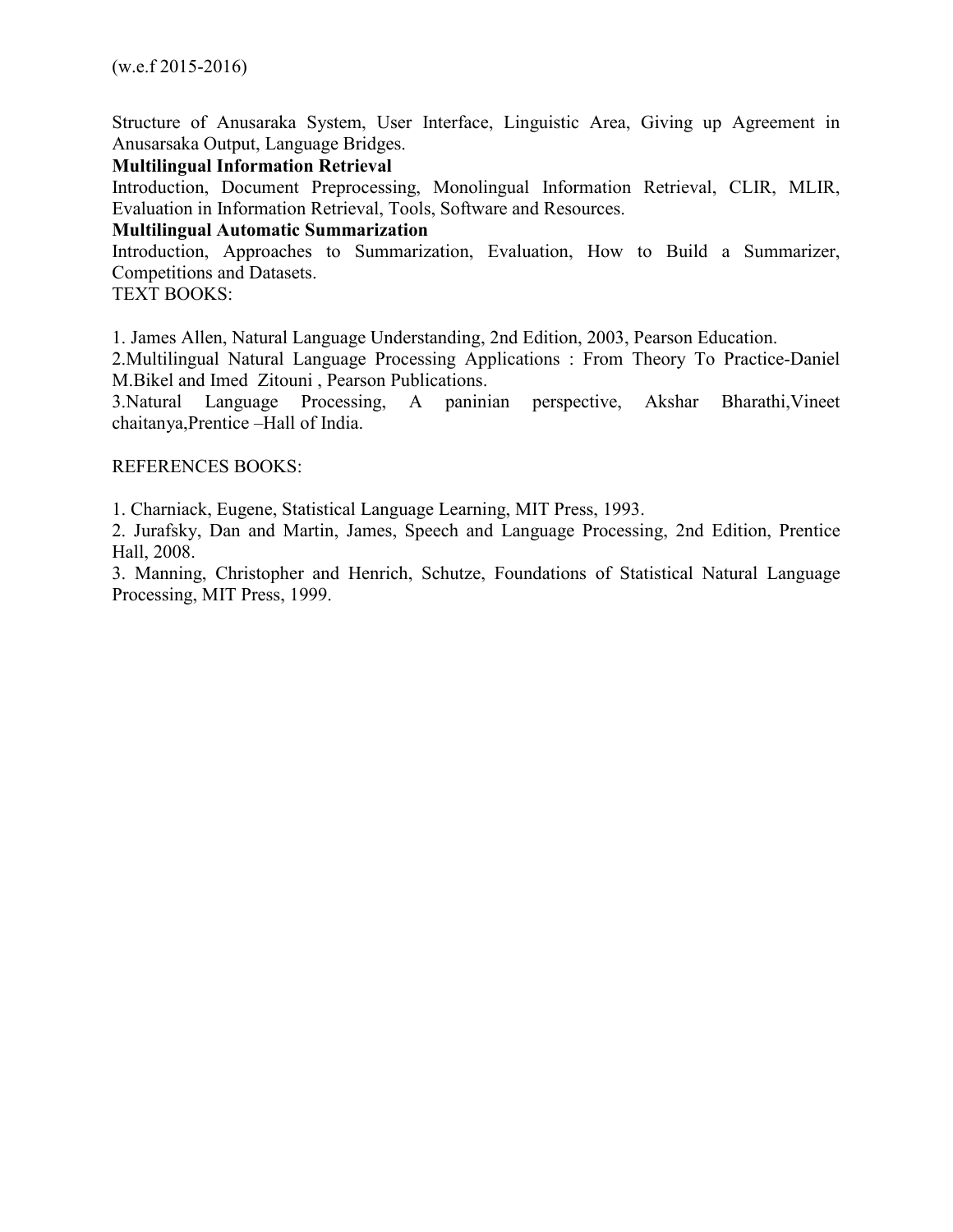Structure of Anusaraka System, User Interface, Linguistic Area, Giving up Agreement in Anusarsaka Output, Language Bridges.

### **Multilingual Information Retrieval**

Introduction, Document Preprocessing, Monolingual Information Retrieval, CLIR, MLIR, Evaluation in Information Retrieval, Tools, Software and Resources.

## **Multilingual Automatic Summarization**

Introduction, Approaches to Summarization, Evaluation, How to Build a Summarizer, Competitions and Datasets.

TEXT BOOKS:

1. James Allen, Natural Language Understanding, 2nd Edition, 2003, Pearson Education.

2.Multilingual Natural Language Processing Applications : From Theory To Practice-Daniel M.Bikel and Imed Zitouni , Pearson Publications.

3.Natural Language Processing, A paninian perspective, Akshar Bharathi,Vineet chaitanya,Prentice –Hall of India.

#### REFERENCES BOOKS:

1. Charniack, Eugene, Statistical Language Learning, MIT Press, 1993.

2. Jurafsky, Dan and Martin, James, Speech and Language Processing, 2nd Edition, Prentice Hall, 2008.

3. Manning, Christopher and Henrich, Schutze, Foundations of Statistical Natural Language Processing, MIT Press, 1999.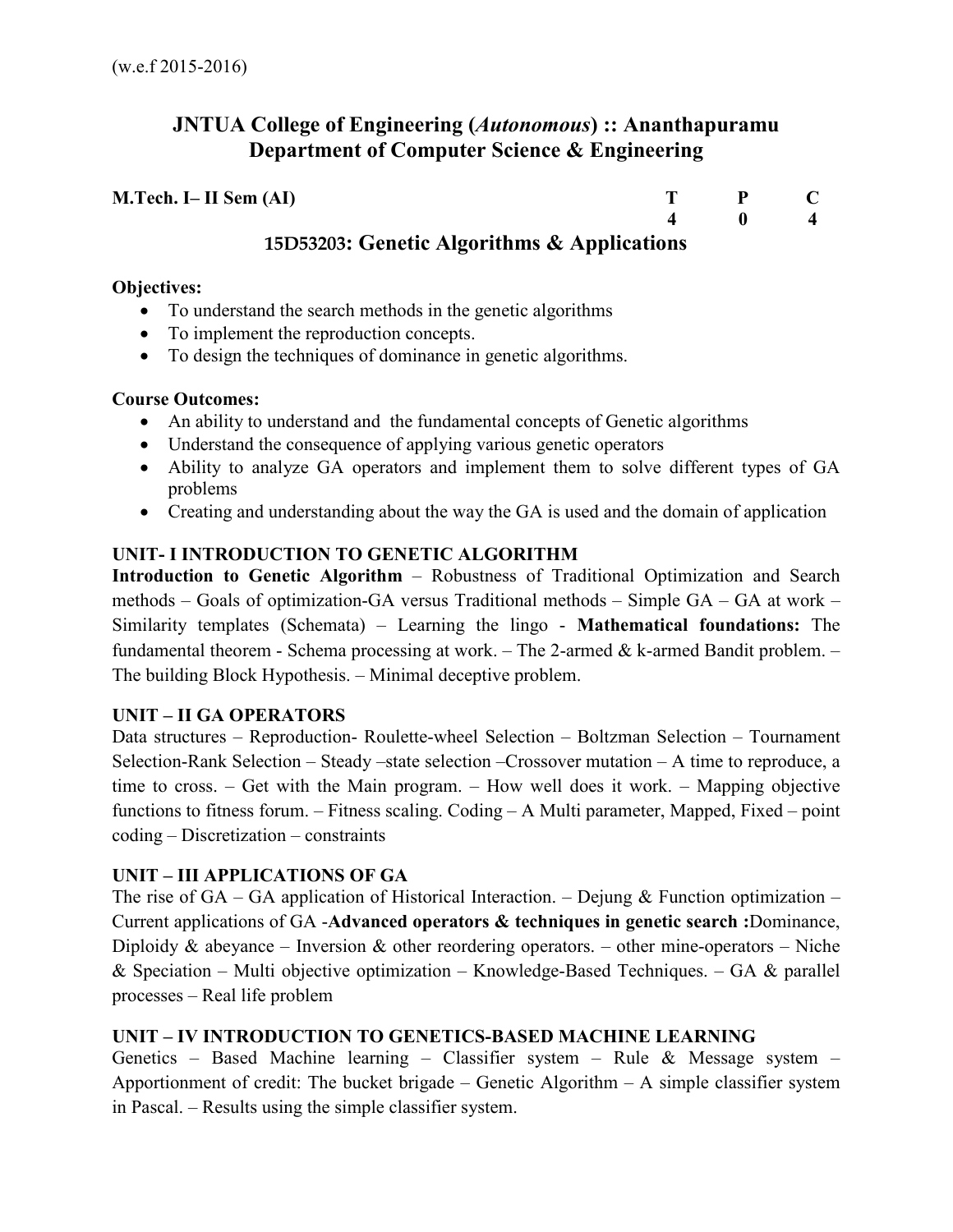# **JNTUA College of Engineering (***Autonomous***) :: Ananthapuramu Department of Computer Science & Engineering**

| $M.Tech. I-II Sem (AI)$                     |  |                |
|---------------------------------------------|--|----------------|
|                                             |  | $\overline{4}$ |
| 15D53203: Genetic Algorithms & Applications |  |                |

## **Objectives:**

- To understand the search methods in the genetic algorithms
- To implement the reproduction concepts.
- To design the techniques of dominance in genetic algorithms.

# **Course Outcomes:**

- An ability to understand and the fundamental concepts of Genetic algorithms
- Understand the consequence of applying various genetic operators
- Ability to analyze GA operators and implement them to solve different types of GA problems
- Creating and understanding about the way the GA is used and the domain of application

# **UNIT- I INTRODUCTION TO GENETIC ALGORITHM**

**Introduction to Genetic Algorithm** – Robustness of Traditional Optimization and Search methods – Goals of optimization-GA versus Traditional methods – Simple GA – GA at work – Similarity templates (Schemata) – Learning the lingo - **Mathematical foundations:** The fundamental theorem - Schema processing at work. – The 2-armed  $\&$  k-armed Bandit problem. – The building Block Hypothesis. – Minimal deceptive problem.

# **UNIT – II GA OPERATORS**

Data structures – Reproduction- Roulette-wheel Selection – Boltzman Selection – Tournament Selection-Rank Selection – Steady –state selection –Crossover mutation – A time to reproduce, a time to cross. – Get with the Main program. – How well does it work. – Mapping objective functions to fitness forum. – Fitness scaling. Coding – A Multi parameter, Mapped, Fixed – point coding – Discretization – constraints

# **UNIT – III APPLICATIONS OF GA**

The rise of  $GA - GA$  application of Historical Interaction. – Dejung & Function optimization – Current applications of GA -**Advanced operators & techniques in genetic search :**Dominance, Diploidy & abeyance – Inversion & other reordering operators. – other mine-operators – Niche & Speciation – Multi objective optimization – Knowledge-Based Techniques. – GA & parallel processes – Real life problem

# **UNIT – IV INTRODUCTION TO GENETICS-BASED MACHINE LEARNING**

Genetics – Based Machine learning – Classifier system – Rule & Message system – Apportionment of credit: The bucket brigade – Genetic Algorithm – A simple classifier system in Pascal. – Results using the simple classifier system.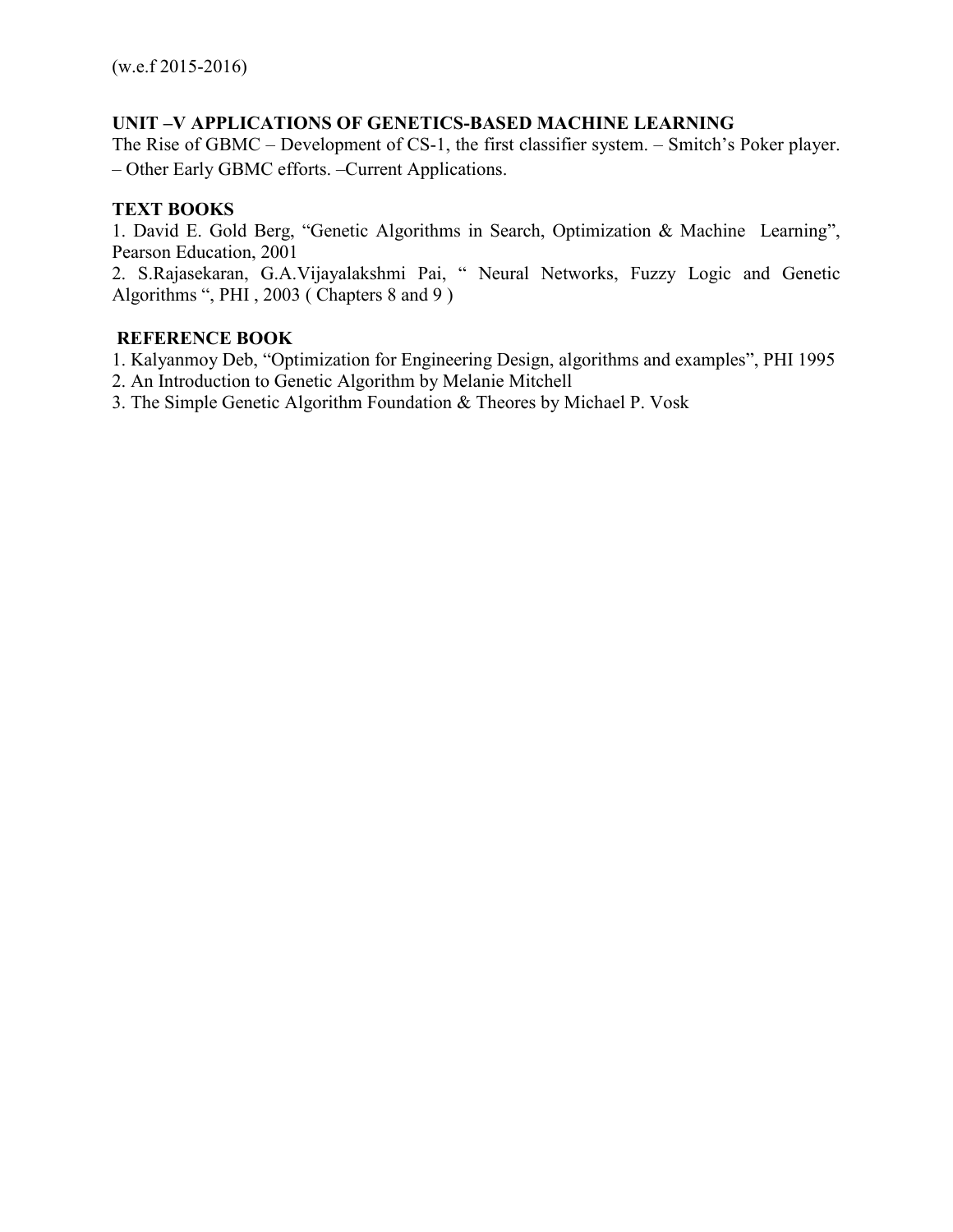## **UNIT –V APPLICATIONS OF GENETICS-BASED MACHINE LEARNING**

The Rise of GBMC – Development of CS-1, the first classifier system. – Smitch's Poker player. – Other Early GBMC efforts. –Current Applications.

## **TEXT BOOKS**

1. David E. Gold Berg, "Genetic Algorithms in Search, Optimization & Machine Learning", Pearson Education, 2001

2. S.Rajasekaran, G.A.Vijayalakshmi Pai, " Neural Networks, Fuzzy Logic and Genetic Algorithms ", PHI , 2003 ( Chapters 8 and 9 )

### **REFERENCE BOOK**

1. Kalyanmoy Deb, "Optimization for Engineering Design, algorithms and examples", PHI 1995

- 2. An Introduction to Genetic Algorithm by Melanie Mitchell
- 3. The Simple Genetic Algorithm Foundation & Theores by Michael P. Vosk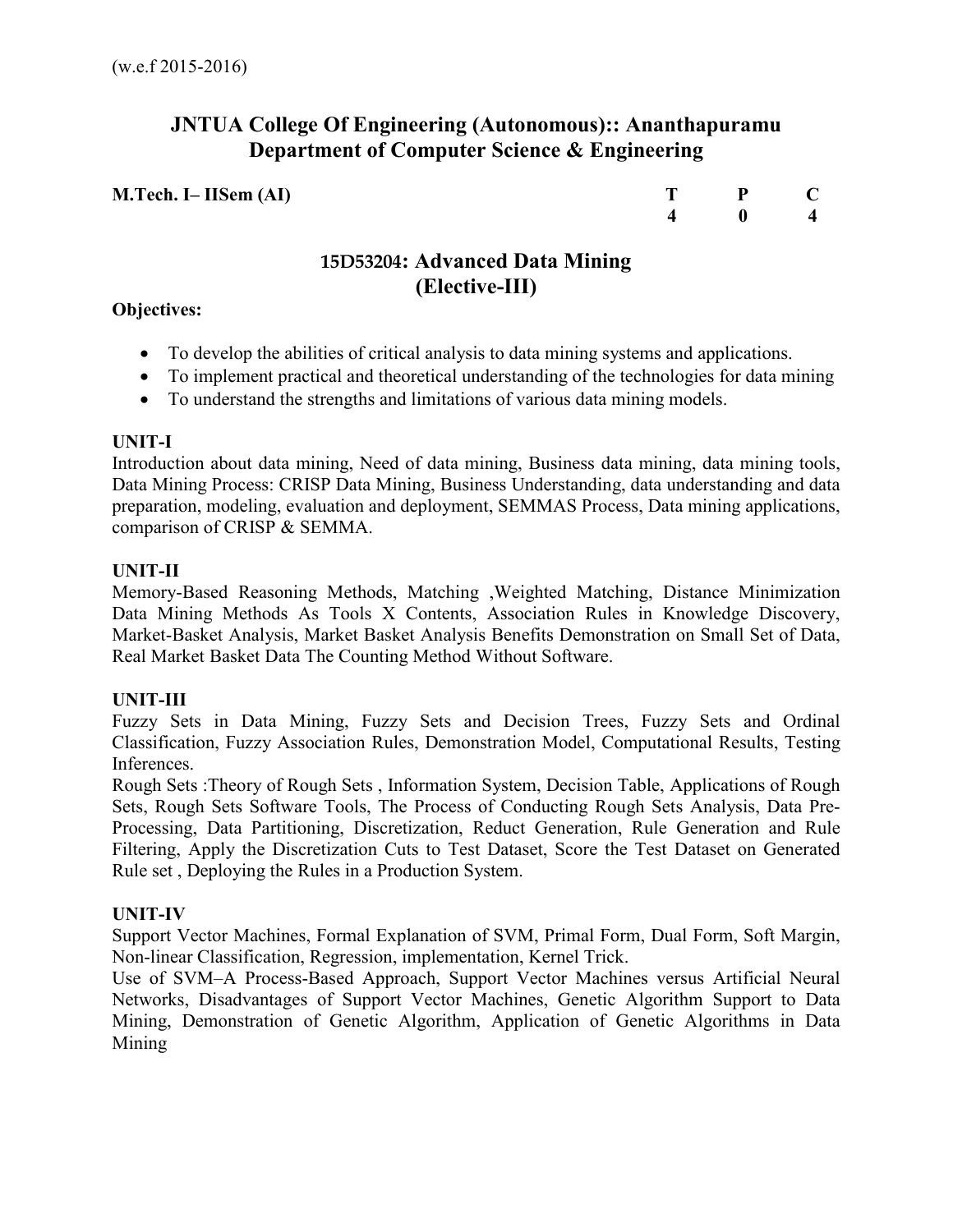# **JNTUA College Of Engineering (Autonomous):: Ananthapuramu Department of Computer Science & Engineering**

**M.Tech. I– IISem (AI)** T P C 4 0 4  **4 0 4** 

# **15D53204: Advanced Data Mining (Elective-III)**

## **Objectives:**

- To develop the abilities of critical analysis to data mining systems and applications.
- To implement practical and theoretical understanding of the technologies for data mining
- To understand the strengths and limitations of various data mining models.

## **UNIT-I**

Introduction about data mining, Need of data mining, Business data mining, data mining tools, Data Mining Process: CRISP Data Mining, Business Understanding, data understanding and data preparation, modeling, evaluation and deployment, SEMMAS Process, Data mining applications, comparison of CRISP & SEMMA.

## **UNIT-II**

Memory-Based Reasoning Methods, Matching ,Weighted Matching, Distance Minimization Data Mining Methods As Tools X Contents, Association Rules in Knowledge Discovery, Market-Basket Analysis, Market Basket Analysis Benefits Demonstration on Small Set of Data, Real Market Basket Data The Counting Method Without Software.

# **UNIT-III**

Fuzzy Sets in Data Mining, Fuzzy Sets and Decision Trees, Fuzzy Sets and Ordinal Classification, Fuzzy Association Rules, Demonstration Model, Computational Results, Testing Inferences.

Rough Sets :Theory of Rough Sets , Information System, Decision Table, Applications of Rough Sets, Rough Sets Software Tools, The Process of Conducting Rough Sets Analysis, Data Pre-Processing, Data Partitioning, Discretization, Reduct Generation, Rule Generation and Rule Filtering, Apply the Discretization Cuts to Test Dataset, Score the Test Dataset on Generated Rule set , Deploying the Rules in a Production System.

# **UNIT-IV**

Support Vector Machines, Formal Explanation of SVM, Primal Form, Dual Form, Soft Margin, Non-linear Classification, Regression, implementation, Kernel Trick.

Use of SVM–A Process-Based Approach, Support Vector Machines versus Artificial Neural Networks, Disadvantages of Support Vector Machines, Genetic Algorithm Support to Data Mining, Demonstration of Genetic Algorithm, Application of Genetic Algorithms in Data Mining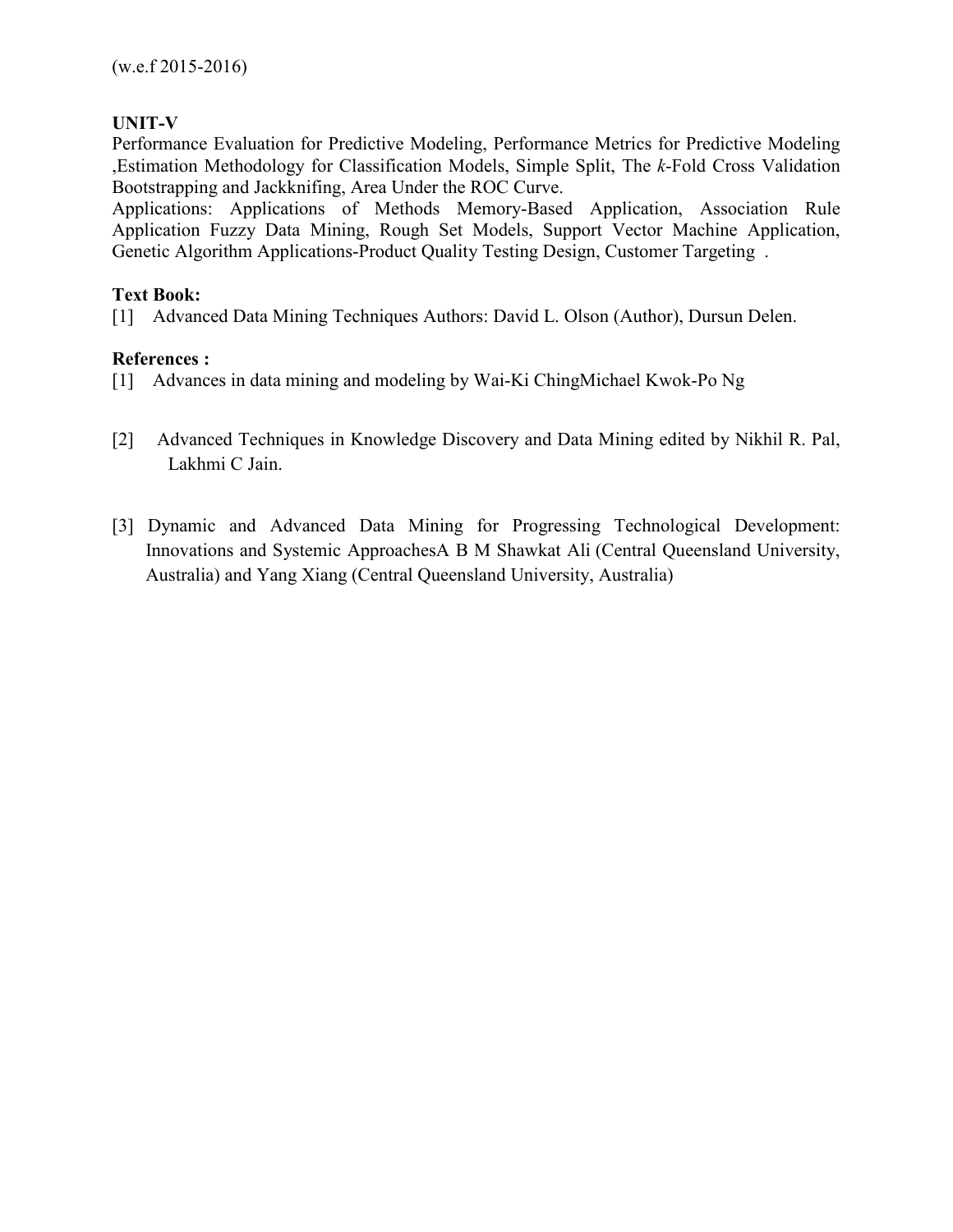# **UNIT-V**

Performance Evaluation for Predictive Modeling, Performance Metrics for Predictive Modeling ,Estimation Methodology for Classification Models, Simple Split, The *k*-Fold Cross Validation Bootstrapping and Jackknifing, Area Under the ROC Curve.

Applications: Applications of Methods Memory-Based Application, Association Rule Application Fuzzy Data Mining, Rough Set Models, Support Vector Machine Application, Genetic Algorithm Applications-Product Quality Testing Design, Customer Targeting .

## **Text Book:**

[1] Advanced Data Mining Techniques Authors: David L. Olson (Author), Dursun Delen.

## **References :**

- [1] Advances in data mining and modeling by Wai-Ki ChingMichael Kwok-Po Ng
- [2] Advanced Techniques in Knowledge Discovery and Data Mining edited by Nikhil R. Pal, Lakhmi C Jain.
- [3] Dynamic and Advanced Data Mining for Progressing Technological Development: Innovations and Systemic ApproachesA B M Shawkat Ali (Central Queensland University, Australia) and Yang Xiang (Central Queensland University, Australia)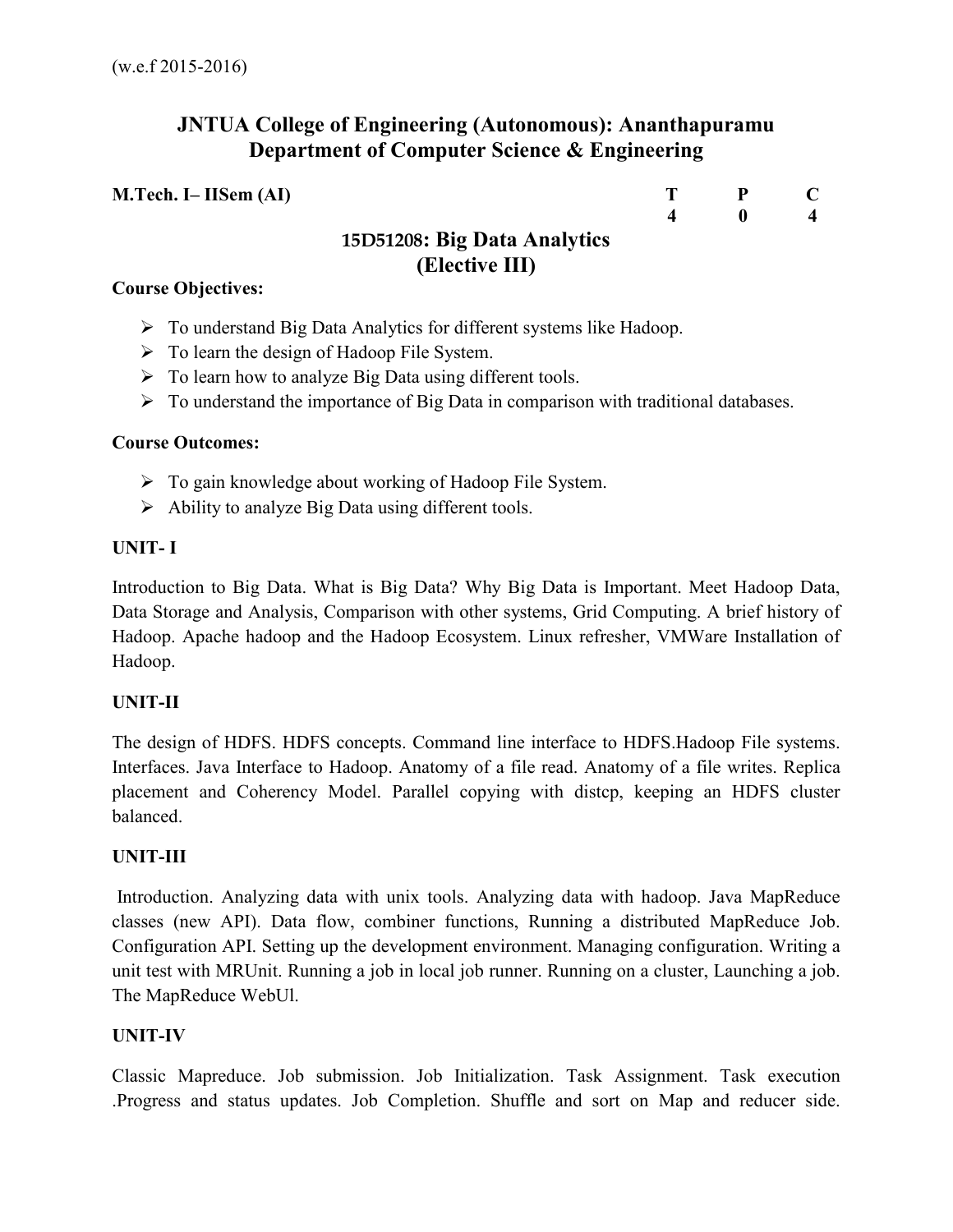# **JNTUA College of Engineering (Autonomous): Ananthapuramu Department of Computer Science & Engineering**

| M.Tech. I– IISem (AI)        |                  | - P |  |
|------------------------------|------------------|-----|--|
|                              | $\boldsymbol{4}$ |     |  |
| 15D51208: Big Data Analytics |                  |     |  |
| (Elective III)               |                  |     |  |
| <b>Course Objectives:</b>    |                  |     |  |

- To understand Big Data Analytics for different systems like Hadoop.
- $\triangleright$  To learn the design of Hadoop File System.
- $\triangleright$  To learn how to analyze Big Data using different tools.
- $\triangleright$  To understand the importance of Big Data in comparison with traditional databases.

## **Course Outcomes:**

- $\triangleright$  To gain knowledge about working of Hadoop File System.
- $\triangleright$  Ability to analyze Big Data using different tools.

## **UNIT- I**

Introduction to Big Data. What is Big Data? Why Big Data is Important. Meet Hadoop Data, Data Storage and Analysis, Comparison with other systems, Grid Computing. A brief history of Hadoop. Apache hadoop and the Hadoop Ecosystem. Linux refresher, VMWare Installation of Hadoop.

# **UNIT-II**

The design of HDFS. HDFS concepts. Command line interface to HDFS.Hadoop File systems. Interfaces. Java Interface to Hadoop. Anatomy of a file read. Anatomy of a file writes. Replica placement and Coherency Model. Parallel copying with distcp, keeping an HDFS cluster balanced.

# **UNIT-III**

 Introduction. Analyzing data with unix tools. Analyzing data with hadoop. Java MapReduce classes (new API). Data flow, combiner functions, Running a distributed MapReduce Job. Configuration API. Setting up the development environment. Managing configuration. Writing a unit test with MRUnit. Running a job in local job runner. Running on a cluster, Launching a job. The MapReduce WebUl.

# **UNIT-IV**

Classic Mapreduce. Job submission. Job Initialization. Task Assignment. Task execution .Progress and status updates. Job Completion. Shuffle and sort on Map and reducer side.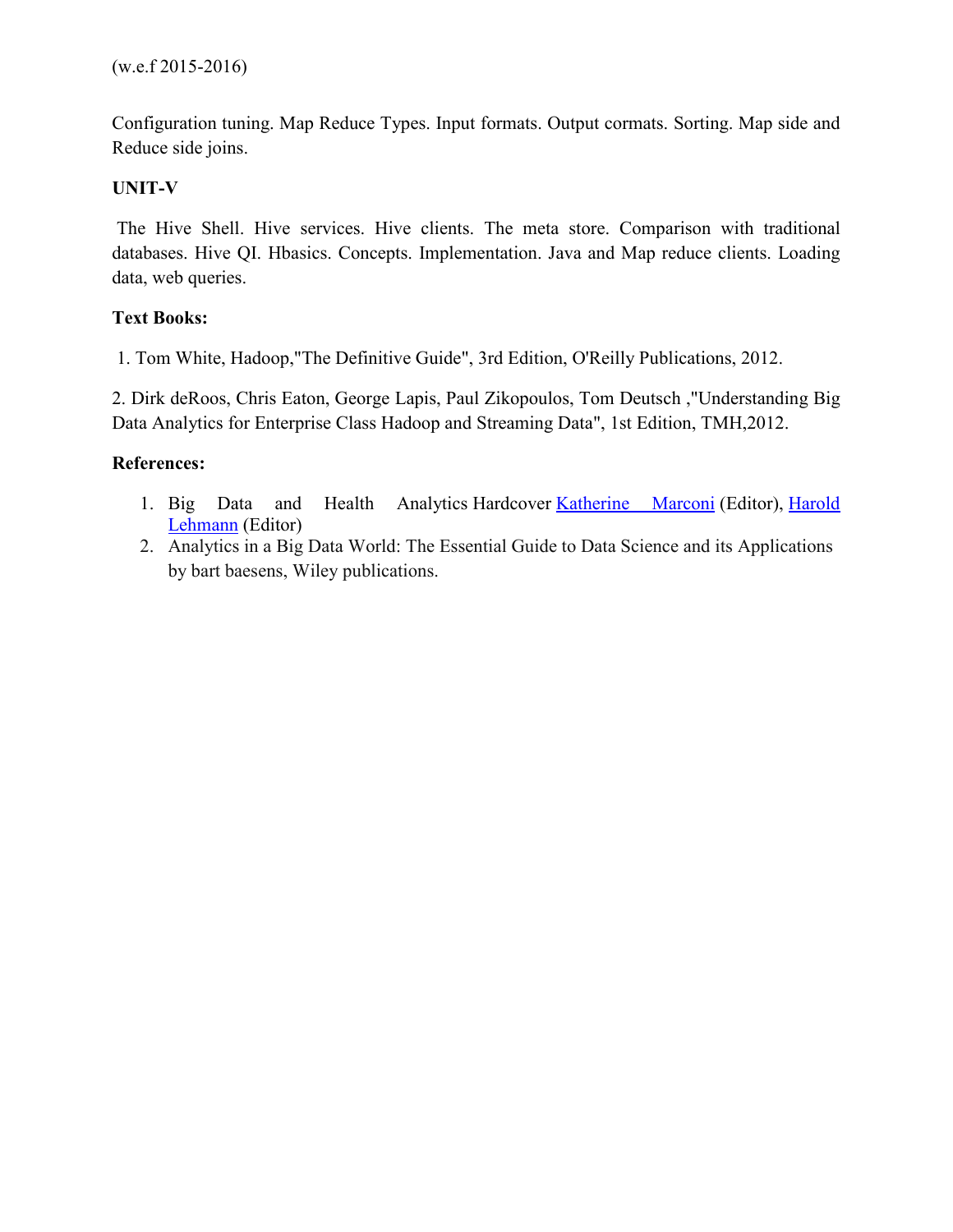Configuration tuning. Map Reduce Types. Input formats. Output cormats. Sorting. Map side and Reduce side joins.

# **UNIT-V**

The Hive Shell. Hive services. Hive clients. The meta store. Comparison with traditional databases. Hive QI. Hbasics. Concepts. Implementation. Java and Map reduce clients. Loading data, web queries.

# **Text Books:**

1. Tom White, Hadoop,"The Definitive Guide", 3rd Edition, O'Reilly Publications, 2012.

2. Dirk deRoos, Chris Eaton, George Lapis, Paul Zikopoulos, Tom Deutsch ,"Understanding Big Data Analytics for Enterprise Class Hadoop and Streaming Data", 1st Edition, TMH,2012.

# **References:**

- 1. Big Data and Health Analytics Hardcover Katherine Marconi (Editor), Harold Lehmann (Editor)
- 2. Analytics in a Big Data World: The Essential Guide to Data Science and its Applications by bart baesens, Wiley publications.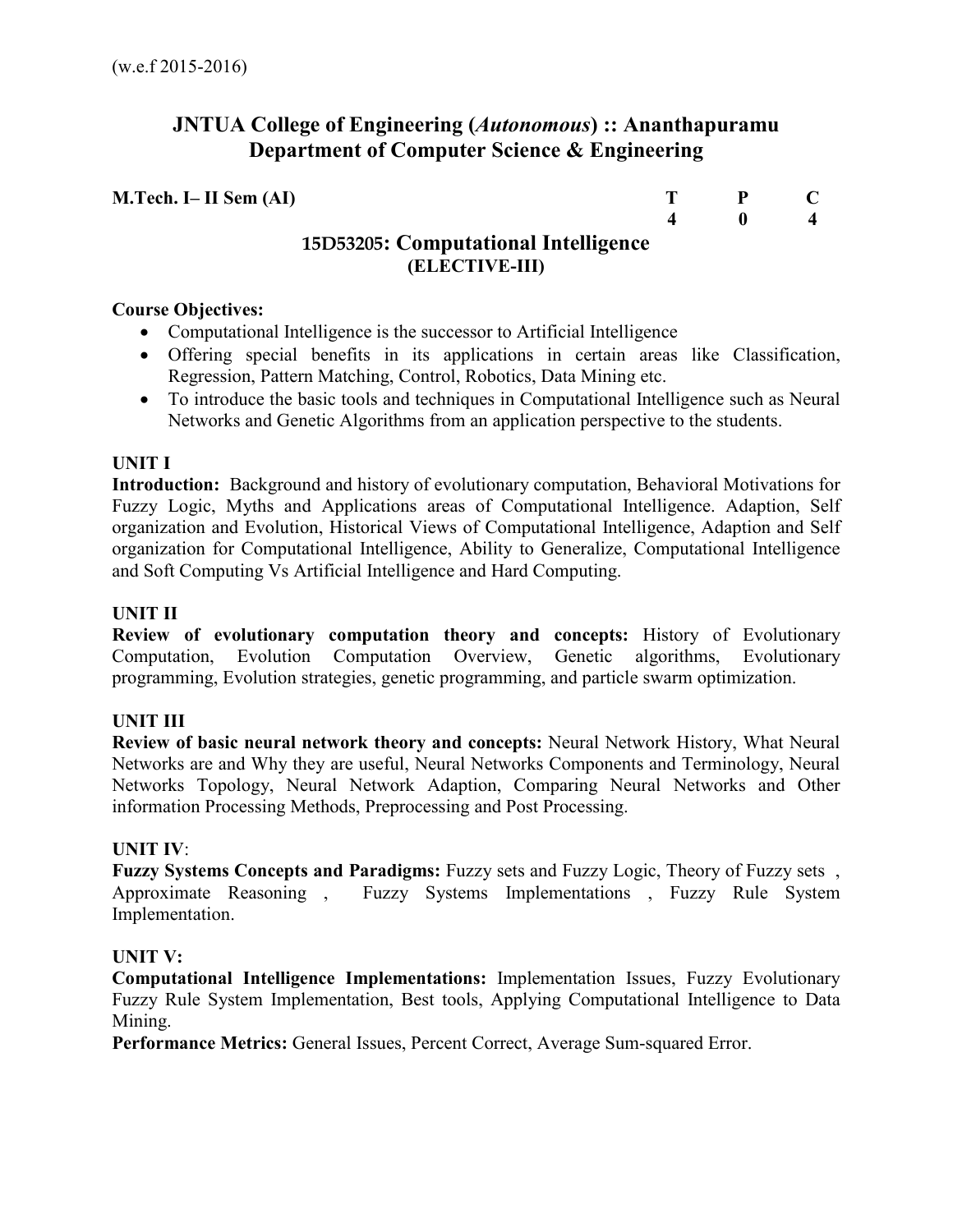# **JNTUA College of Engineering (***Autonomous***) :: Ananthapuramu Department of Computer Science & Engineering**

| $M.Tech. I-II Sem (AI)$              | $\mathbf{p}$ |  |
|--------------------------------------|--------------|--|
|                                      |              |  |
| 15D53205: Computational Intelligence |              |  |
| (ELECTIVE-III)                       |              |  |

## **Course Objectives:**

- Computational Intelligence is the successor to Artificial Intelligence
- Offering special benefits in its applications in certain areas like Classification, Regression, Pattern Matching, Control, Robotics, Data Mining etc.
- To introduce the basic tools and techniques in Computational Intelligence such as Neural Networks and Genetic Algorithms from an application perspective to the students.

# **UNIT I**

**Introduction:** Background and history of evolutionary computation, Behavioral Motivations for Fuzzy Logic, Myths and Applications areas of Computational Intelligence. Adaption, Self organization and Evolution, Historical Views of Computational Intelligence, Adaption and Self organization for Computational Intelligence, Ability to Generalize, Computational Intelligence and Soft Computing Vs Artificial Intelligence and Hard Computing.

# **UNIT II**

**Review of evolutionary computation theory and concepts:** History of Evolutionary Computation, Evolution Computation Overview, Genetic algorithms, Evolutionary programming, Evolution strategies, genetic programming, and particle swarm optimization.

# **UNIT III**

**Review of basic neural network theory and concepts:** Neural Network History, What Neural Networks are and Why they are useful, Neural Networks Components and Terminology, Neural Networks Topology, Neural Network Adaption, Comparing Neural Networks and Other information Processing Methods, Preprocessing and Post Processing.

#### **UNIT IV**:

**Fuzzy Systems Concepts and Paradigms:** Fuzzy sets and Fuzzy Logic, Theory of Fuzzy sets , Approximate Reasoning , Fuzzy Systems Implementations , Fuzzy Rule System Implementation.

#### **UNIT V:**

**Computational Intelligence Implementations:** Implementation Issues, Fuzzy Evolutionary Fuzzy Rule System Implementation, Best tools, Applying Computational Intelligence to Data Mining.

**Performance Metrics:** General Issues, Percent Correct, Average Sum-squared Error.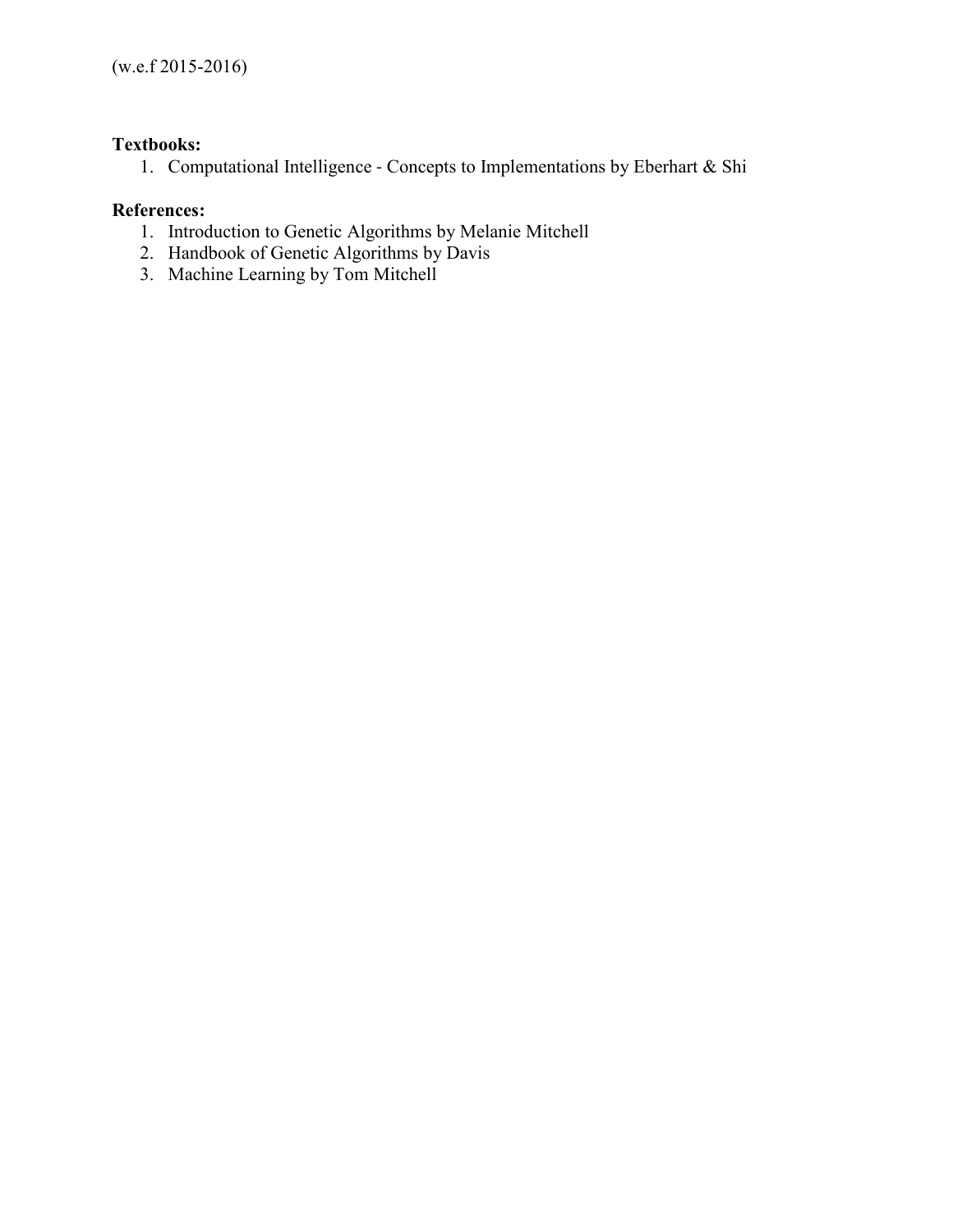# **Textbooks:**

1. Computational Intelligence - Concepts to Implementations by Eberhart & Shi

# **References:**

- 1. Introduction to Genetic Algorithms by Melanie Mitchell
- 2. Handbook of Genetic Algorithms by Davis
- 3. Machine Learning by Tom Mitchell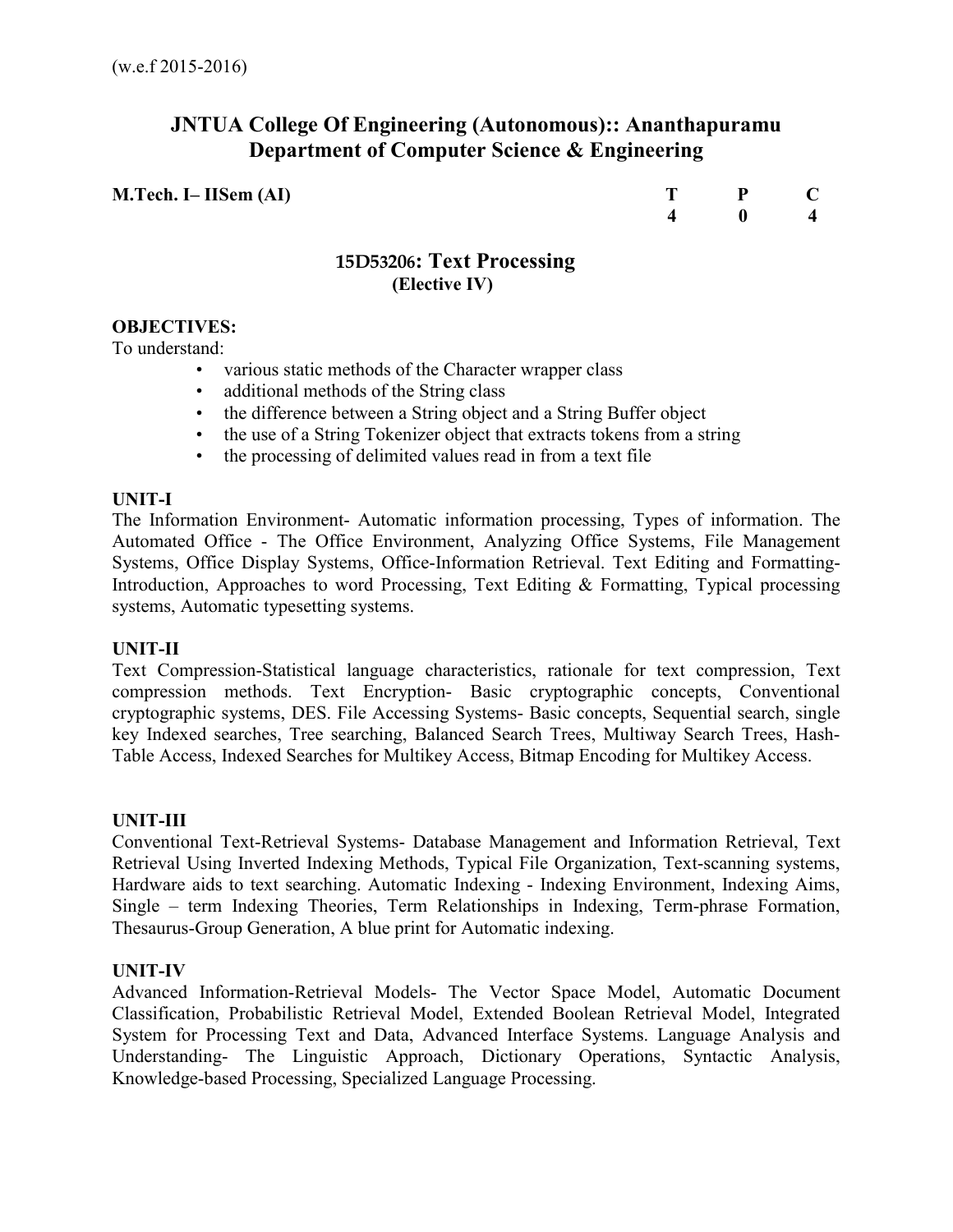# **JNTUA College Of Engineering (Autonomous):: Ananthapuramu Department of Computer Science & Engineering**

**M.Tech. I– IISem (AI)** T P C 4 0 4  **4 0 4** 

# **15D53206: Text Processing (Elective IV)**

## **OBJECTIVES:**

To understand:

- various static methods of the Character wrapper class
- additional methods of the String class
- the difference between a String object and a String Buffer object
- the use of a String Tokenizer object that extracts tokens from a string
- the processing of delimited values read in from a text file

#### **UNIT-I**

The Information Environment- Automatic information processing, Types of information. The Automated Office - The Office Environment, Analyzing Office Systems, File Management Systems, Office Display Systems, Office-Information Retrieval. Text Editing and Formatting-Introduction, Approaches to word Processing, Text Editing & Formatting, Typical processing systems, Automatic typesetting systems.

#### **UNIT-II**

Text Compression-Statistical language characteristics, rationale for text compression, Text compression methods. Text Encryption- Basic cryptographic concepts, Conventional cryptographic systems, DES. File Accessing Systems- Basic concepts, Sequential search, single key Indexed searches, Tree searching, Balanced Search Trees, Multiway Search Trees, Hash-Table Access, Indexed Searches for Multikey Access, Bitmap Encoding for Multikey Access.

#### **UNIT-III**

Conventional Text-Retrieval Systems- Database Management and Information Retrieval, Text Retrieval Using Inverted Indexing Methods, Typical File Organization, Text-scanning systems, Hardware aids to text searching. Automatic Indexing - Indexing Environment, Indexing Aims, Single – term Indexing Theories, Term Relationships in Indexing, Term-phrase Formation, Thesaurus-Group Generation, A blue print for Automatic indexing.

#### **UNIT-IV**

Advanced Information-Retrieval Models- The Vector Space Model, Automatic Document Classification, Probabilistic Retrieval Model, Extended Boolean Retrieval Model, Integrated System for Processing Text and Data, Advanced Interface Systems. Language Analysis and Understanding- The Linguistic Approach, Dictionary Operations, Syntactic Analysis, Knowledge-based Processing, Specialized Language Processing.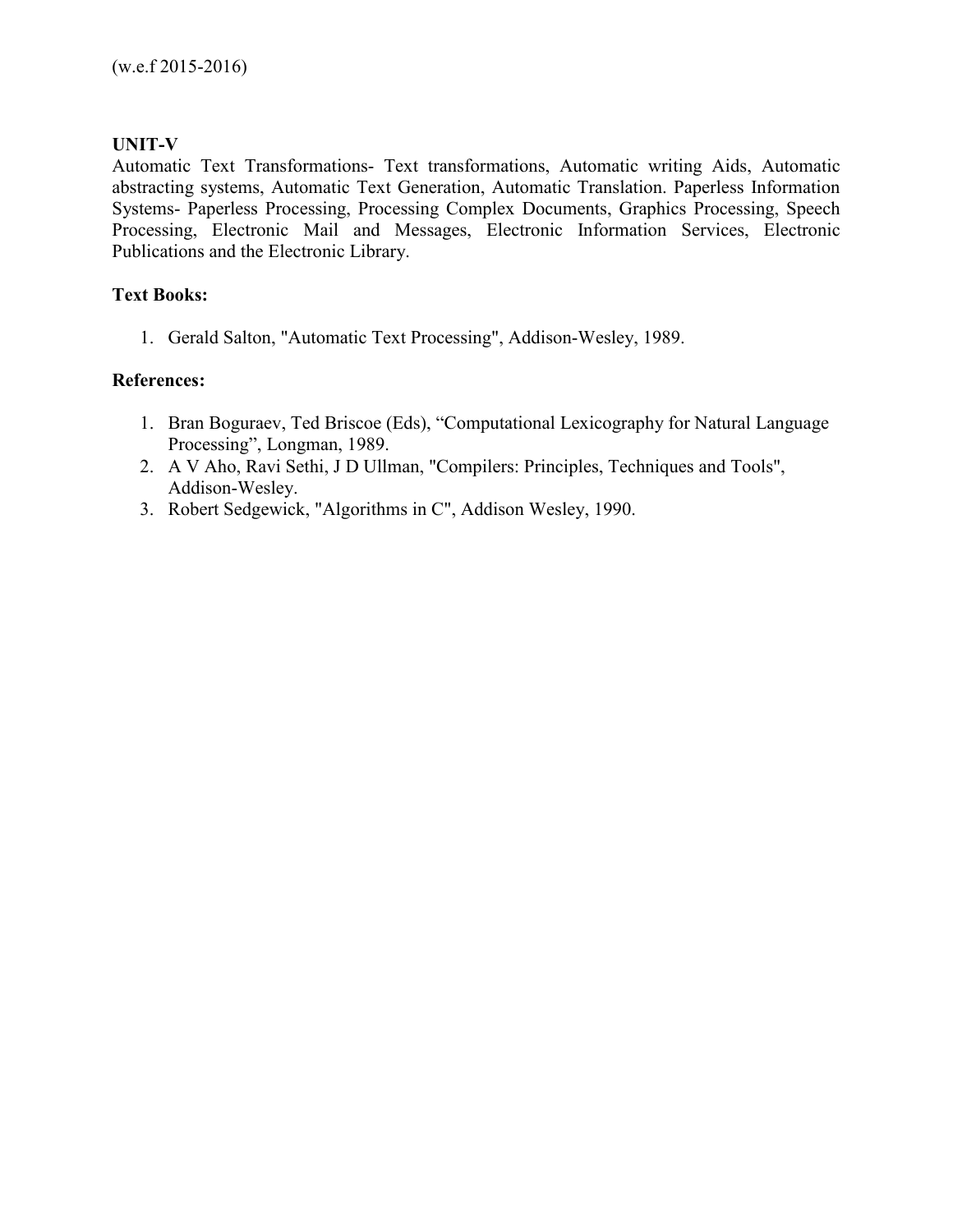## **UNIT-V**

Automatic Text Transformations- Text transformations, Automatic writing Aids, Automatic abstracting systems, Automatic Text Generation, Automatic Translation. Paperless Information Systems- Paperless Processing, Processing Complex Documents, Graphics Processing, Speech Processing, Electronic Mail and Messages, Electronic Information Services, Electronic Publications and the Electronic Library.

## **Text Books:**

1. Gerald Salton, "Automatic Text Processing", Addison-Wesley, 1989.

## **References:**

- 1. Bran Boguraev, Ted Briscoe (Eds), "Computational Lexicography for Natural Language Processing", Longman, 1989.
- 2. A V Aho, Ravi Sethi, J D Ullman, "Compilers: Principles, Techniques and Tools", Addison-Wesley.
- 3. Robert Sedgewick, "Algorithms in C", Addison Wesley, 1990.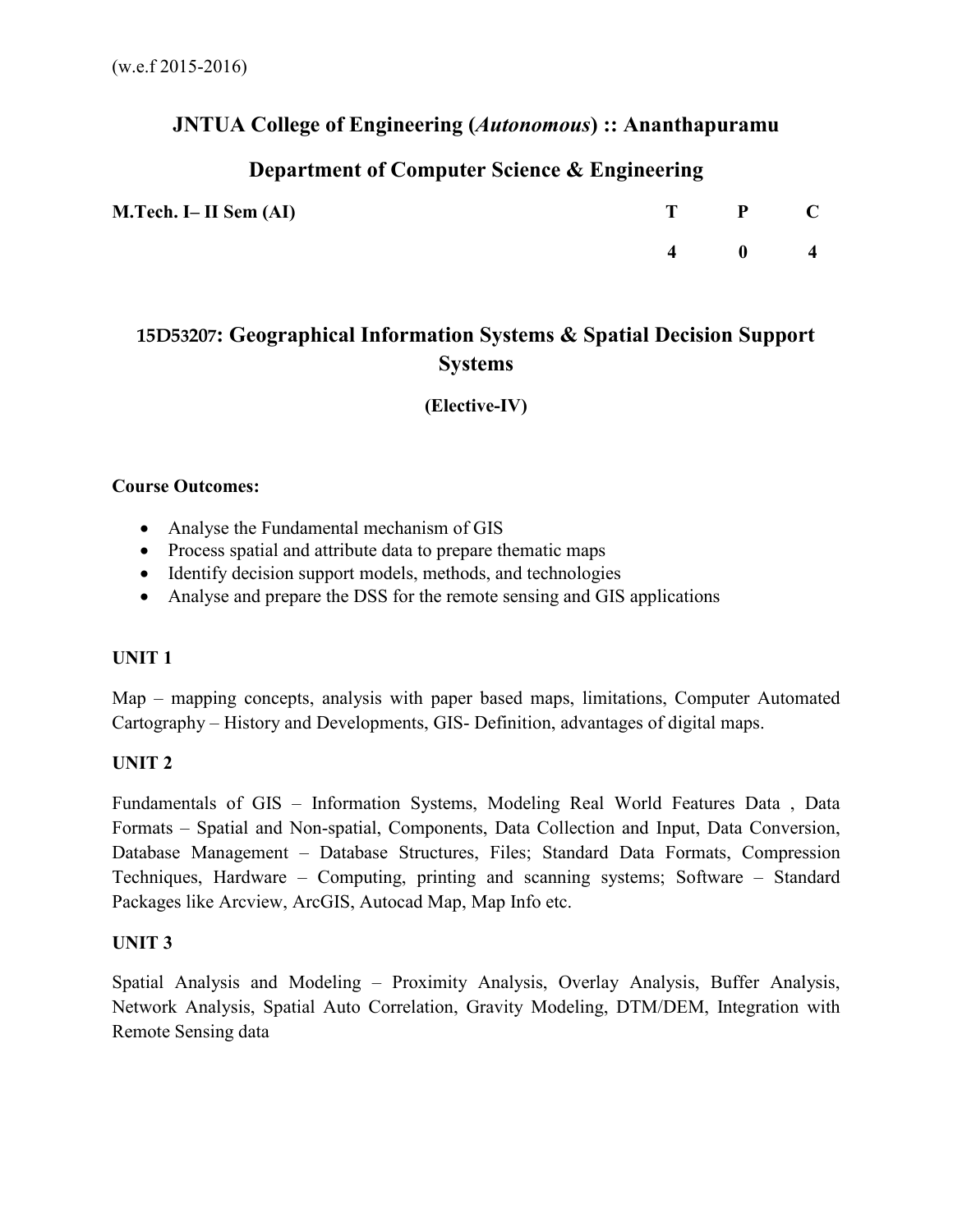# **JNTUA College of Engineering (***Autonomous***) :: Ananthapuramu**

# **Department of Computer Science & Engineering**

| M.Tech. I– II Sem (AI) | T P C                 |  |
|------------------------|-----------------------|--|
|                        | $4 \qquad 0 \qquad 4$ |  |

# **15D53207: Geographical Information Systems & Spatial Decision Support Systems**

**(Elective-IV)** 

## **Course Outcomes:**

- Analyse the Fundamental mechanism of GIS
- Process spatial and attribute data to prepare thematic maps
- Identify decision support models, methods, and technologies
- Analyse and prepare the DSS for the remote sensing and GIS applications

# **UNIT 1**

Map – mapping concepts, analysis with paper based maps, limitations, Computer Automated Cartography – History and Developments, GIS- Definition, advantages of digital maps.

# **UNIT 2**

Fundamentals of GIS – Information Systems, Modeling Real World Features Data , Data Formats – Spatial and Non-spatial, Components, Data Collection and Input, Data Conversion, Database Management – Database Structures, Files; Standard Data Formats, Compression Techniques, Hardware – Computing, printing and scanning systems; Software – Standard Packages like Arcview, ArcGIS, Autocad Map, Map Info etc.

# **UNIT 3**

Spatial Analysis and Modeling – Proximity Analysis, Overlay Analysis, Buffer Analysis, Network Analysis, Spatial Auto Correlation, Gravity Modeling, DTM/DEM, Integration with Remote Sensing data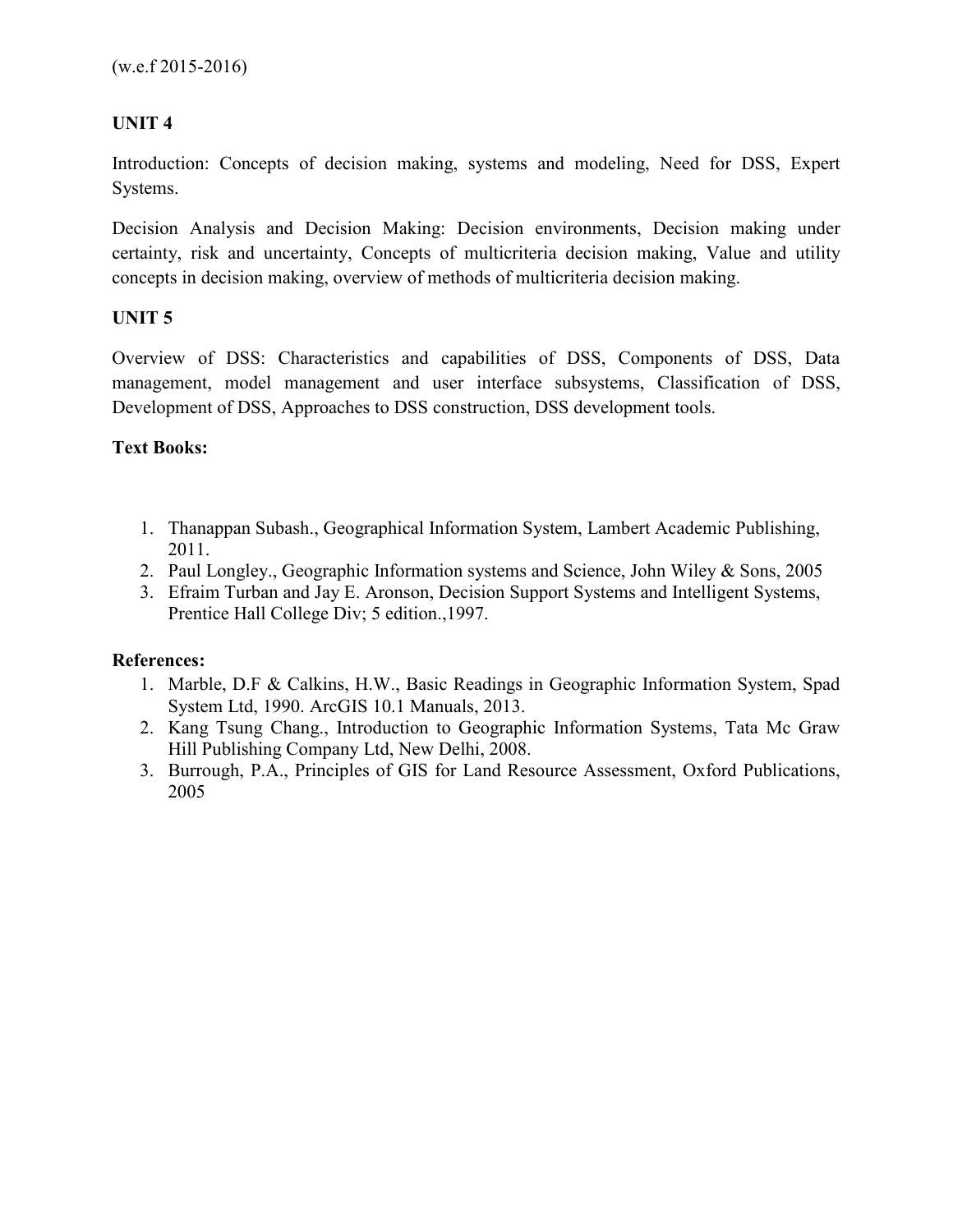# **UNIT 4**

Introduction: Concepts of decision making, systems and modeling, Need for DSS, Expert Systems.

Decision Analysis and Decision Making: Decision environments, Decision making under certainty, risk and uncertainty, Concepts of multicriteria decision making, Value and utility concepts in decision making, overview of methods of multicriteria decision making.

# **UNIT 5**

Overview of DSS: Characteristics and capabilities of DSS, Components of DSS, Data management, model management and user interface subsystems, Classification of DSS, Development of DSS, Approaches to DSS construction, DSS development tools.

# **Text Books:**

- 1. Thanappan Subash., Geographical Information System, Lambert Academic Publishing, 2011.
- 2. Paul Longley., Geographic Information systems and Science, John Wiley & Sons, 2005
- 3. Efraim Turban and Jay E. Aronson, Decision Support Systems and Intelligent Systems, Prentice Hall College Div; 5 edition.,1997.

# **References:**

- 1. Marble, D.F & Calkins, H.W., Basic Readings in Geographic Information System, Spad System Ltd, 1990. ArcGIS 10.1 Manuals, 2013.
- 2. Kang Tsung Chang., Introduction to Geographic Information Systems, Tata Mc Graw Hill Publishing Company Ltd, New Delhi, 2008.
- 3. Burrough, P.A., Principles of GIS for Land Resource Assessment, Oxford Publications, 2005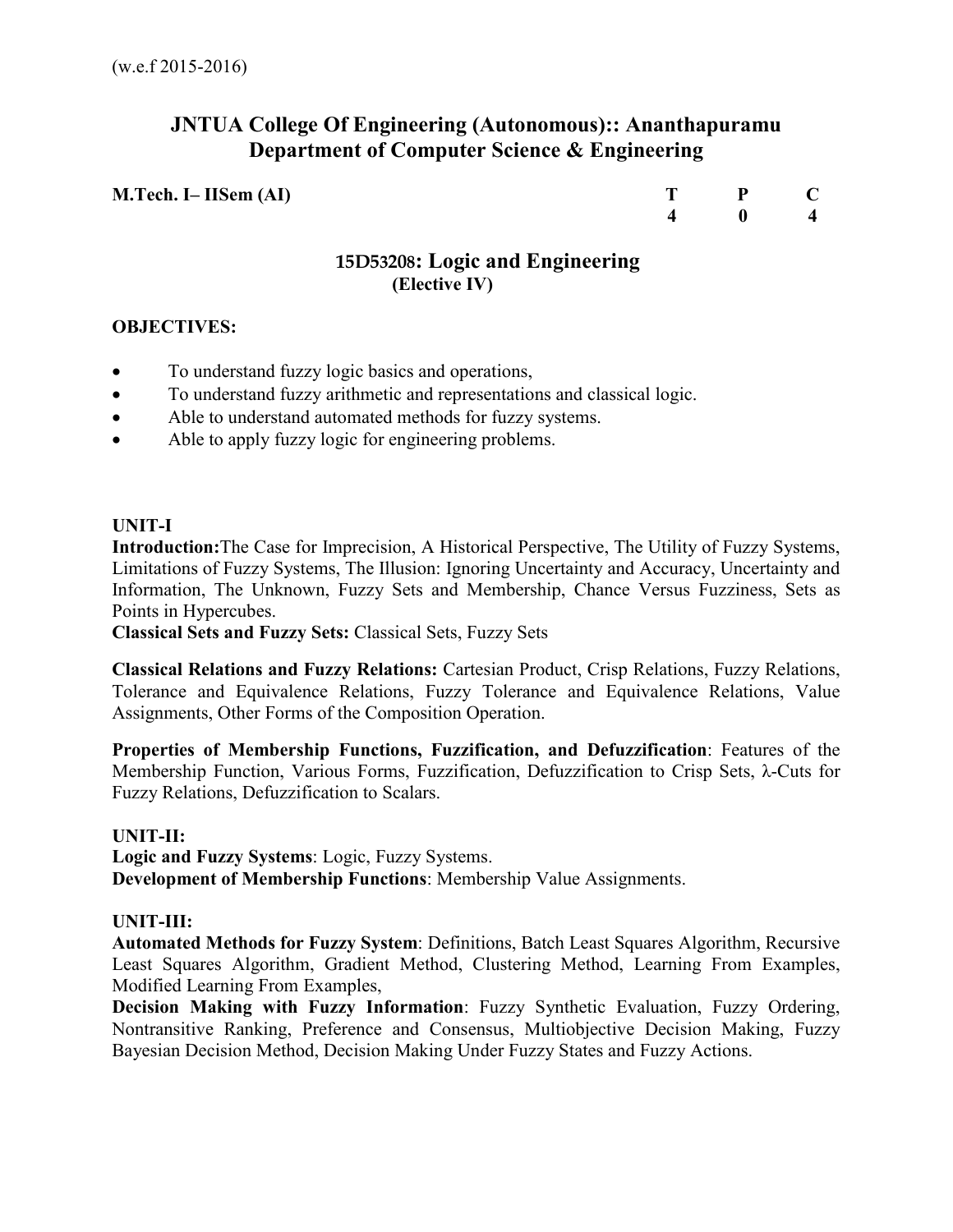# **JNTUA College Of Engineering (Autonomous):: Ananthapuramu Department of Computer Science & Engineering**

| M.Tech. I– IISem (AI) | $P$ C                                      |  |
|-----------------------|--------------------------------------------|--|
|                       | $\begin{array}{ccc} 4 & 0 & 4 \end{array}$ |  |

# **15D53208: Logic and Engineering (Elective IV)**

# **OBJECTIVES:**

- To understand fuzzy logic basics and operations,
- To understand fuzzy arithmetic and representations and classical logic.
- Able to understand automated methods for fuzzy systems.
- Able to apply fuzzy logic for engineering problems.

## **UNIT-I**

**Introduction:**The Case for Imprecision, A Historical Perspective, The Utility of Fuzzy Systems, Limitations of Fuzzy Systems, The Illusion: Ignoring Uncertainty and Accuracy, Uncertainty and Information, The Unknown, Fuzzy Sets and Membership, Chance Versus Fuzziness, Sets as Points in Hypercubes.

**Classical Sets and Fuzzy Sets:** Classical Sets, Fuzzy Sets

**Classical Relations and Fuzzy Relations:** Cartesian Product, Crisp Relations, Fuzzy Relations, Tolerance and Equivalence Relations, Fuzzy Tolerance and Equivalence Relations, Value Assignments, Other Forms of the Composition Operation.

**Properties of Membership Functions, Fuzzification, and Defuzzification**: Features of the Membership Function, Various Forms, Fuzzification, Defuzzification to Crisp Sets, λ-Cuts for Fuzzy Relations, Defuzzification to Scalars.

#### **UNIT-II:**

**Logic and Fuzzy Systems**: Logic, Fuzzy Systems. **Development of Membership Functions**: Membership Value Assignments.

# **UNIT-III:**

**Automated Methods for Fuzzy System**: Definitions, Batch Least Squares Algorithm, Recursive Least Squares Algorithm, Gradient Method, Clustering Method, Learning From Examples, Modified Learning From Examples,

**Decision Making with Fuzzy Information**: Fuzzy Synthetic Evaluation, Fuzzy Ordering, Nontransitive Ranking, Preference and Consensus, Multiobjective Decision Making, Fuzzy Bayesian Decision Method, Decision Making Under Fuzzy States and Fuzzy Actions.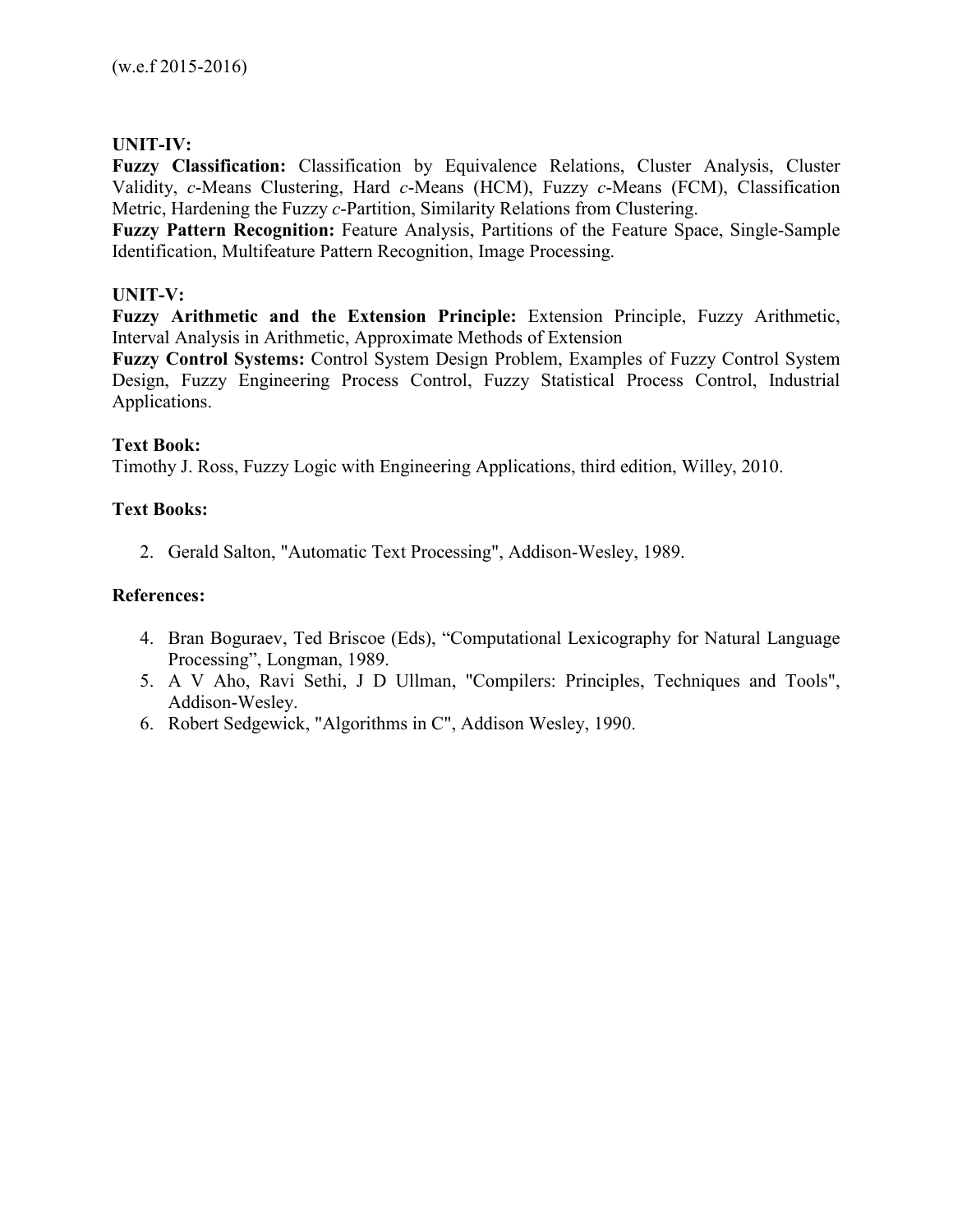## **UNIT-IV:**

**Fuzzy Classification:** Classification by Equivalence Relations, Cluster Analysis, Cluster Validity, *c*-Means Clustering, Hard *c*-Means (HCM), Fuzzy *c*-Means (FCM), Classification Metric, Hardening the Fuzzy *c*-Partition, Similarity Relations from Clustering.

**Fuzzy Pattern Recognition:** Feature Analysis, Partitions of the Feature Space, Single-Sample Identification, Multifeature Pattern Recognition, Image Processing.

## **UNIT-V:**

**Fuzzy Arithmetic and the Extension Principle:** Extension Principle, Fuzzy Arithmetic, Interval Analysis in Arithmetic, Approximate Methods of Extension

**Fuzzy Control Systems:** Control System Design Problem, Examples of Fuzzy Control System Design, Fuzzy Engineering Process Control, Fuzzy Statistical Process Control, Industrial Applications.

## **Text Book:**

Timothy J. Ross, Fuzzy Logic with Engineering Applications, third edition, Willey, 2010.

## **Text Books:**

2. Gerald Salton, "Automatic Text Processing", Addison-Wesley, 1989.

## **References:**

- 4. Bran Boguraev, Ted Briscoe (Eds), "Computational Lexicography for Natural Language Processing", Longman, 1989.
- 5. A V Aho, Ravi Sethi, J D Ullman, "Compilers: Principles, Techniques and Tools", Addison-Wesley.
- 6. Robert Sedgewick, "Algorithms in C", Addison Wesley, 1990.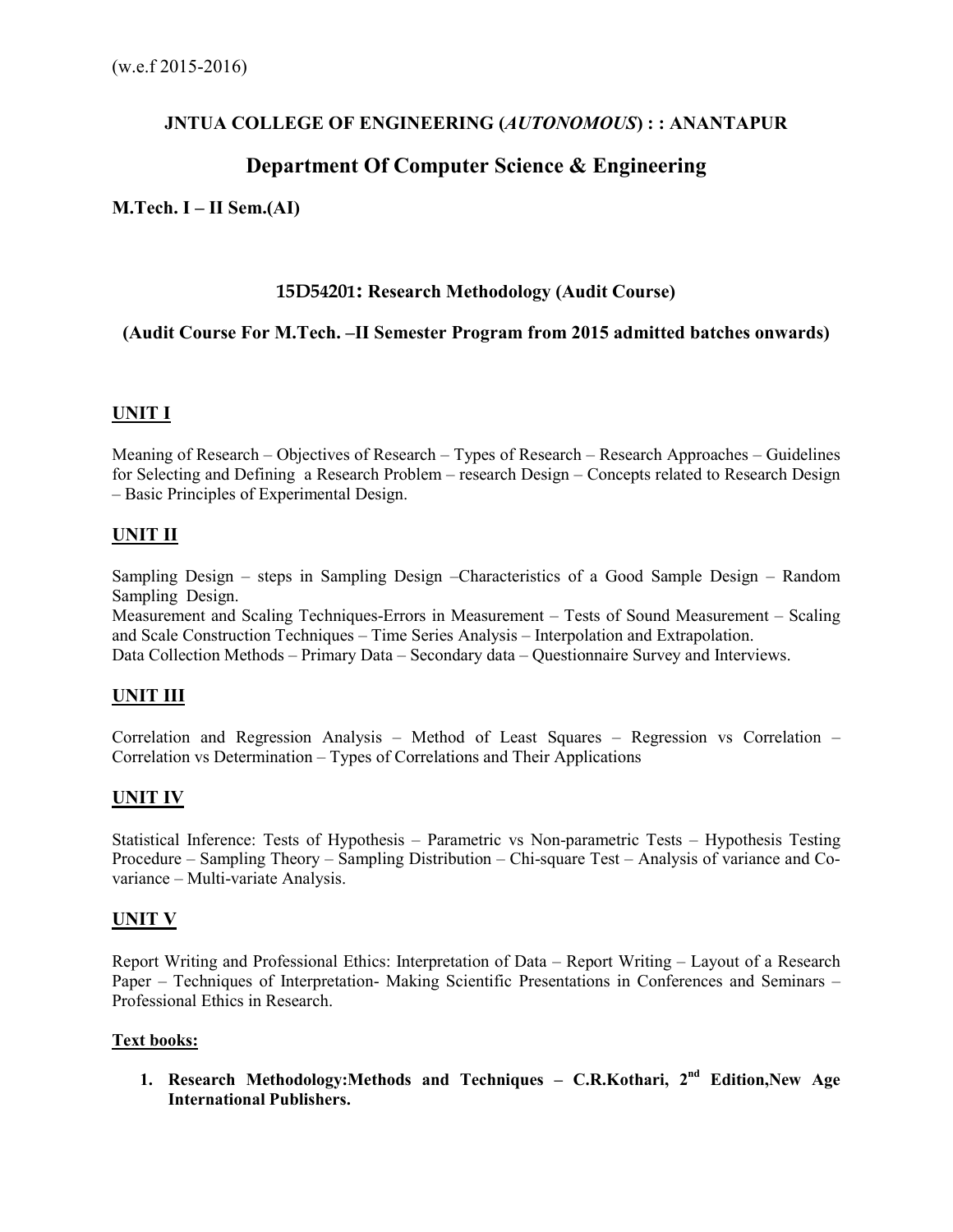# **JNTUA COLLEGE OF ENGINEERING (***AUTONOMOUS***) : : ANANTAPUR**

# **Department Of Computer Science & Engineering**

## **M.Tech. I – II Sem.(AI)**

#### **15D54201: Research Methodology (Audit Course)**

## **(Audit Course For M.Tech. –II Semester Program from 2015 admitted batches onwards)**

# **UNIT I**

Meaning of Research – Objectives of Research – Types of Research – Research Approaches – Guidelines for Selecting and Defining a Research Problem – research Design – Concepts related to Research Design – Basic Principles of Experimental Design.

## **UNIT II**

Sampling Design – steps in Sampling Design –Characteristics of a Good Sample Design – Random Sampling Design.

Measurement and Scaling Techniques-Errors in Measurement – Tests of Sound Measurement – Scaling and Scale Construction Techniques – Time Series Analysis – Interpolation and Extrapolation. Data Collection Methods – Primary Data – Secondary data – Questionnaire Survey and Interviews.

# **UNIT III**

Correlation and Regression Analysis – Method of Least Squares – Regression vs Correlation – Correlation vs Determination – Types of Correlations and Their Applications

# **UNIT IV**

Statistical Inference: Tests of Hypothesis – Parametric vs Non-parametric Tests – Hypothesis Testing Procedure – Sampling Theory – Sampling Distribution – Chi-square Test – Analysis of variance and Covariance – Multi-variate Analysis.

# **UNIT V**

Report Writing and Professional Ethics: Interpretation of Data – Report Writing – Layout of a Research Paper – Techniques of Interpretation- Making Scientific Presentations in Conferences and Seminars – Professional Ethics in Research.

#### **Text books:**

**1. Research Methodology:Methods and Techniques – C.R.Kothari, 2nd Edition,New Age International Publishers.**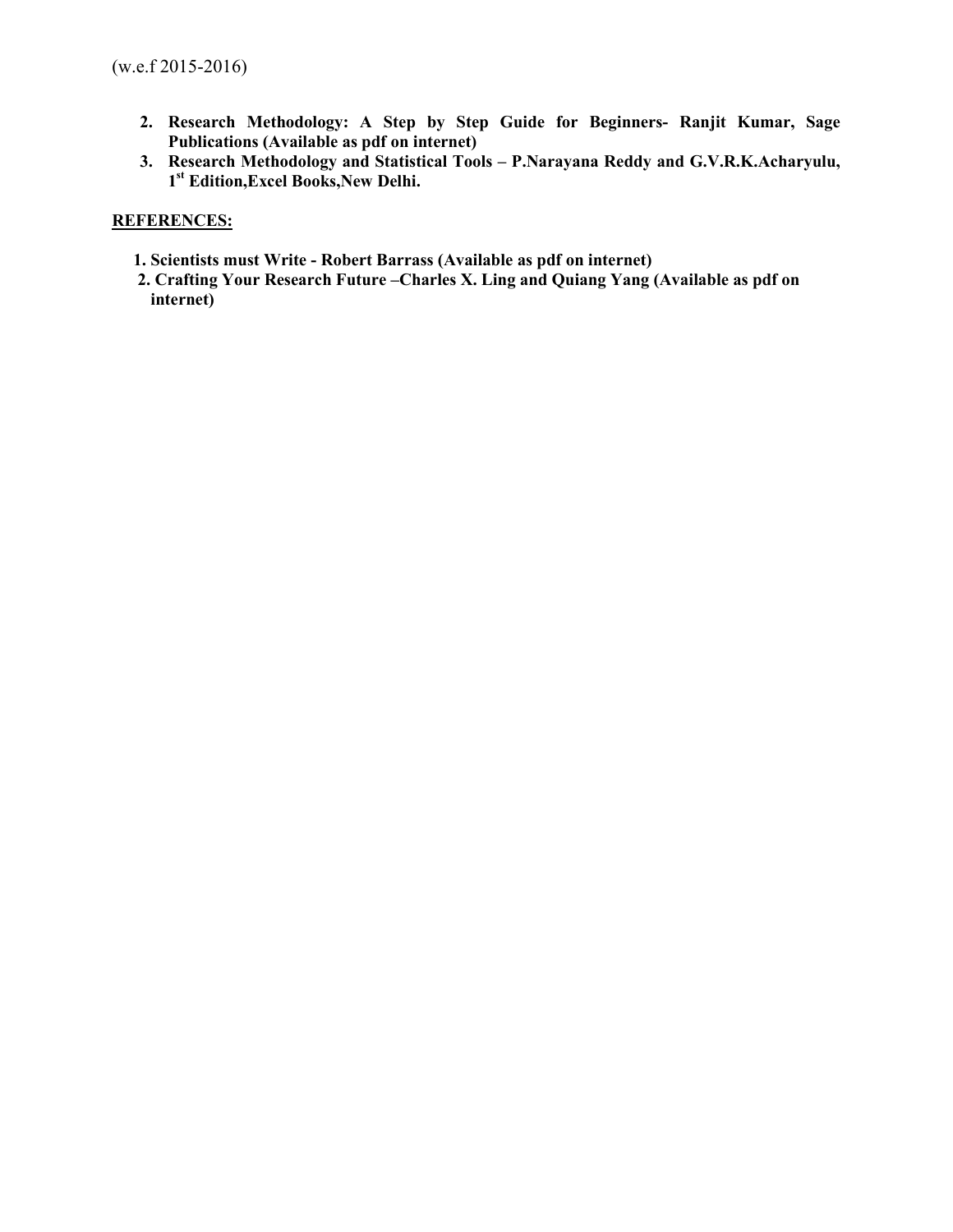- **2. Research Methodology: A Step by Step Guide for Beginners- Ranjit Kumar, Sage Publications (Available as pdf on internet)**
- **3. Research Methodology and Statistical Tools P.Narayana Reddy and G.V.R.K.Acharyulu, 1 st Edition,Excel Books,New Delhi.**

#### **REFERENCES:**

- **1. Scientists must Write Robert Barrass (Available as pdf on internet)**
- **2. Crafting Your Research Future –Charles X. Ling and Quiang Yang (Available as pdf on internet)**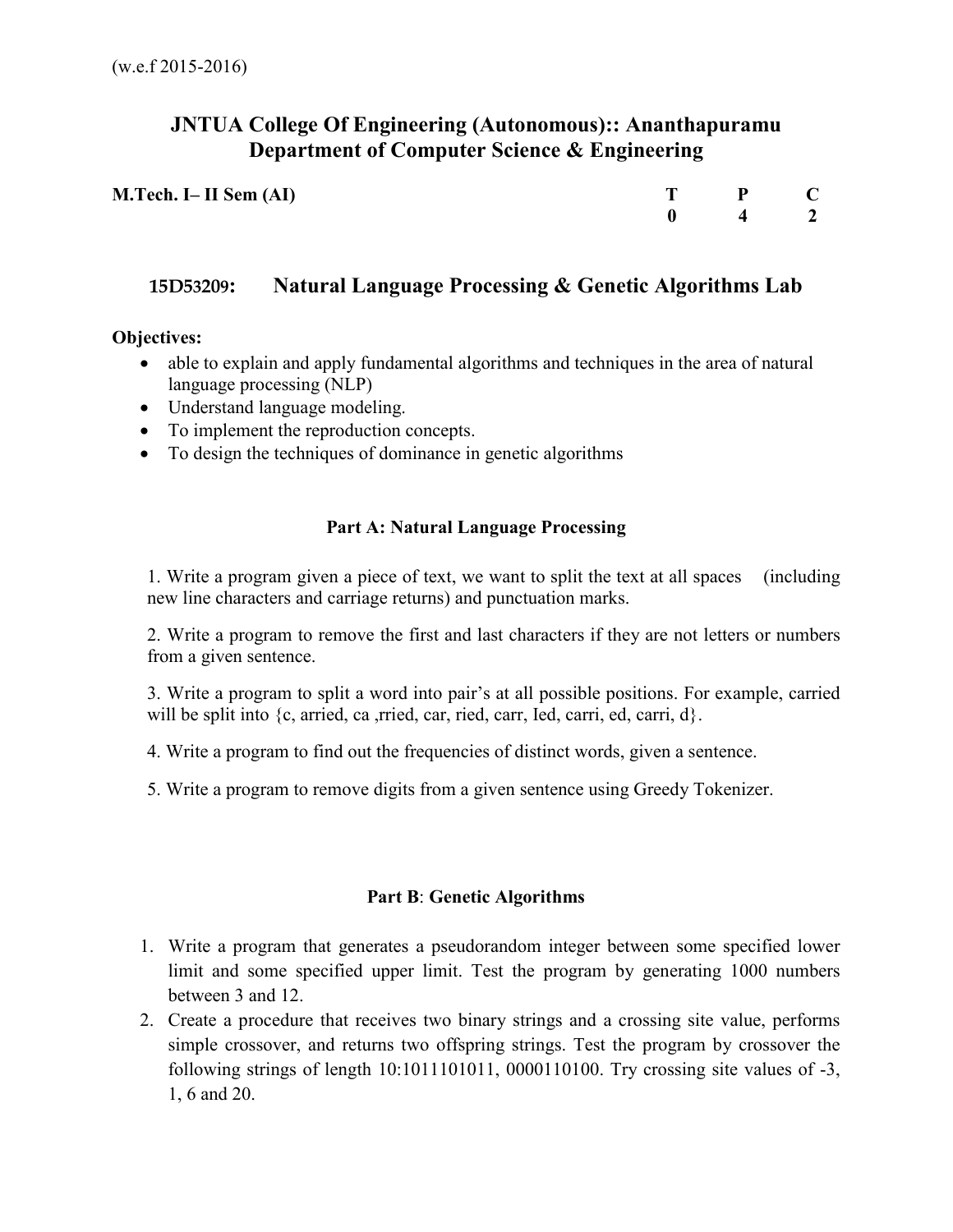# **JNTUA College Of Engineering (Autonomous):: Ananthapuramu Department of Computer Science & Engineering**

| M.Tech. I– II Sem (AI) | $T \t P \t C$                              |  |
|------------------------|--------------------------------------------|--|
|                        | $\begin{array}{ccc} 0 & 4 & 2 \end{array}$ |  |

# **15D53209: Natural Language Processing & Genetic Algorithms Lab**

## **Objectives:**

- able to explain and apply fundamental algorithms and techniques in the area of natural language processing (NLP)
- Understand language modeling.
- To implement the reproduction concepts.
- To design the techniques of dominance in genetic algorithms

# **Part A: Natural Language Processing**

1. Write a program given a piece of text, we want to split the text at all spaces (including new line characters and carriage returns) and punctuation marks.

2. Write a program to remove the first and last characters if they are not letters or numbers from a given sentence.

3. Write a program to split a word into pair's at all possible positions. For example, carried will be split into {c, arried, ca ,rried, car, ried, carr, Ied, carri, ed, carri, d}.

4. Write a program to find out the frequencies of distinct words, given a sentence.

5. Write a program to remove digits from a given sentence using Greedy Tokenizer.

# **Part B**: **Genetic Algorithms**

- 1. Write a program that generates a pseudorandom integer between some specified lower limit and some specified upper limit. Test the program by generating 1000 numbers between 3 and 12.
- 2. Create a procedure that receives two binary strings and a crossing site value, performs simple crossover, and returns two offspring strings. Test the program by crossover the following strings of length 10:1011101011, 0000110100. Try crossing site values of -3, 1, 6 and 20.